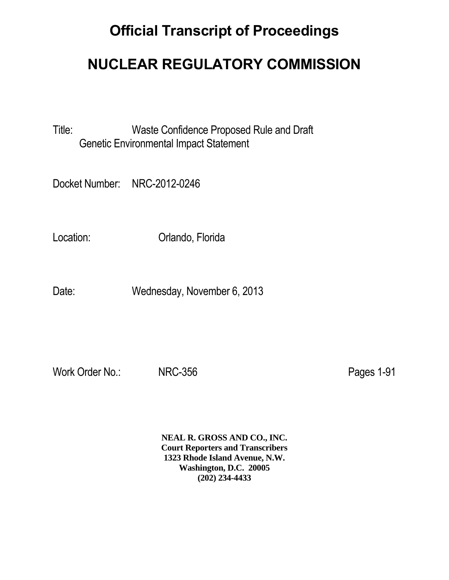## **Official Transcript of Proceedings**

## **NUCLEAR REGULATORY COMMISSION**

Title: Waste Confidence Proposed Rule and Draft Genetic Environmental Impact Statement

Docket Number: NRC-2012-0246

Location: Orlando, Florida

Date: Wednesday, November 6, 2013

Work Order No.: NRC-356 Pages 1-91

**NEAL R. GROSS AND CO., INC. Court Reporters and Transcribers 1323 Rhode Island Avenue, N.W. Washington, D.C. 20005 (202) 234-4433**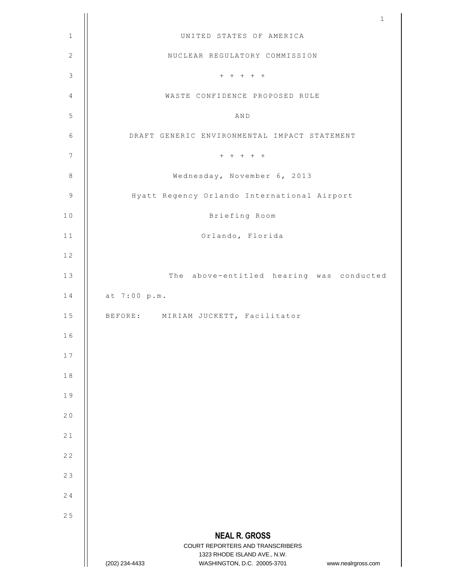|                  | $\mathbf 1$                                                                                                                                                     |
|------------------|-----------------------------------------------------------------------------------------------------------------------------------------------------------------|
| $\mathbf 1$      | UNITED STATES OF AMERICA                                                                                                                                        |
| $\overline{c}$   | NUCLEAR REGULATORY COMMISSION                                                                                                                                   |
| $\mathsf 3$      | $+~~+~~+~~+~~+$                                                                                                                                                 |
| $\sqrt{4}$       | WASTE CONFIDENCE PROPOSED RULE                                                                                                                                  |
| 5                | AND                                                                                                                                                             |
| 6                | DRAFT GENERIC ENVIRONMENTAL IMPACT STATEMENT                                                                                                                    |
| $\boldsymbol{7}$ | $+ + + + + + +$                                                                                                                                                 |
| $\,8\,$          | Wednesday, November 6, 2013                                                                                                                                     |
| $\mathsf 9$      | Hyatt Regency Orlando International Airport                                                                                                                     |
| 10               | Briefing Room                                                                                                                                                   |
| 11               | Orlando, Florida                                                                                                                                                |
| 12               |                                                                                                                                                                 |
| 13               | The above-entitled hearing was conducted                                                                                                                        |
| 14               | at 7:00 p.m.                                                                                                                                                    |
| 15               | BEFORE: MIRIAM JUCKETT, Facilitator                                                                                                                             |
| 16               |                                                                                                                                                                 |
| 17               |                                                                                                                                                                 |
| $1\;8$           |                                                                                                                                                                 |
| 19               |                                                                                                                                                                 |
| 20               |                                                                                                                                                                 |
| 21               |                                                                                                                                                                 |
| 22               |                                                                                                                                                                 |
| 23               |                                                                                                                                                                 |
| 24               |                                                                                                                                                                 |
| 25               |                                                                                                                                                                 |
|                  | <b>NEAL R. GROSS</b><br>COURT REPORTERS AND TRANSCRIBERS<br>1323 RHODE ISLAND AVE., N.W.<br>WASHINGTON, D.C. 20005-3701<br>(202) 234-4433<br>www.nealrgross.com |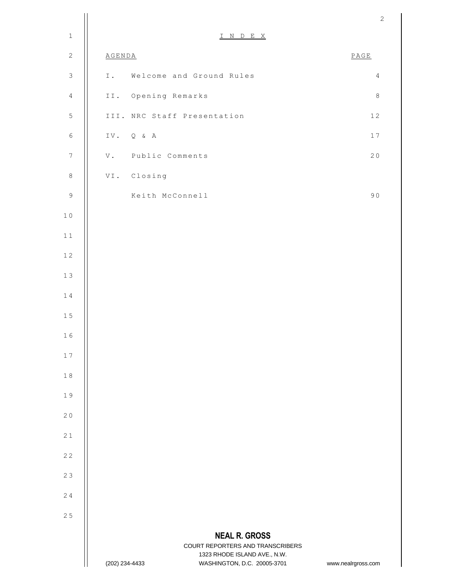|                  |                                                                                                                                           | $\overline{c}$     |
|------------------|-------------------------------------------------------------------------------------------------------------------------------------------|--------------------|
| $\mathbf 1$      | INDEX                                                                                                                                     |                    |
| $\mathbf{2}$     | <b>AGENDA</b>                                                                                                                             | $\texttt{PAGE}$    |
| $\mathsf 3$      | Welcome and Ground Rules<br>I.                                                                                                            | $\overline{4}$     |
| $\overline{4}$   | II. Opening Remarks                                                                                                                       | $\,8\,$            |
| $\mathsf S$      | III. NRC Staff Presentation                                                                                                               | $1\,2$             |
| $\epsilon$       | IV. Q & A                                                                                                                                 | 17                 |
| $\boldsymbol{7}$ | Public Comments<br>$\mathbf {V}$ .                                                                                                        | 20                 |
| $\,8\,$          | VI. Closing                                                                                                                               |                    |
| $\mathsf 9$      | Keith McConnell                                                                                                                           | 90                 |
| $1\,0$           |                                                                                                                                           |                    |
| $1\,1$           |                                                                                                                                           |                    |
| $1\,2$           |                                                                                                                                           |                    |
| $13$             |                                                                                                                                           |                    |
| $1\;4$           |                                                                                                                                           |                    |
| $1\,5$           |                                                                                                                                           |                    |
| 16               |                                                                                                                                           |                    |
| 17               |                                                                                                                                           |                    |
| $1\;8$           |                                                                                                                                           |                    |
| 19               |                                                                                                                                           |                    |
| 20               |                                                                                                                                           |                    |
| 21               |                                                                                                                                           |                    |
| 22               |                                                                                                                                           |                    |
| 23               |                                                                                                                                           |                    |
| 24               |                                                                                                                                           |                    |
| 25               |                                                                                                                                           |                    |
|                  | <b>NEAL R. GROSS</b><br>COURT REPORTERS AND TRANSCRIBERS<br>1323 RHODE ISLAND AVE., N.W.<br>(202) 234-4433<br>WASHINGTON, D.C. 20005-3701 | www.nealrgross.com |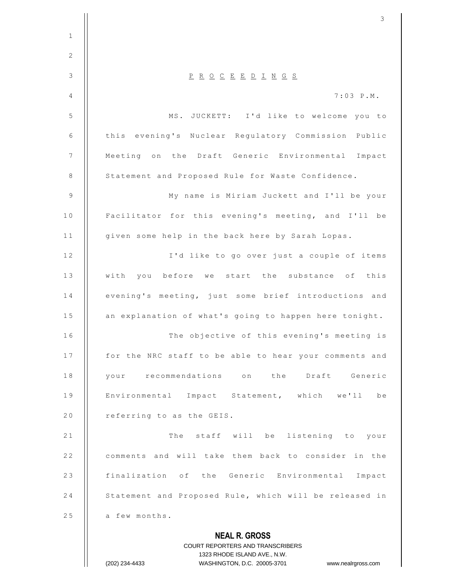|               | 3                                                                                                                                                           |
|---------------|-------------------------------------------------------------------------------------------------------------------------------------------------------------|
| $\mathbf{1}$  |                                                                                                                                                             |
| 2             |                                                                                                                                                             |
| $\mathcal{S}$ | $\underline{P} \underline{R} \underline{O} \underline{C} \underline{E} \underline{E} \underline{D} \underline{I} \underline{N} \underline{G} \underline{S}$ |
| 4             | $7:03$ $P.M.$                                                                                                                                               |
| 5             | I'd like to welcome you to<br>MS. JUCKETT:                                                                                                                  |
| 6             | this evening's Nuclear Regulatory Commission Public                                                                                                         |
| 7             | Meeting on the Draft Generic Environmental Impact                                                                                                           |
| 8             | Statement and Proposed Rule for Waste Confidence.                                                                                                           |
| 9             | My name is Miriam Juckett and I'll be your                                                                                                                  |
| 10            | Facilitator for this evening's meeting, and I'll be                                                                                                         |
| 11            | given some help in the back here by Sarah Lopas.                                                                                                            |
| 12            | I'd like to go over just a couple of items                                                                                                                  |
| 13            | with<br>before we start the substance of<br>this<br>you                                                                                                     |
| 14            | evening's meeting, just some brief introductions and                                                                                                        |
| 15            | an explanation of what's going to happen here tonight.                                                                                                      |
| 16            | The objective of this evening's meeting is                                                                                                                  |
| 17            | for the NRC staff to be able to hear your comments and                                                                                                      |
| 18            | your recommendations on the Draft Generic                                                                                                                   |
| 19            | Environmental Impact Statement, which we'll<br>be                                                                                                           |
| 20            | referring to as the GEIS.                                                                                                                                   |
| 21            | The staff will be listening to your                                                                                                                         |
| 22            | comments and will take them back to consider in the                                                                                                         |
| 23            | finalization of the Generic Environmental Impact                                                                                                            |
| 24            | Statement and Proposed Rule, which will be released in                                                                                                      |
| 25            | a few months.                                                                                                                                               |
|               | <b>NEAL R. GROSS</b>                                                                                                                                        |
|               | <b>COURT REPORTERS AND TRANSCRIBERS</b>                                                                                                                     |
|               | 1323 RHODE ISLAND AVE., N.W.<br>WASHINGTON, D.C. 20005-3701<br>(202) 234-4433<br>www.nealrgross.com                                                         |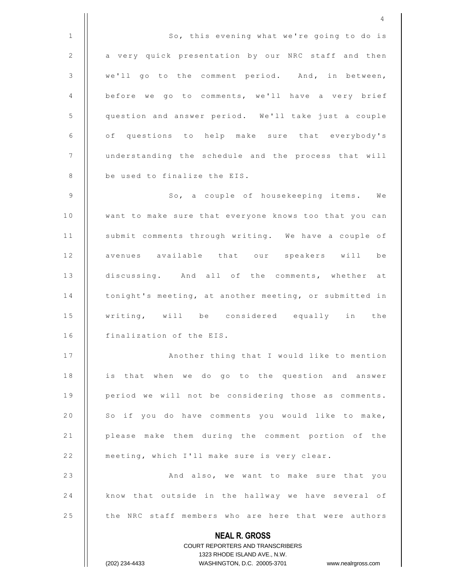**NEAL R. GROSS** COURT REPORTERS AND TRANSCRIBERS 1323 RHODE ISLAND AVE., N.W. (202) 234-4433 WASHINGTON, D.C. 20005-3701 www.nealrgross.com 4 1 | So, this evening what we're going to do is 2 | a very quick presentation by our NRC staff and then 3 we'll go to the comment period. And, in between, 4 | before we go to comments, we'll have a very brief 5 | question and answer period. We'll take just a couple  $6$  | of questions to help make sure that everybody's 7 | understanding the schedule and the process that will 8 | be used to finalize the EIS. 9 || So, a couple of housekeeping items. We 10 | want to make sure that everyone knows too that you can 11 | submit comments through writing. We have a couple of 12 || avenues available that our speakers will be 13 || discussing. And all of the comments, whether at 14 | tonight's meeting, at another meeting, or submitted in 15 || writing, will be considered equally in the  $16$  | finalization of the EIS. 17 | | Rnother thing that I would like to mention 18 | is that when we do go to the question and answer 19 || period we will not be considering those as comments. 20 || So if you do have comments you would like to make, 21 | please make them during the comment portion of the 22 | meeting, which I'll make sure is very clear. 2 3 A n d a l s o , w e w a n t t o m a k e s u r e t h a t y o u 24 | know that outside in the hallway we have several of 25 | the NRC staff members who are here that were authors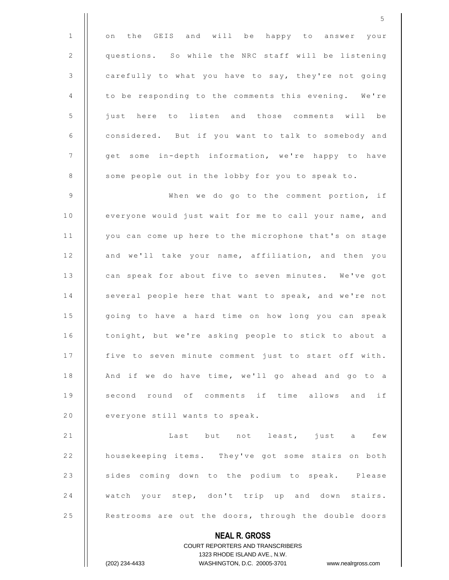**NEAL R. GROSS** COURT REPORTERS AND TRANSCRIBERS 1 || on the GEIS and will be happy to answer your 2 | questions. So while the NRC staff will be listening 3 | carefully to what you have to say, they're not going 4 | to be responding to the comments this evening. We're 5 | just here to listen and those comments will be 6 | considered. But if you want to talk to somebody and 7 | get some in-depth information, we're happy to have 8 | some people out in the lobby for you to speak to. 9 | When we do go to the comment portion, if 10 | everyone would just wait for me to call your name, and 11 | you can come up here to the microphone that's on stage 12 | and we'll take your name, affiliation, and then you 13 | can speak for about five to seven minutes. We've got 14 | several people here that want to speak, and we're not 15 | going to have a hard time on how long you can speak 16 | tonight, but we're asking people to stick to about a 17 | five to seven minute comment just to start off with. 18  $\parallel$  And if we do have time, we'll go ahead and go to a 19 || second round of comments if time allows and if 20  $\parallel$  everyone still wants to speak. 21 | Last but not least, just a few 22 | housekeeping items. They've got some stairs on both 23 || sides coming down to the podium to speak. Please 24 || watch your step, don't trip up and down stairs. 25 | Restrooms are out the doors, through the double doors

1323 RHODE ISLAND AVE., N.W.

(202) 234-4433 WASHINGTON, D.C. 20005-3701 www.nealrgross.com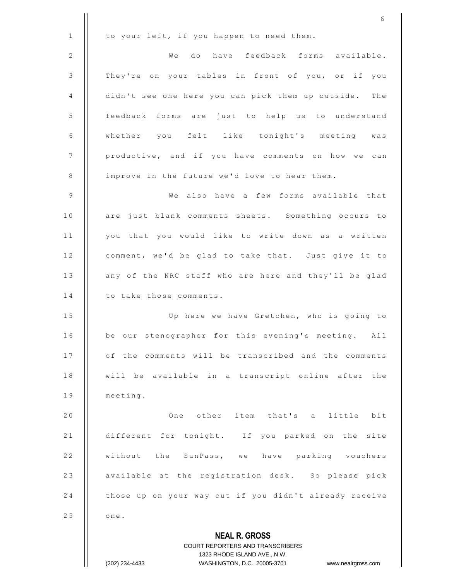**NEAL R. GROSS** COURT REPORTERS AND TRANSCRIBERS 1323 RHODE ISLAND AVE., N.W. (202) 234-4433 WASHINGTON, D.C. 20005-3701 www.nealrgross.com 6  $1$  | to your left, if you happen to need them. 2 || We do have feedback forms available. 3 | They're on your tables in front of you, or if you 4 | didn't see one here you can pick them up outside. The 5 | feedback forms are just to help us to understand 6 || whether you felt like tonight's meeting was 7 | productive, and if you have comments on how we can 8 | improve in the future we'd love to hear them. 9 || We also have a few forms available that 10 | are just blank comments sheets. Something occurs to  $11$  | you that you would like to write down as a written 12 | comment, we'd be glad to take that. Just give it to 13 | any of the NRC staff who are here and they'll be glad  $14$  | to take those comments. 15 | Up here we have Gretchen, who is going to 16 | be our stenographer for this evening's meeting. All 17 || of the comments will be transcribed and the comments 18 || will be available in a transcript online after the  $19$   $\parallel$  meeting. 2 0 O n e o t h e r i t e m t h a t ' s a l i t t l e b i t 21 | different for tonight. If you parked on the site 22 || without the SunPass, we have parking vouchers 23 | available at the registration desk. So please pick 24 | those up on your way out if you didn't already receive  $25$   $\blacksquare$  one.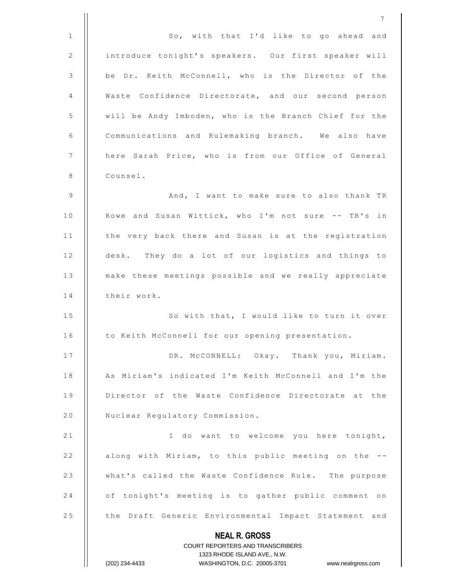**NEAL R. GROSS** COURT REPORTERS AND TRANSCRIBERS 1323 RHODE ISLAND AVE., N.W. (202) 234-4433 WASHINGTON, D.C. 20005-3701 www.nealrgross.com 7 1 | So, with that I'd like to go ahead and 2 | introduce tonight's speakers. Our first speaker will 3 | be Dr. Keith McConnell, who is the Director of the 4 | Waste Confidence Directorate, and our second person 5 | will be Andy Imboden, who is the Branch Chief for the 6 | Communications and Rulemaking branch. We also have 7 || here Sarah Price, who is from our Office of General 8 | Counsel. 9 A n d , I w a n t t o m a k e s u r e t o a l s o t h a n k T R 10 | Rowe and Susan Wittick, who I'm not sure -- TR's in 11 | the very back there and Susan is at the registration 12 | desk. They do a lot of our logistics and things to 13 | make these meetings possible and we really appreciate  $14$   $\parallel$  their work. 15 | So with that, I would like to turn it over 16 | to Keith McConnell for our opening presentation. 17 || DR. M CONNELL: Okay. Thank you, Miriam. 18 | As Miriam's indicated I'm Keith McConnell and I'm the 19 | Director of the Waste Confidence Directorate at the 20 | Nuclear Requlatory Commission. 21 | | Community of the welcome you here tonight, 22 | along with Miriam, to this public meeting on the --23 | what's called the Waste Confidence Rule. The purpose 24 | of tonight's meeting is to gather public comment on 25 | the Draft Generic Environmental Impact Statement and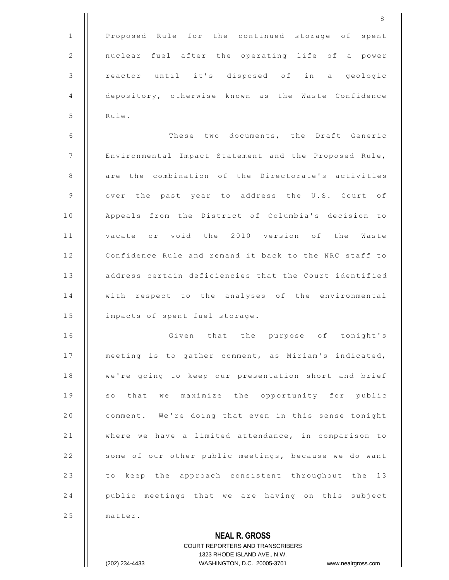|              | 8                                                        |
|--------------|----------------------------------------------------------|
| $\mathbf{1}$ | Proposed Rule for the continued storage of spent         |
| 2            | nuclear fuel after the operating life of a power         |
| $\mathsf 3$  | reactor until it's disposed of in a geologic             |
| 4            | depository, otherwise known as the Waste Confidence      |
| 5            | Rule.                                                    |
| 6            | These two documents, the Draft Generic                   |
| 7            | Environmental Impact Statement and the Proposed Rule,    |
| 8            | are the combination of the Directorate's activities      |
| 9            | over the past year to address the U.S. Court of          |
| 10           | Appeals from the District of Columbia's decision to      |
| 11           | vacate or void the 2010 version of the Waste             |
| 12           | Confidence Rule and remand it back to the NRC staff to   |
| 13           | address certain deficiencies that the Court identified   |
| 14           | with respect to the analyses of the environmental        |
| 15           | impacts of spent fuel storage.                           |
| 16           | Given that the purpose of tonight's                      |
| 17           | meeting is to gather comment, as Miriam's indicated,     |
| 18           | we're going to keep our presentation short and brief     |
| 19           | so that we maximize the opportunity for public           |
| 20           | comment. We're doing that even in this sense tonight     |
| 21           | where we have a limited attendance, in comparison to     |
| 22           | some of our other public meetings, because we do want    |
| 23           | to keep the approach consistent throughout the 13        |
| 24           | public meetings that we are having on this subject       |
| 25           | matter.                                                  |
|              | <b>NEAL R. GROSS</b><br>COURT REPORTERS AND TRANSCRIBERS |

1323 RHODE ISLAND AVE., N.W. (202) 234-4433 WASHINGTON, D.C. 20005-3701 www.nealrgross.com

 $\prod$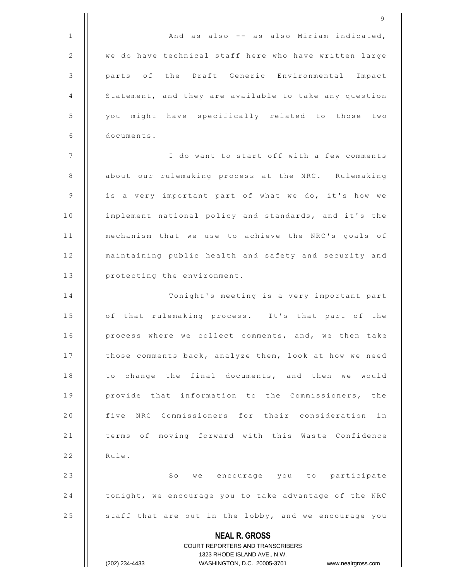|                | 9                                                                |
|----------------|------------------------------------------------------------------|
| 1              | And as also -- as also Miriam indicated,                         |
| $\mathbf{2}$   | we do have technical staff here who have written large           |
| $\mathsf 3$    | parts of the Draft Generic Environmental<br>Impact               |
| $\overline{4}$ | Statement, and they are available to take any question           |
| 5              | you might have specifically related to those two                 |
| 6              | documents.                                                       |
| 7              | I do want to start off with a few comments                       |
| 8              | about our rulemaking process at the NRC. Rulemaking              |
| $\mathsf 9$    | is a very important part of what we do, it's how we              |
| 10             | implement national policy and standards, and it's the            |
| 11             | mechanism that we use to achieve the NRC's goals of              |
| 12             | maintaining public health and safety and security and            |
| 13             | protecting the environment.                                      |
| 14             | Tonight's meeting is a very important part                       |
| 15             | of that rulemaking process. It's that part of the                |
| 16             | process where we collect comments, and, we then take             |
| 17             | those comments back, analyze them, look at how we need           |
| 18             | to change the final documents, and then we would                 |
| 19             | provide that information to the Commissioners, the               |
| 20             | five NRC Commissioners for their consideration in                |
| 21             | terms of moving forward with this Waste Confidence               |
| 22             | Rule.                                                            |
| 23             | So we encourage you to participate                               |
| 24             | tonight, we encourage you to take advantage of the NRC           |
| 25             | staff that are out in the lobby, and we encourage you            |
|                | <b>NEAL R. GROSS</b><br>COURT REPORTERS AND TRANSCRIBERS         |
|                | 1323 RHODE ISLAND AVE., N.W.                                     |
|                | (202) 234-4433<br>WASHINGTON, D.C. 20005-3701 www.nealrgross.com |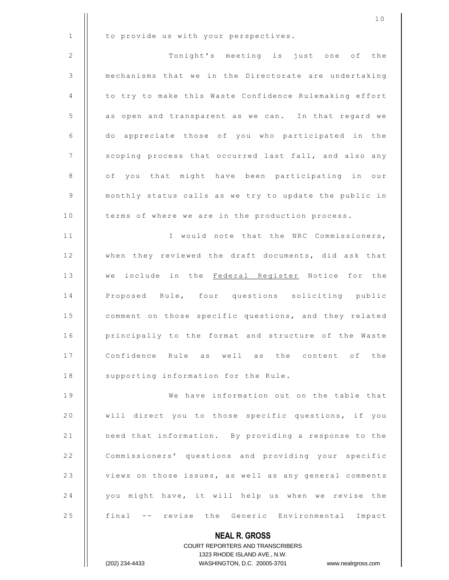|              | 10                                                     |
|--------------|--------------------------------------------------------|
| $\mathbf{1}$ | to provide us with your perspectives.                  |
| 2            | Tonight's meeting is just one<br>of the                |
| 3            | mechanisms that we in the Directorate are undertaking  |
| 4            | to try to make this Waste Confidence Rulemaking effort |
| 5            | as open and transparent as we can. In that regard we   |
| 6            | do appreciate those of you who participated in the     |
| 7            | scoping process that occurred last fall, and also any  |
| 8            | of you that might have been participating in our       |
| 9            | monthly status calls as we try to update the public in |
| 10           | terms of where we are in the production process.       |
| 11           | I would note that the NRC Commissioners,               |
| 12           | when they reviewed the draft documents, did ask that   |
| 13           | we include in the Federal Register Notice for the      |
| 14           | Proposed Rule, four questions soliciting public        |
| 15           | comment on those specific questions, and they related  |
| 16           | principally to the format and structure of the Waste   |
| 17           | Confidence Rule as well as the content of the          |
| 18           | supporting information for the Rule.                   |
| 19           | We have information out on the table that              |
| 20           | will direct you to those specific questions, if you    |
| 21           | need that information. By providing a response to the  |
| 22           | Commissioners' questions and providing your specific   |
| 23           | views on those issues, as well as any general comments |
| 24           | you might have, it will help us when we revise the     |
| 25           | final -- revise the Generic Environmental Impact       |
|              | <b>NEAL R. GROSS</b>                                   |

COURT REPORTERS AND TRANSCRIBERS 1323 RHODE ISLAND AVE., N.W. (202) 234-4433 WASHINGTON, D.C. 20005-3701 www.nealrgross.com

 $\prod$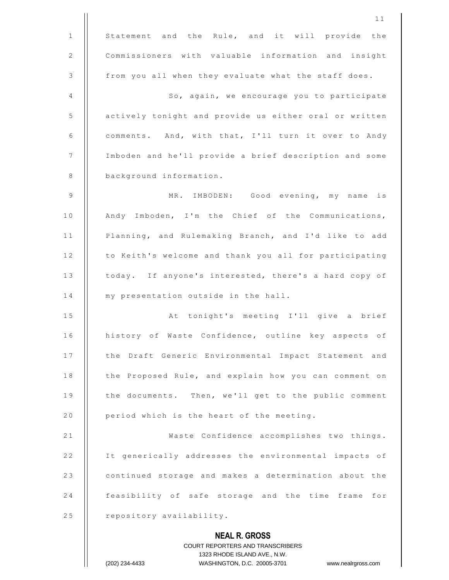|              | 11                                                                  |
|--------------|---------------------------------------------------------------------|
| $\mathbf{1}$ | Statement and the Rule, and it will provide the                     |
| 2            | Commissioners with valuable information and insight                 |
| 3            | from you all when they evaluate what the staff does.                |
| 4            | So, again, we encourage you to participate                          |
| 5            | actively tonight and provide us either oral or written              |
| 6            | comments. And, with that, I'll turn it over to Andy                 |
| 7            | Imboden and he'll provide a brief description and some              |
| 8            | background information.                                             |
| 9            | MR. IMBODEN: Good evening, my name is                               |
| 10           | Andy Imboden, I'm the Chief of the Communications,                  |
| 11           | Planning, and Rulemaking Branch, and I'd like to add                |
| 12           | to Keith's welcome and thank you all for participating              |
| 13           | today. If anyone's interested, there's a hard copy of               |
| 14           | my presentation outside in the hall.                                |
| 15           | At tonight's meeting I'll give a brief                              |
| 16           | history of Waste Confidence, outline key aspects of                 |
| 17           | the Draft Generic Environmental Impact Statement and                |
| 18           | the Proposed Rule, and explain how you can comment on               |
| 19           | the documents. Then, we'll get to the public comment                |
| 20           | period which is the heart of the meeting.                           |
| 21           | Waste Confidence accomplishes two things.                           |
| 22           | It generically addresses the environmental impacts of               |
| 23           | continued storage and makes a determination about the               |
| 24           | feasibility of safe storage and the time frame for                  |
| 25           | repository availability.                                            |
|              | <b>NEAL R. GROSS</b>                                                |
|              | <b>COURT REPORTERS AND TRANSCRIBERS</b>                             |
|              | 1323 RHODE ISLAND AVE., N.W.                                        |
|              | (202) 234-4433<br>WASHINGTON, D.C. 20005-3701<br>www.nealrgross.com |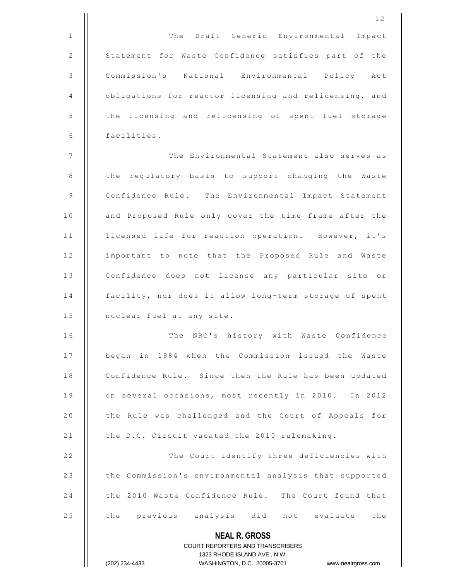|                | 12                                                                      |
|----------------|-------------------------------------------------------------------------|
| $\mathbf 1$    | The Draft Generic Environmental<br>Impact                               |
| $\mathbf{2}$   | Statement for Waste Confidence satisfies part of the                    |
| $\mathsf 3$    | Commission's National Environmental Policy Act                          |
| 4              | obligations for reactor licensing and relicensing, and                  |
| 5              | the licensing and relicensing of spent fuel storage                     |
| 6              | facilities.                                                             |
| $\overline{7}$ | The Environmental Statement also serves as                              |
| 8              | the regulatory basis to support changing the Waste                      |
| $\mathsf 9$    | Confidence Rule. The Environmental Impact Statement                     |
| 10             | and Proposed Rule only cover the time frame after the                   |
| 11             | licensed life for reaction operation. However, it's                     |
| 12             | important to note that the Proposed Rule and Waste                      |
| 13             | Confidence does not license any particular site or                      |
| 14             | facility, nor does it allow long-term storage of spent                  |
| 15             | nuclear fuel at any site.                                               |
| 16             | The NRC's history with Waste Confidence                                 |
| 17             | began in 1984 when the Commission issued the Waste                      |
| 18             | Confidence Rule. Since then the Rule has been updated                   |
| 19             | on several occasions, most recently in 2010. In 2012                    |
| 20             | the Rule was challenged and the Court of Appeals for                    |
| 21             | the D.C. Circuit vacated the 2010 rulemaking.                           |
| 22             | The Court identify three deficiencies with                              |
| 23             | the Commission's environmental analysis that supported                  |
| 24             | the 2010 Waste Confidence Rule. The Court found that                    |
| 25             | the previous analysis did not evaluate the                              |
|                | <b>NEAL R. GROSS</b>                                                    |
|                | <b>COURT REPORTERS AND TRANSCRIBERS</b><br>1323 RHODE ISLAND AVE., N.W. |
|                | WASHINGTON, D.C. 20005-3701<br>(202) 234-4433<br>www.nealrgross.com     |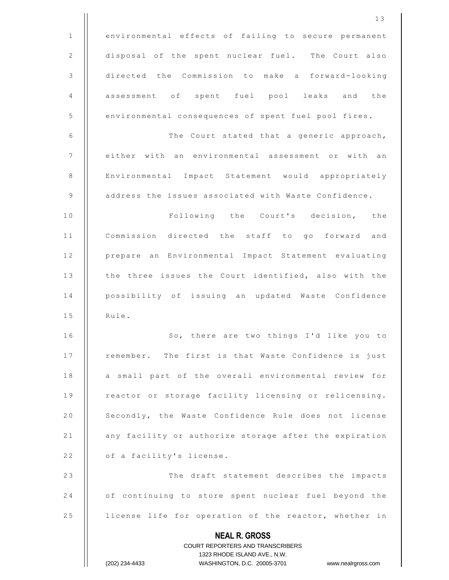**NEAL R. GROSS** COURT REPORTERS AND TRANSCRIBERS 1323 RHODE ISLAND AVE., N.W. (202) 234-4433 WASHINGTON, D.C. 20005-3701 www.nealrgross.com 1 | environmental effects of failing to secure permanent 2 | disposal of the spent nuclear fuel. The Court also 3 | directed the Commission to make a forward-looking 4 assessment of spent fuel pool leaks and the 5 | environmental consequences of spent fuel pool fires. 6 | The Court stated that a generic approach, 7 | either with an environmental assessment or with an 8 | Environmental Impact Statement would appropriately 9 | address the issues associated with Waste Confidence. 10 || Following the Court's decision, the 11 || Commission directed the staff to go forward and 12 | prepare an Environmental Impact Statement evaluating 13 | the three issues the Court identified, also with the 14 || possibility of issuing an updated Waste Confidence  $15$   $\parallel$  Rule. 16 || So, there are two things I'd like you to 17 | remember. The first is that Waste Confidence is just 18 || a small part of the overall environmental review for 19 || reactor or storage facility licensing or relicensing. 20 | Secondly, the Waste Confidence Rule does not license 21 | any facility or authorize storage after the expiration  $22$  | of a facility's license. 23 || The draft statement describes the impacts 24 | of continuing to store spent nuclear fuel beyond the 25 | license life for operation of the reactor, whether in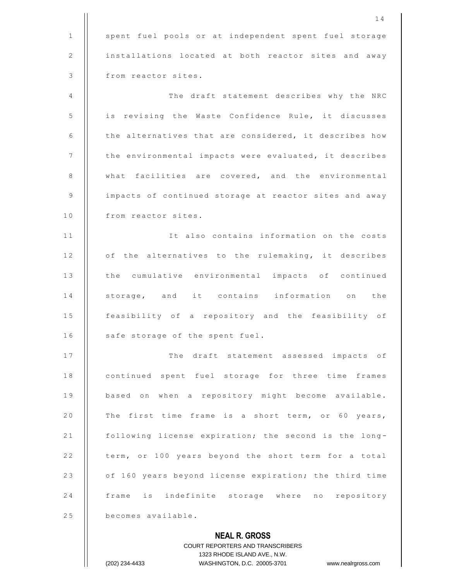|              | 14                                                                  |
|--------------|---------------------------------------------------------------------|
| $\mathbf{1}$ | spent fuel pools or at independent spent fuel storage               |
| 2            | installations located at both reactor sites and away                |
| 3            | from reactor sites.                                                 |
| 4            | The draft statement describes why the NRC                           |
| 5            | is revising the Waste Confidence Rule, it discusses                 |
| 6            | the alternatives that are considered, it describes how              |
| 7            | the environmental impacts were evaluated, it describes              |
| 8            | what facilities are covered, and the environmental                  |
| 9            | impacts of continued storage at reactor sites and away              |
| 10           | from reactor sites.                                                 |
| 11           | It also contains information on the costs                           |
| 12           | of the alternatives to the rulemaking, it describes                 |
| 13           | the cumulative environmental impacts of continued                   |
| 14           | storage, and it contains information on the                         |
| 15           | feasibility of a repository and the feasibility of                  |
| 16           | safe storage of the spent fuel.                                     |
| 17           | The draft statement assessed impacts of                             |
| 18           | continued spent fuel storage for three time frames                  |
| 19           | based on when a repository might become available.                  |
| 20           | The first time frame is a short term, or 60 years,                  |
| 21           | following license expiration; the second is the long-               |
| 22           | term, or 100 years beyond the short term for a total                |
| 23           | of 160 years beyond license expiration; the third time              |
| 24           | frame is indefinite storage where no repository                     |
| 25           | becomes available.                                                  |
|              | <b>NEAL R. GROSS</b>                                                |
|              | <b>COURT REPORTERS AND TRANSCRIBERS</b>                             |
|              | 1323 RHODE ISLAND AVE., N.W.                                        |
|              | (202) 234-4433<br>WASHINGTON, D.C. 20005-3701<br>www.nealrgross.com |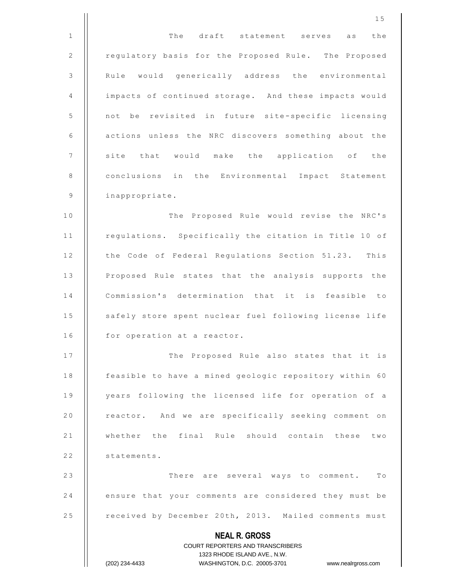|              | 15                                                                                                  |
|--------------|-----------------------------------------------------------------------------------------------------|
| $\mathbf{1}$ | The draft statement serves as the                                                                   |
| 2            | regulatory basis for the Proposed Rule. The Proposed                                                |
| 3            | Rule would generically address the environmental                                                    |
| 4            | impacts of continued storage. And these impacts would                                               |
| 5            | not be revisited in future site-specific licensing                                                  |
| 6            | actions unless the NRC discovers something about the                                                |
| 7            | site that would make the application of the                                                         |
| 8            | conclusions in the Environmental Impact Statement                                                   |
| 9            | inappropriate.                                                                                      |
| 10           | The Proposed Rule would revise the NRC's                                                            |
| 11           | regulations. Specifically the citation in Title 10 of                                               |
| 12           | the Code of Federal Regulations Section 51.23. This                                                 |
| 13           | Proposed Rule states that the analysis supports the                                                 |
| 14           | Commission's determination that it is feasible to                                                   |
| 15           | safely store spent nuclear fuel following license life                                              |
| 16           | for operation at a reactor.                                                                         |
| 17           | The Proposed Rule also states that it is                                                            |
| 18           | feasible to have a mined geologic repository within 60                                              |
| 19           | years following the licensed life for operation of a                                                |
| 20           | reactor. And we are specifically seeking comment on                                                 |
| 21           | whether the final Rule should contain these two                                                     |
| 22           | statements.                                                                                         |
| 23           | There are several ways to comment. To                                                               |
| 24           | ensure that your comments are considered they must be                                               |
| 25           | received by December 20th, 2013. Mailed comments must                                               |
|              | <b>NEAL R. GROSS</b>                                                                                |
|              | COURT REPORTERS AND TRANSCRIBERS                                                                    |
|              | 1323 RHODE ISLAND AVE., N.W.<br>(202) 234-4433<br>WASHINGTON, D.C. 20005-3701<br>www.nealrgross.com |
|              |                                                                                                     |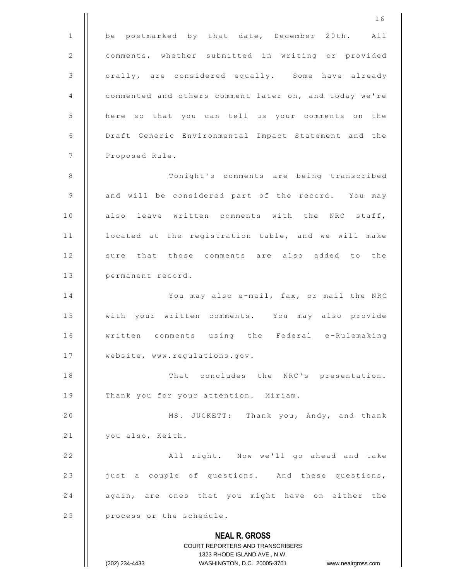**NEAL R. GROSS** COURT REPORTERS AND TRANSCRIBERS 1323 RHODE ISLAND AVE., N.W. (202) 234-4433 WASHINGTON, D.C. 20005-3701 www.nealrgross.com 1 6 1 | be postmarked by that date, December 20th. All 2 | comments, whether submitted in writing or provided 3 | orally, are considered equally. Some have already 4 | commented and others comment later on, and today we're 5 | here so that you can tell us your comments on the 6 | Draft Generic Environmental Impact Statement and the 7 | Proposed Rule. 8 | Tonight's comments are being transcribed 9 | and will be considered part of the record. You may 10 || also leave written comments with the NRC staff, 11 | located at the registration table, and we will make 12 || sure that those comments are also added to the 13 | permanent record. 14 | You may also e-mail, fax, or mail the NRC 15 | with your written comments. You may also provide 16 || written comments using the Federal e-Rulemaking 17 | website, www.requlations.gov. 18 || That concludes the NRC's presentation. 19 | Thank you for your attention. Miriam. 20 | MS. JUCKETT: Thank you, Andy, and thank  $21$  || you also, Keith. 2 2 A l l r i g h t . N o w w e ' l l g o a h e a d a n d t a k e 23 | just a couple of questions. And these questions, 24 || again, are ones that you might have on either the  $25$  | process or the schedule.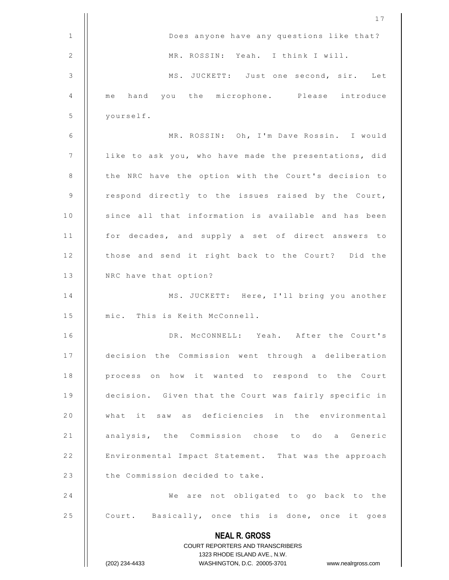|              | 17                                                                                                  |
|--------------|-----------------------------------------------------------------------------------------------------|
| $\mathbf{1}$ | Does anyone have any questions like that?                                                           |
| 2            | MR. ROSSIN: Yeah. I think I will.                                                                   |
| 3            | MS. JUCKETT: Just one second, sir. Let                                                              |
| 4            | hand you the microphone. Please introduce<br>me                                                     |
| 5            | yourself.                                                                                           |
| 6            | MR. ROSSIN: Oh, I'm Dave Rossin. I would                                                            |
| 7            | like to ask you, who have made the presentations, did                                               |
| 8            | the NRC have the option with the Court's decision to                                                |
| 9            | respond directly to the issues raised by the Court,                                                 |
| 10           | since all that information is available and has been                                                |
| 11           | for decades, and supply a set of direct answers to                                                  |
| 12           | those and send it right back to the Court? Did the                                                  |
| 13           | NRC have that option?                                                                               |
| 14           | MS. JUCKETT: Here, I'll bring you another                                                           |
| 15           | mic. This is Keith McConnell.                                                                       |
| 16           | MCCONNELL: Yeah. After the Court's<br>$\Box$ R                                                      |
| 17           | decision the Commission went through a deliberation                                                 |
| 18           | process on how it wanted to respond to the Court                                                    |
| 19           | decision. Given that the Court was fairly specific in                                               |
| 20           | what it saw as deficiencies in the environmental                                                    |
| 21           | analysis, the Commission chose to do a Generic                                                      |
| 22           | Environmental Impact Statement. That was the approach                                               |
| 23           | the Commission decided to take.                                                                     |
| 24           | We are not obligated to go back to the                                                              |
| 25           | Court. Basically, once this is done, once it goes                                                   |
|              | <b>NEAL R. GROSS</b>                                                                                |
|              | <b>COURT REPORTERS AND TRANSCRIBERS</b>                                                             |
|              | 1323 RHODE ISLAND AVE., N.W.<br>(202) 234-4433<br>WASHINGTON, D.C. 20005-3701<br>www.nealrgross.com |
|              |                                                                                                     |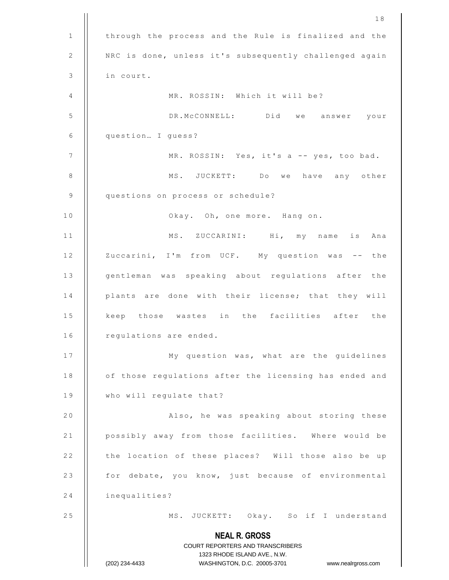|    | 18                                                                  |
|----|---------------------------------------------------------------------|
| 1  | through the process and the Rule is finalized and the               |
| 2  | NRC is done, unless it's subsequently challenged again              |
| 3  | in court.                                                           |
| 4  | MR. ROSSIN: Which it will be?                                       |
| 5  | DR.MCCONNELL: Did we answer your                                    |
| 6  | question I guess?                                                   |
| 7  | MR. ROSSIN: Yes, it's a -- yes, too bad.                            |
| 8  | MS. JUCKETT: Do we have any other                                   |
| 9  | questions on process or schedule?                                   |
| 10 | Okay. Oh, one more. Hang on.                                        |
| 11 | MS. ZUCCARINI: Hi, my name<br>is Ana                                |
| 12 | Zuccarini, I'm from UCF. My question was -- the                     |
| 13 | gentleman was speaking about regulations after the                  |
| 14 | plants are done with their license; that they will                  |
| 15 | keep those wastes in the facilities after the                       |
| 16 | regulations are ended.                                              |
| 17 | My question was, what are the guidelines                            |
| 18 | of those regulations after the licensing has ended and              |
| 19 | who will regulate that?                                             |
| 20 | Also, he was speaking about storing these                           |
| 21 | possibly away from those facilities. Where would be                 |
| 22 | the location of these places? Will those also be up                 |
| 23 | for debate, you know, just because of environmental                 |
| 24 | inequalities?                                                       |
| 25 | MS. JUCKETT: Okay. So if I understand                               |
|    | <b>NEAL R. GROSS</b>                                                |
|    | COURT REPORTERS AND TRANSCRIBERS                                    |
|    | 1323 RHODE ISLAND AVE., N.W.                                        |
|    | WASHINGTON, D.C. 20005-3701<br>(202) 234-4433<br>www.nealrgross.com |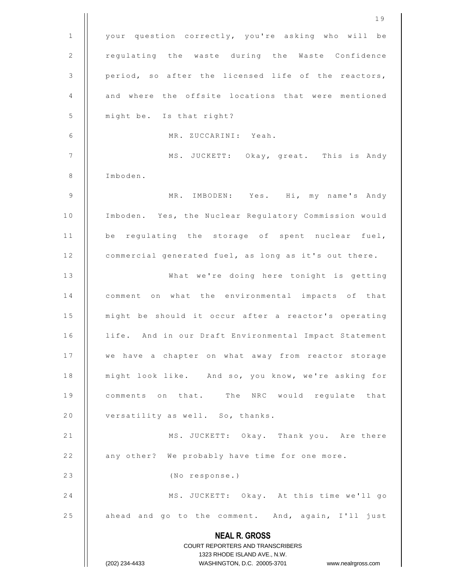|              | 19                                                                  |
|--------------|---------------------------------------------------------------------|
| $\mathbf{1}$ | your question correctly, you're asking who will be                  |
| 2            | regulating the waste during the Waste Confidence                    |
| 3            | period, so after the licensed life of the reactors,                 |
| 4            | and where the offsite locations that were mentioned                 |
| 5            | might be. Is that right?                                            |
| 6            | MR. ZUCCARINI: Yeah.                                                |
| 7            | MS. JUCKETT: Okay, great. This is Andy                              |
| $\,8\,$      | Imboden.                                                            |
| 9            | MR. IMBODEN: Yes. Hi, my name's Andy                                |
| 10           | Imboden. Yes, the Nuclear Regulatory Commission would               |
| 11           | be regulating the storage of spent nuclear fuel,                    |
| 12           | commercial generated fuel, as long as it's out there.               |
| 13           | What we're doing here tonight is getting                            |
| 14           | what the environmental impacts of that<br>comment on                |
| 15           | might be should it occur after a reactor's operating                |
| 16           | life. And in our Draft Environmental Impact Statement               |
| 17           | we have a chapter on what away from reactor storage                 |
| 18           | might look like. And so, you know, we're asking for                 |
| 19           | comments on that. The NRC would regulate that                       |
| 20           | versatility as well. So, thanks.                                    |
| 21           | MS. JUCKETT: Okay. Thank you. Are there                             |
| 22           | any other? We probably have time for one more.                      |
| 23           | (No response.)                                                      |
| 24           | MS. JUCKETT: Okay. At this time we'll go                            |
| 25           | ahead and go to the comment. And, again, I'll just                  |
|              | <b>NEAL R. GROSS</b>                                                |
|              | COURT REPORTERS AND TRANSCRIBERS                                    |
|              | 1323 RHODE ISLAND AVE., N.W.                                        |
|              | (202) 234-4433<br>WASHINGTON, D.C. 20005-3701<br>www.nealrgross.com |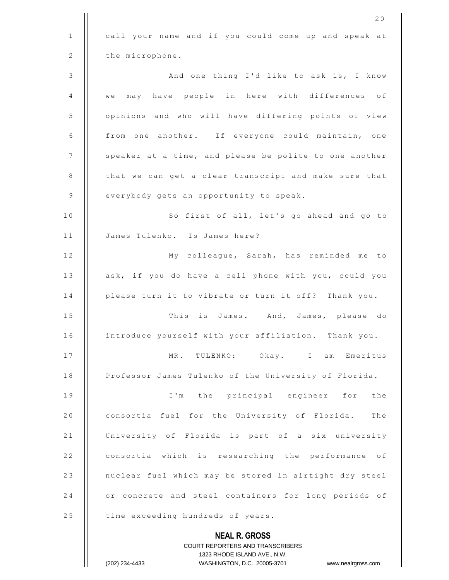|              | 20                                                                  |
|--------------|---------------------------------------------------------------------|
| $\mathbf{1}$ | call your name and if you could come up and speak at                |
| 2            | the microphone.                                                     |
| 3            | And one thing I'd like to ask is, I know                            |
| 4            | may have people in here with differences of<br>we                   |
| 5            | opinions and who will have differing points of view                 |
| 6            | from one another. If everyone could maintain, one                   |
| 7            | speaker at a time, and please be polite to one another              |
| 8            | that we can get a clear transcript and make sure that               |
| 9            | everybody gets an opportunity to speak.                             |
| 10           | So first of all, let's go ahead and go to                           |
| 11           | James Tulenko. Is James here?                                       |
| 12           | My colleague, Sarah, has reminded me to                             |
| 13           | ask, if you do have a cell phone with you, could you                |
| 14           | please turn it to vibrate or turn it off? Thank you.                |
| 15           | This is James. And, James, please do                                |
| 16           | introduce yourself with your affiliation. Thank you.                |
| 17           | MR. TULENKO: Okay. I am Emeritus                                    |
| 18           | Professor James Tulenko of the University of Florida.               |
| 19           | I'm the principal engineer for the                                  |
| 20           | consortia fuel for the University of Florida.<br>The                |
| 21           | University of Florida is part of a six university                   |
| 22           | consortia which is researching the performance of                   |
| 23           | nuclear fuel which may be stored in airtight dry steel              |
| 24           | or concrete and steel containers for long periods of                |
| 25           | time exceeding hundreds of years.                                   |
|              | <b>NEAL R. GROSS</b>                                                |
|              | COURT REPORTERS AND TRANSCRIBERS                                    |
|              | 1323 RHODE ISLAND AVE., N.W.                                        |
|              | WASHINGTON, D.C. 20005-3701<br>(202) 234-4433<br>www.nealrgross.com |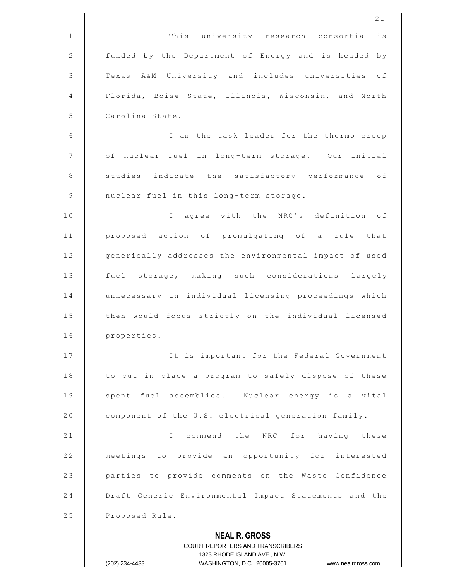|              | 21                                                                            |
|--------------|-------------------------------------------------------------------------------|
| $\mathbf{1}$ | This university research consortia is                                         |
| 2            | funded by the Department of Energy and is headed by                           |
| 3            | Texas A&M University and includes universities of                             |
| 4            | Florida, Boise State, Illinois, Wisconsin, and North                          |
| 5            | Carolina State.                                                               |
| 6            | I am the task leader for the thermo creep                                     |
| 7            | of nuclear fuel in long-term storage. Our initial                             |
| 8            | studies indicate the satisfactory performance of                              |
| 9            | nuclear fuel in this long-term storage.                                       |
| 10           | I agree with the NRC's definition of                                          |
| 11           | proposed action of promulgating of a rule that                                |
| 12           | generically addresses the environmental impact of used                        |
| 13           | fuel storage, making such considerations largely                              |
| 14           | unnecessary in individual licensing proceedings which                         |
| 15           | then would focus strictly on the individual licensed                          |
| 16           | properties.                                                                   |
| 17           | It is important for the Federal Government                                    |
| 18           | to put in place a program to safely dispose of these                          |
| 19           | spent fuel assemblies. Nuclear energy is a vital                              |
| 20           | component of the U.S. electrical generation family.                           |
| 21           | I commend the NRC for having these                                            |
| 22           | meetings to provide an opportunity for interested                             |
| 23           | parties to provide comments on the Waste Confidence                           |
| 24           | Draft Generic Environmental Impact Statements and the                         |
| 25           | Proposed Rule.                                                                |
|              | <b>NEAL R. GROSS</b>                                                          |
|              | <b>COURT REPORTERS AND TRANSCRIBERS</b>                                       |
|              | 1323 RHODE ISLAND AVE., N.W.<br>(202) 234-4433<br>WASHINGTON, D.C. 20005-3701 |
|              | www.nealrgross.com                                                            |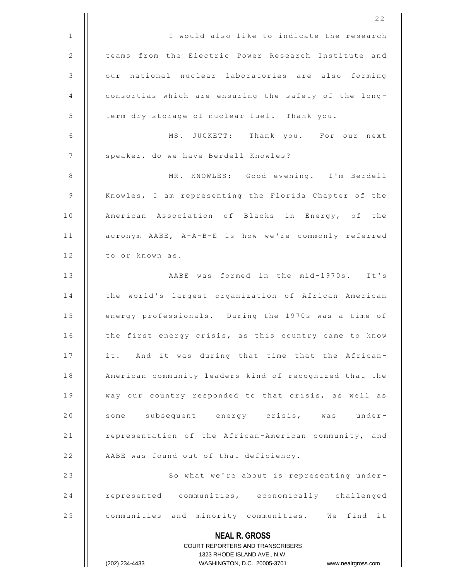|              | 22                                                                      |
|--------------|-------------------------------------------------------------------------|
| $\mathbf{1}$ | I would also like to indicate the research                              |
| 2            | teams from the Electric Power Research Institute and                    |
| 3            | our national nuclear laboratories are also forming                      |
| 4            | consortias which are ensuring the safety of the long-                   |
| 5            | term dry storage of nuclear fuel. Thank you.                            |
| 6            | MS. JUCKETT: Thank you. For our next                                    |
| 7            | speaker, do we have Berdell Knowles?                                    |
| 8            | MR. KNOWLES: Good evening. I'm Berdell                                  |
| 9            | Knowles, I am representing the Florida Chapter of the                   |
| 10           | American Association of Blacks in Energy, of the                        |
| 11           | acronym AABE, A-A-B-E is how we're commonly referred                    |
| 12           | to or known as.                                                         |
| 13           | AABE was formed in the mid-1970s. It's                                  |
| 14           | the world's largest organization of African American                    |
| 15           | energy professionals. During the 1970s was a time of                    |
| 16           | the first energy crisis, as this country came to know                   |
| 17           | it. And it was during that time that the African-                       |
| 18           | American community leaders kind of recognized that the                  |
| 19           | way our country responded to that crisis, as well as                    |
| 20           | some subsequent energy crisis, was under-                               |
| 21           | representation of the African-American community, and                   |
| 22           | AABE was found out of that deficiency.                                  |
| 23           | So what we're about is representing under-                              |
| 24           | represented communities, economically challenged                        |
| 25           | communities and minority communities. We find it                        |
|              | <b>NEAL R. GROSS</b>                                                    |
|              | <b>COURT REPORTERS AND TRANSCRIBERS</b><br>1323 RHODE ISLAND AVE., N.W. |
|              | WASHINGTON, D.C. 20005-3701 www.nealrgross.com<br>(202) 234-4433        |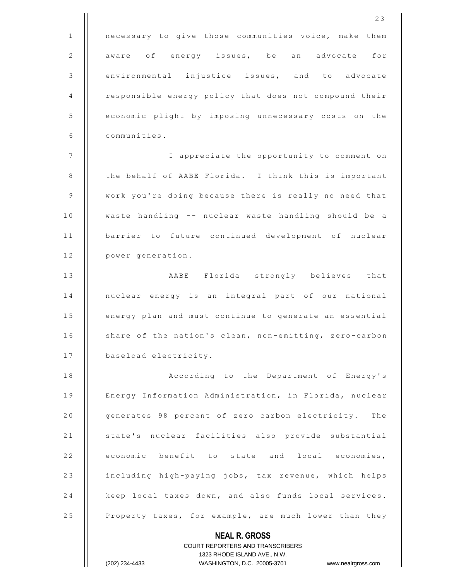|                | 23                                                                                                  |
|----------------|-----------------------------------------------------------------------------------------------------|
| $\mathbf{1}$   | necessary to give those communities voice, make them                                                |
| $\sqrt{2}$     | aware of energy issues, be an advocate for                                                          |
| $\mathsf 3$    | environmental injustice issues, and to advocate                                                     |
| 4              | responsible energy policy that does not compound their                                              |
| $\mathsf S$    | economic plight by imposing unnecessary costs on the                                                |
| 6              | communities.                                                                                        |
| $\overline{7}$ | I appreciate the opportunity to comment on                                                          |
| 8              | the behalf of AABE Florida. I think this is important                                               |
| 9              | work you're doing because there is really no need that                                              |
| 10             | waste handling -- nuclear waste handling should be a                                                |
| 11             | barrier to future continued development of nuclear                                                  |
| 12             | power generation.                                                                                   |
| 13             | AABE Florida strongly believes that                                                                 |
| 14             | nuclear energy is an integral part of our national                                                  |
| 15             | energy plan and must continue to generate an essential                                              |
| 16             | share of the nation's clean, non-emitting, zero-carbon                                              |
| 17             | baseload electricity.                                                                               |
| 18             | According to the Department of Energy's                                                             |
| 19             | Energy Information Administration, in Florida, nuclear                                              |
| 20             | generates 98 percent of zero carbon electricity. The                                                |
| 21             | state's nuclear facilities also provide substantial                                                 |
| 22             | economic benefit to state and local economies,                                                      |
| 23             | including high-paying jobs, tax revenue, which helps                                                |
| 24             | keep local taxes down, and also funds local services.                                               |
| 25             | Property taxes, for example, are much lower than they                                               |
|                | <b>NEAL R. GROSS</b>                                                                                |
|                | <b>COURT REPORTERS AND TRANSCRIBERS</b>                                                             |
|                | 1323 RHODE ISLAND AVE., N.W.<br>(202) 234-4433<br>WASHINGTON, D.C. 20005-3701<br>www.nealrgross.com |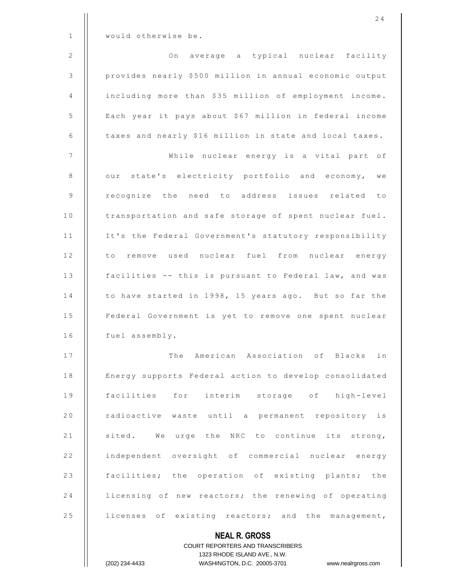|              | 24                                                       |
|--------------|----------------------------------------------------------|
| $\mathbf{1}$ | would otherwise be.                                      |
| 2            | On average a typical nuclear facility                    |
| 3            | provides nearly \$500 million in annual economic output  |
| 4            | including more than \$35 million of employment income.   |
| 5            | Each year it pays about \$67 million in federal income   |
| 6            | taxes and nearly \$16 million in state and local taxes.  |
| 7            | While nuclear energy is a vital part of                  |
| 8            | our state's electricity portfolio and economy, we        |
| $\mathsf 9$  | recognize the need to address issues related to          |
| 10           | transportation and safe storage of spent nuclear fuel.   |
| 11           | It's the Federal Government's statutory responsibility   |
| 12           | to remove used nuclear fuel from nuclear energy          |
| 13           | facilities -- this is pursuant to Federal law, and was   |
| 14           | to have started in 1998, 15 years ago. But so far the    |
| 15           | Federal Government is yet to remove one spent nuclear    |
| 16           | fuel assembly.                                           |
| 17           | The American Association of Blacks in                    |
| 18           | Energy supports Federal action to develop consolidated   |
| 19           | facilities for interim storage of high-level             |
| 20           | radioactive waste until a permanent repository is        |
| 21           | sited. We urge the NRC to continue its strong,           |
| 22           | independent oversight of commercial nuclear energy       |
| 23           | facilities; the operation of existing plants; the        |
| 24           | licensing of new reactors; the renewing of operating     |
| 25           | licenses of existing reactors; and the management,       |
|              | <b>NEAL R. GROSS</b><br>COURT REPORTERS AND TRANSCRIBERS |

1323 RHODE ISLAND AVE., N.W.

 $\prod$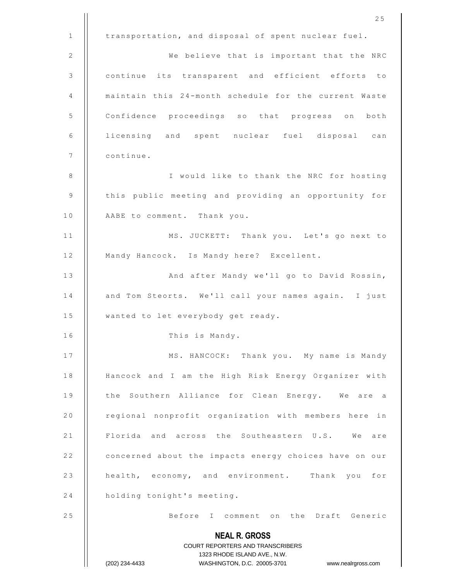|              | 25                                                                  |
|--------------|---------------------------------------------------------------------|
| $\mathbf{1}$ | transportation, and disposal of spent nuclear fuel.                 |
| 2            | We believe that is important that the NRC                           |
| 3            | continue its transparent and efficient efforts to                   |
| 4            | maintain this 24-month schedule for the current Waste               |
| 5            | Confidence proceedings so that progress on both                     |
| 6            | licensing and spent nuclear fuel disposal can                       |
| 7            | continue.                                                           |
| 8            | I would like to thank the NRC for hosting                           |
| 9            | this public meeting and providing an opportunity for                |
| 10           | AABE to comment. Thank you.                                         |
| 11           | MS. JUCKETT: Thank you. Let's go next to                            |
| 12           | Mandy Hancock. Is Mandy here? Excellent.                            |
| 13           | And after Mandy we'll go to David Rossin,                           |
| 14           | and Tom Steorts. We'll call your names again. I just                |
| 15           | wanted to let everybody get ready.                                  |
| 16           | This is Mandy.                                                      |
| 17           | MS. HANCOCK: Thank you. My name is Mandy                            |
| 18           | Hancock and I am the High Risk Energy Organizer with                |
| 19           | the Southern Alliance for Clean Energy. We are a                    |
| 20           | regional nonprofit organization with members here in                |
| 21           | Florida and across the Southeastern U.S. We are                     |
| 22           | concerned about the impacts energy choices have on our              |
| 23           | health, economy, and environment. Thank you for                     |
| 24           | holding tonight's meeting.                                          |
| 25           | Before I comment on the Draft Generic                               |
|              | <b>NEAL R. GROSS</b>                                                |
|              | <b>COURT REPORTERS AND TRANSCRIBERS</b>                             |
|              | 1323 RHODE ISLAND AVE., N.W.                                        |
|              | WASHINGTON, D.C. 20005-3701<br>(202) 234-4433<br>www.nealrgross.com |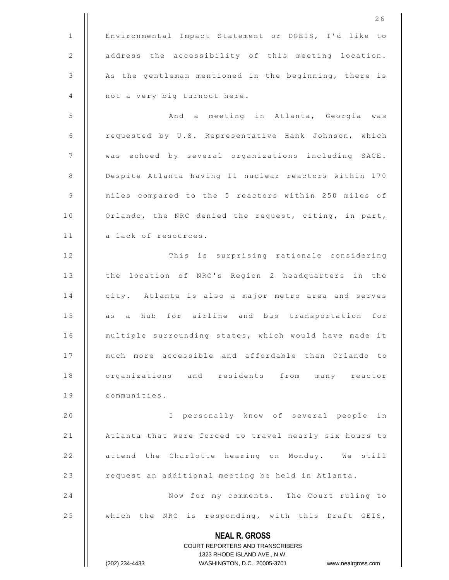**NEAL R. GROSS** COURT REPORTERS AND TRANSCRIBERS 1323 RHODE ISLAND AVE., N.W. (202) 234-4433 WASHINGTON, D.C. 20005-3701 www.nealrgross.com 2 6 1 | Environmental Impact Statement or DGEIS, I'd like to 2 | address the accessibility of this meeting location. 3 | As the gentleman mentioned in the beginning, there is  $4$  | not a very big turnout here. 5 | | And a meeting in Atlanta, Georgia was 6 | requested by U.S. Representative Hank Johnson, which 7 | | was echoed by several organizations including SACE. 8 | Despite Atlanta having 11 nuclear reactors within 170 9 | miles compared to the 5 reactors within 250 miles of 10 | Orlando, the NRC denied the request, citing, in part, 11 | a lack of resources. 12 | This is surprising rationale considering 13 | the location of NRC's Region 2 headquarters in the 14 | city. Atlanta is also a major metro area and serves 15 || as a hub for airline and bus transportation for 16 | multiple surrounding states, which would have made it 17 || much more accessible and affordable than Orlando to 18 | organizations and residents from many reactor 19 | communities. 20 | | I personally know of several people in 21 | Atlanta that were forced to travel nearly six hours to 22 | attend the Charlotte hearing on Monday. We still 23 | request an additional meeting be held in Atlanta. 24 | Now for my comments. The Court ruling to 25 | which the NRC is responding, with this Draft GEIS,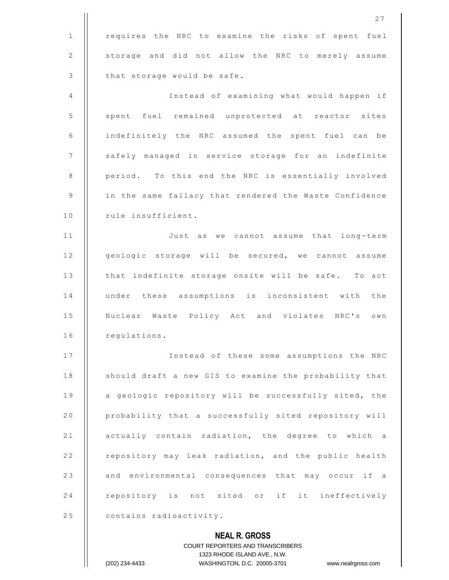|              | 27                                                                  |
|--------------|---------------------------------------------------------------------|
| $\mathbf{1}$ | requires the NRC to examine the risks of spent fuel                 |
| 2            | storage and did not allow the NRC to merely assume                  |
| 3            | that storage would be safe.                                         |
| 4            | Instead of examining what would happen if                           |
| 5            | spent fuel remained unprotected at reactor sites                    |
| 6            | indefinitely the NRC assumed the spent fuel can be                  |
| 7            | safely managed in service storage for an indefinite                 |
| 8            | period. To this end the NRC is essentially involved                 |
| 9            | in the same fallacy that rendered the Waste Confidence              |
| 10           | rule insufficient.                                                  |
| 11           | Just as we cannot assume that<br>long-term                          |
| 12           | geologic storage will be secured, we cannot assume                  |
| 13           | that indefinite storage onsite will be safe. To act                 |
| 14           | under these assumptions is inconsistent with the                    |
| 15           | Nuclear Waste Policy Act and violates NRC's own                     |
| 16           | regulations.                                                        |
| 17           | Instead of these some assumptions the NRC                           |
| 18           | should draft a new GIS to examine the probability that              |
| 19           | a geologic repository will be successfully sited, the               |
| 20           | probability that a successfully sited repository will               |
| 21           | actually contain radiation, the degree to which a                   |
| 22           | repository may leak radiation, and the public health                |
| 23           | and environmental consequences that may occur if a                  |
| 24           | repository is not sited or if it ineffectively                      |
| 25           | contains radioactivity.                                             |
|              | <b>NEAL R. GROSS</b>                                                |
|              | <b>COURT REPORTERS AND TRANSCRIBERS</b>                             |
|              | 1323 RHODE ISLAND AVE., N.W.                                        |
|              | (202) 234-4433<br>WASHINGTON, D.C. 20005-3701<br>www.nealrgross.com |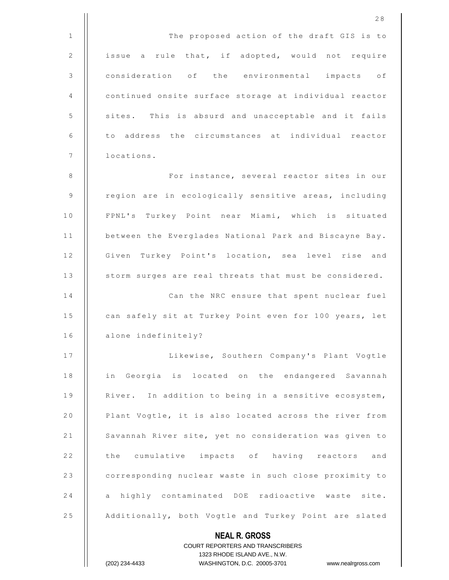|              | 28                                                                  |
|--------------|---------------------------------------------------------------------|
| $\mathbf{1}$ | The proposed action of the draft GIS is to                          |
| 2            | issue a rule that, if adopted, would not require                    |
| $\mathsf 3$  | consideration of the environmental impacts of                       |
| 4            | continued onsite surface storage at individual reactor              |
| 5            | sites. This is absurd and unacceptable and it fails                 |
| 6            | to address the circumstances at individual reactor                  |
| 7            | locations.                                                          |
| 8            | For instance, several reactor sites in our                          |
| 9            | region are in ecologically sensitive areas, including               |
| 10           | FPNL's Turkey Point near Miami, which is situated                   |
| 11           | between the Everglades National Park and Biscayne Bay.              |
| 12           | Given Turkey Point's location, sea level rise and                   |
| 13           | storm surges are real threats that must be considered.              |
| 14           | Can the NRC ensure that spent nuclear fuel                          |
| 15           | can safely sit at Turkey Point even for 100 years, let              |
| 16           | alone indefinitely?                                                 |
| 17           | Likewise, Southern Company's Plant Vogtle                           |
| 18           | in Georgia is located on the endangered Savannah                    |
| 19           | River. In addition to being in a sensitive ecosystem,               |
| 20           | Plant Vogtle, it is also located across the river from              |
| 21           | Savannah River site, yet no consideration was given to              |
| 22           | the cumulative impacts of having reactors and                       |
| 23           | corresponding nuclear waste in such close proximity to              |
| 24           | a highly contaminated DOE radioactive waste site.                   |
| 25           | Additionally, both Vogtle and Turkey Point are slated               |
|              | <b>NEAL R. GROSS</b>                                                |
|              | <b>COURT REPORTERS AND TRANSCRIBERS</b>                             |
|              | 1323 RHODE ISLAND AVE., N.W.                                        |
|              | (202) 234-4433<br>WASHINGTON, D.C. 20005-3701<br>www.nealrgross.com |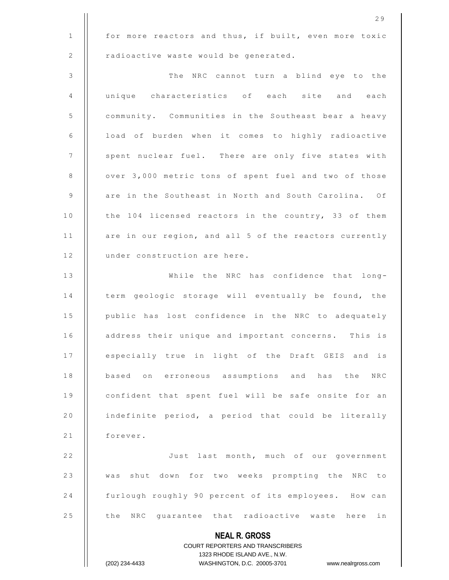**NEAL R. GROSS** COURT REPORTERS AND TRANSCRIBERS 1323 RHODE ISLAND AVE., N.W. (202) 234-4433 WASHINGTON, D.C. 20005-3701 www.nealrgross.com 1 | for more reactors and thus, if built, even more toxic  $2$  | radioactive waste would be generated. 3 | The NRC cannot turn a blind eye to the 4 || unique characteristics of each site and each 5 | community. Communities in the Southeast bear a heavy  $6$  | load of burden when it comes to highly radioactive 7 | spent nuclear fuel. There are only five states with 8 | | over 3,000 metric tons of spent fuel and two of those 9 | are in the Southeast in North and South Carolina. Of 10 | the 104 licensed reactors in the country, 33 of them 11 | are in our region, and all 5 of the reactors currently 12 | under construction are here. 13 || While the NRC has confidence that long-14 | term geologic storage will eventually be found, the 15 | public has lost confidence in the NRC to adequately 16 | address their unique and important concerns. This is 17 | especially true in light of the Draft GEIS and is 18 || based on erroneous assumptions and has the NRC 19 || confident that spent fuel will be safe onsite for an 20  $\parallel$  indefinite period, a period that could be literally 21 | forever. 22 | Just last month, much of our government 23 || was shut down for two weeks prompting the NRC to 24 | furlough roughly 90 percent of its employees. How can 25 | the NRC guarantee that radioactive waste here in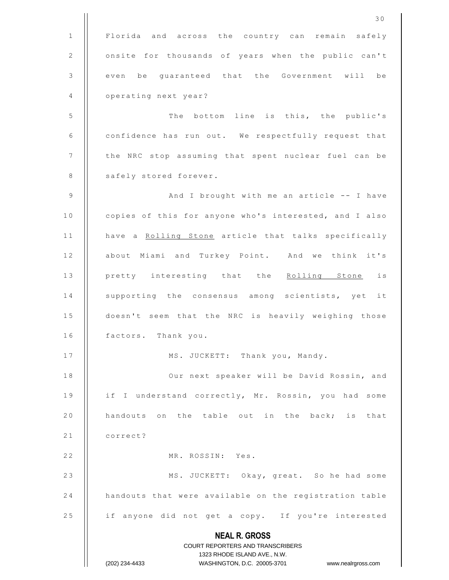**NEAL R. GROSS** COURT REPORTERS AND TRANSCRIBERS 1323 RHODE ISLAND AVE., N.W. (202) 234-4433 WASHINGTON, D.C. 20005-3701 www.nealrgross.com 3 0 1 | Florida and across the country can remain safely 2 | onsite for thousands of years when the public can't 3 || even be quaranteed that the Government will be 4 | operating next year? 5 | The bottom line is this, the public's 6 | confidence has run out. We respectfully request that 7 | | the NRC stop assuming that spent nuclear fuel can be 8 | safely stored forever. 9  $\parallel$  And I brought with me an article -- I have 10 | copies of this for anyone who's interested, and I also 11 | have a Rolling Stone article that talks specifically 12 || about Miami and Turkey Point. And we think it's 13 || pretty interesting that the Rolling Stone is 14 || supporting the consensus among scientists, yet it 15 | doesn't seem that the NRC is heavily weighing those 16 | factors. Thank you. 17 | MS. JUCKETT: Thank you, Mandy. 18 || Our next speaker will be David Rossin, and 19 | if I understand correctly, Mr. Rossin, you had some 20  $\parallel$  handouts on the table out in the back; is that 21 | correct? 22 | MR. ROSSIN: Yes. 23 || MS. JUCKETT: Okay, great. So he had some 24 | handouts that were available on the registration table 25 | if anyone did not get a copy. If you're interested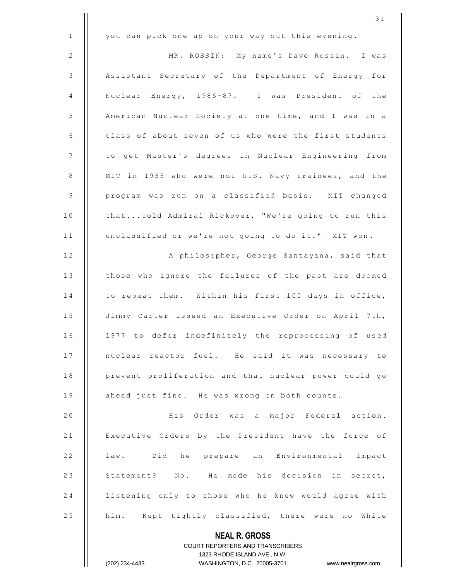|                | 31                                                               |
|----------------|------------------------------------------------------------------|
| $\mathbf{1}$   | you can pick one up on your way out this evening.                |
| 2              | MR. ROSSIN: My name's Dave Rossin. I was                         |
| $\mathfrak{Z}$ | Assistant Secretary of the Department of Energy for              |
| 4              | Nuclear Energy, 1986-87. I was President of the                  |
| $\mathsf S$    | American Nuclear Society at one time, and I was in a             |
| 6              | class of about seven of us who were the first students           |
| 7              | to get Master's degrees in Nuclear Engineering from              |
| 8              | MIT in 1955 who were not U.S. Navy trainees, and the             |
| 9              | program was run on a classified basis. MIT changed               |
| 10             | thattold Admiral Rickover, "We're going to run this              |
| 11             | unclassified or we're not going to do it." MIT won.              |
| 12             | A philosopher, George Santayana, said that                       |
| 13             | those who ignore the failures of the past are doomed             |
| 14             | to repeat them. Within his first 100 days in office,             |
| 15             | Jimmy Carter issued an Executive Order on April 7th,             |
| 16             | 1977 to defer indefinitely the reprocessing of used              |
| 17             | nuclear reactor fuel. He said it was necessary to                |
| 18             | prevent proliferation and that nuclear power could go            |
| 19             | ahead just fine. He was wrong on both counts.                    |
| 20             | His Order was a major Federal action.                            |
| 21             | Executive Orders by the President have the force of              |
| 22             | law. Did he prepare an Environmental Impact                      |
| 23             | Statement? No. He made his decision in secret,                   |
| 24             | listening only to those who he knew would agree with             |
| 25             | him. Kept tightly classified, there were no White                |
|                | <b>NEAL R. GROSS</b>                                             |
|                | <b>COURT REPORTERS AND TRANSCRIBERS</b>                          |
|                | 1323 RHODE ISLAND AVE., N.W.                                     |
|                | (202) 234-4433<br>WASHINGTON, D.C. 20005-3701 www.nealrgross.com |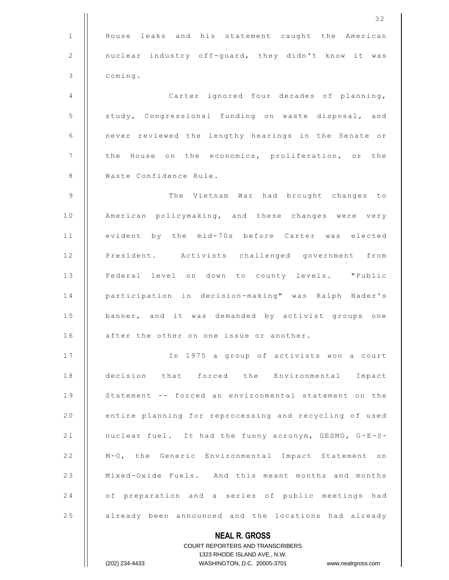|              | 32                                                                  |
|--------------|---------------------------------------------------------------------|
| $\mathbf{1}$ | House leaks and his statement caught the American                   |
| 2            | nuclear industry off-guard, they didn't know it was                 |
| 3            | coming.                                                             |
| 4            | Carter ignored four decades of planning,                            |
| 5            | study, Congressional funding on waste disposal, and                 |
| 6            | never reviewed the lengthy hearings in the Senate or                |
| 7            | the House on the economics, proliferation, or the                   |
| 8            | Waste Confidence Rule.                                              |
| 9            | The Vietnam War had brought changes to                              |
| 10           | American policymaking, and these changes were very                  |
| 11           | evident by the mid-70s before Carter was elected                    |
| 12           | President. Activists challenged government from                     |
| 13           | Federal level on down to county levels. "Public                     |
| 14           | participation in decision-making" was Ralph Nader's                 |
| 15           | banner, and it was demanded by activist groups one                  |
| 16           | after the other on one issue or another.                            |
| 17           | In 1975 a group of activists won a court                            |
| 18           | decision that forced the Environmental<br>Impact                    |
| 19           | Statement -- forced an environmental statement on the               |
| 20           | entire planning for reprocessing and recycling of used              |
| 21           | nuclear fuel. It had the funny acronym, GESMO, G-E-S-               |
| 22           | M-O, the Generic Environmental Impact Statement on                  |
| 23           | Mixed-Oxide Fuels. And this meant months and months                 |
| 24           | of preparation and a series of public meetings had                  |
| 25           | already been announced and the locations had already                |
|              | <b>NEAL R. GROSS</b>                                                |
|              | <b>COURT REPORTERS AND TRANSCRIBERS</b>                             |
|              | 1323 RHODE ISLAND AVE., N.W.                                        |
|              | WASHINGTON, D.C. 20005-3701<br>(202) 234-4433<br>www.nealrgross.com |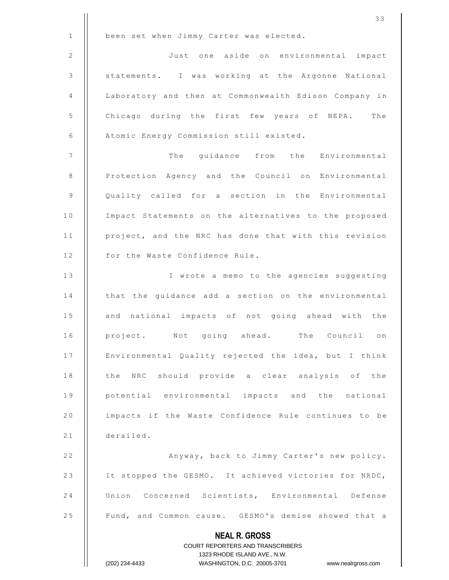|              | 33                                                                                                  |
|--------------|-----------------------------------------------------------------------------------------------------|
| $\mathbf{1}$ | been set when Jimmy Carter was elected.                                                             |
| 2            | Just one aside on environmental impact                                                              |
| 3            | statements. I was working at the Argonne National                                                   |
| 4            | Laboratory and then at Commonwealth Edison Company in                                               |
| 5            | Chicago during the first few years of NEPA. The                                                     |
| 6            | Atomic Energy Commission still existed.                                                             |
| 7            | The guidance from the Environmental                                                                 |
| $\,8\,$      | Protection Agency and the Council on Environmental                                                  |
| 9            | Quality called for a section in the Environmental                                                   |
| 10           | Impact Statements on the alternatives to the proposed                                               |
| 11           | project, and the NRC has done that with this revision                                               |
| 12           | for the Waste Confidence Rule.                                                                      |
| 13           | I wrote a memo to the agencies suggesting                                                           |
| 14           | that the guidance add a section on the environmental                                                |
| 15           | and national impacts of not going ahead with the                                                    |
| 16           | project. Not going ahead. The Council on                                                            |
| 17           | Environmental Quality rejected the idea, but I think                                                |
| 18           | the NRC should provide a clear analysis of the                                                      |
| 19           | potential environmental impacts and the national                                                    |
| 20           | impacts if the Waste Confidence Rule continues to be                                                |
| 21           | derailed.                                                                                           |
| 22           | Anyway, back to Jimmy Carter's new policy.                                                          |
| 23           | It stopped the GESMO. It achieved victories for NRDC,                                               |
| 24           | Union Concerned Scientists, Environmental Defense                                                   |
| 25           | Fund, and Common cause. GESMO's demise showed that a                                                |
|              | <b>NEAL R. GROSS</b>                                                                                |
|              | COURT REPORTERS AND TRANSCRIBERS                                                                    |
|              | 1323 RHODE ISLAND AVE., N.W.<br>(202) 234-4433<br>WASHINGTON, D.C. 20005-3701<br>www.nealrgross.com |
|              |                                                                                                     |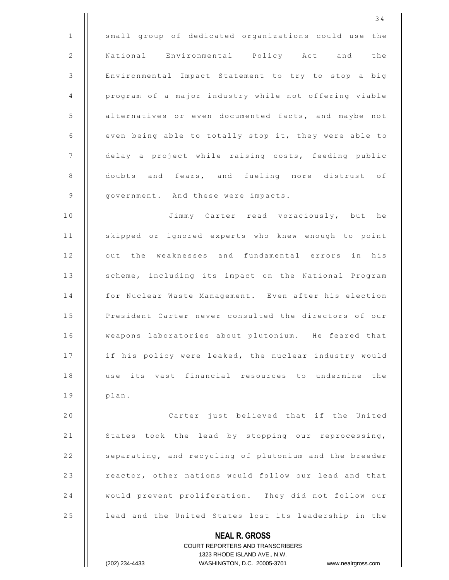|                 | 34                                                                  |
|-----------------|---------------------------------------------------------------------|
| $\mathbf{1}$    | small group of dedicated organizations could use the                |
| 2               | National Environmental Policy Act and the                           |
| 3               | Environmental Impact Statement to try to stop a big                 |
| 4               | program of a major industry while not offering viable               |
| 5               | alternatives or even documented facts, and maybe not                |
| 6               | even being able to totally stop it, they were able to               |
| $7\phantom{.0}$ | delay a project while raising costs, feeding public                 |
| 8               | doubts and fears, and fueling more distrust of                      |
| 9               | government. And these were impacts.                                 |
| 10              | Jimmy Carter read voraciously, but he                               |
| 11              | skipped or ignored experts who knew enough to point                 |
| 12              | out the weaknesses and fundamental errors in his                    |
| 13              | scheme, including its impact on the National Program                |
| 14              | for Nuclear Waste Management. Even after his election               |
| 15              | President Carter never consulted the directors of our               |
| 16              | weapons laboratories about plutonium. He feared that                |
| 17              | if his policy were leaked, the nuclear industry would               |
| 18              | use its vast financial resources to undermine the                   |
| 19              | plan.                                                               |
| 20              | Carter just believed that if the United                             |
| 21              | States took the lead by stopping our reprocessing,                  |
| 22              | separating, and recycling of plutonium and the breeder              |
| 23              | reactor, other nations would follow our lead and that               |
| 24              | would prevent proliferation. They did not follow our                |
| 25              | lead and the United States lost its leadership in the               |
|                 | <b>NEAL R. GROSS</b>                                                |
|                 | <b>COURT REPORTERS AND TRANSCRIBERS</b>                             |
|                 | 1323 RHODE ISLAND AVE., N.W.                                        |
|                 | (202) 234-4433<br>WASHINGTON, D.C. 20005-3701<br>www.nealrgross.com |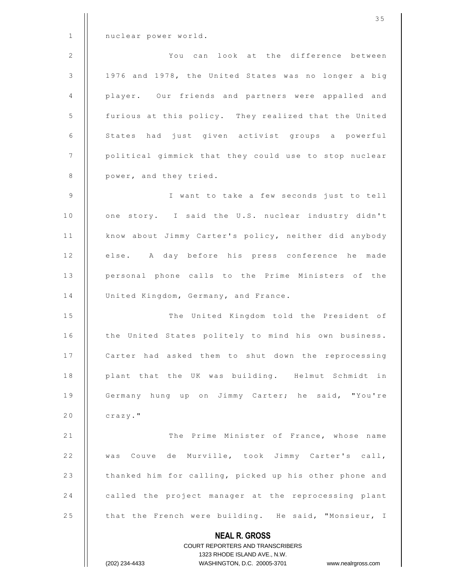|              | 1323 RHODE ISLAND AVE., N.W.<br>(202) 234-4433<br>WASHINGTON, D.C. 20005-3701 www.nealrgross.com |
|--------------|--------------------------------------------------------------------------------------------------|
|              | <b>NEAL R. GROSS</b><br>COURT REPORTERS AND TRANSCRIBERS                                         |
| 25           | that the French were building. He said, "Monsieur, I                                             |
| 24           | called the project manager at the reprocessing plant                                             |
| 23           | thanked him for calling, picked up his other phone and                                           |
| 22           | was Couve de Murville, took Jimmy Carter's call,                                                 |
| 21           | The Prime Minister of France, whose name                                                         |
| 20           | crazy."                                                                                          |
| 19           | Germany hung up on Jimmy Carter; he said, "You're                                                |
| 18           | plant that the UK was building. Helmut Schmidt in                                                |
| 17           | Carter had asked them to shut down the reprocessing                                              |
| 16           | the United States politely to mind his own business.                                             |
| 15           | The United Kingdom told the President of                                                         |
| 14           | United Kingdom, Germany, and France.                                                             |
| 13           | personal phone calls to the Prime Ministers of the                                               |
| 12           | else. A day before his press conference he made                                                  |
| 11           | know about Jimmy Carter's policy, neither did anybody                                            |
| 10           | one story. I said the U.S. nuclear industry didn't                                               |
| 9            | I want to take a few seconds just to tell                                                        |
| 8            | power, and they tried.                                                                           |
| 7            | political gimmick that they could use to stop nuclear                                            |
| 6            | States had just given activist groups a powerful                                                 |
| 5            | furious at this policy. They realized that the United                                            |
| 4            | player. Our friends and partners were appalled and                                               |
| 3            | 1976 and 1978, the United States was no longer a big                                             |
| 2            | You can look at the difference between                                                           |
| $\mathbf{1}$ | nuclear power world.                                                                             |
|              | 35                                                                                               |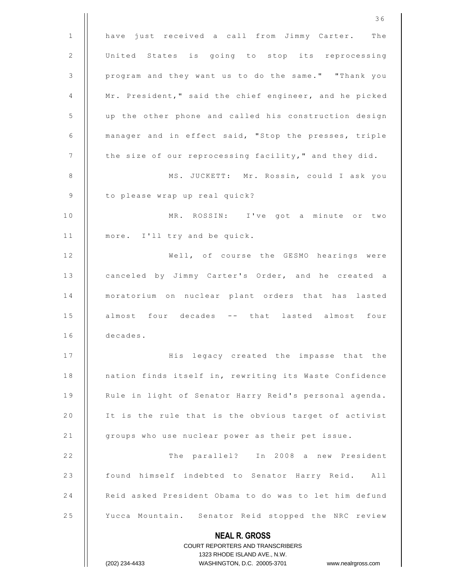| 1  | have just received a call from Jimmy Carter. The                                                    |
|----|-----------------------------------------------------------------------------------------------------|
|    |                                                                                                     |
| 2  | United States is going to stop its reprocessing                                                     |
| 3  | program and they want us to do the same." "Thank you                                                |
| 4  | Mr. President," said the chief engineer, and he picked                                              |
| 5  | up the other phone and called his construction design                                               |
| 6  | manager and in effect said, "Stop the presses, triple                                               |
| 7  | the size of our reprocessing facility," and they did.                                               |
| 8  | MS. JUCKETT: Mr. Rossin, could I ask you                                                            |
| 9  | to please wrap up real quick?                                                                       |
| 10 | MR. ROSSIN: I've got a minute or two                                                                |
| 11 | more. I'll try and be quick.                                                                        |
| 12 | Well, of course the GESMO hearings were                                                             |
| 13 | canceled by Jimmy Carter's Order, and he created a                                                  |
| 14 | moratorium on nuclear plant orders that has lasted                                                  |
| 15 | almost four decades -- that lasted almost four                                                      |
| 16 | decades.                                                                                            |
| 17 | His legacy created the impasse that the                                                             |
| 18 | nation finds itself in, rewriting its Waste Confidence                                              |
| 19 | Rule in light of Senator Harry Reid's personal agenda.                                              |
| 20 | It is the rule that is the obvious target of activist                                               |
| 21 | groups who use nuclear power as their pet issue.                                                    |
| 22 | The parallel? In 2008 a new President                                                               |
| 23 | found himself indebted to Senator Harry Reid. All                                                   |
| 24 | Reid asked President Obama to do was to let him defund                                              |
| 25 | Yucca Mountain. Senator Reid stopped the NRC review                                                 |
|    | <b>NEAL R. GROSS</b>                                                                                |
|    | <b>COURT REPORTERS AND TRANSCRIBERS</b>                                                             |
|    | 1323 RHODE ISLAND AVE., N.W.<br>(202) 234-4433<br>WASHINGTON, D.C. 20005-3701<br>www.nealrgross.com |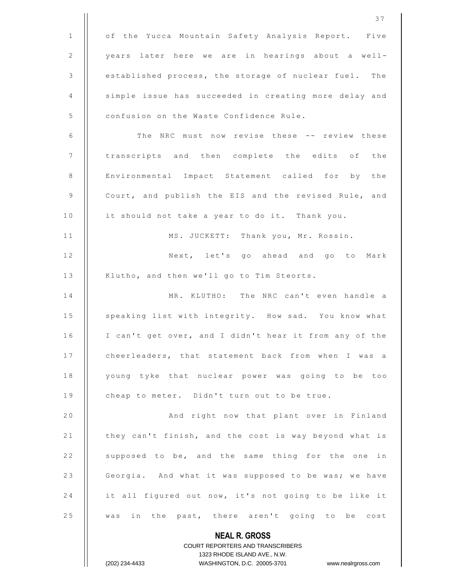**NEAL R. GROSS** COURT REPORTERS AND TRANSCRIBERS 1323 RHODE ISLAND AVE., N.W. 1 | of the Yucca Mountain Safety Analysis Report. Five 2 | years later here we are in hearings about a well-3 | established process, the storage of nuclear fuel. The 4 | simple issue has succeeded in creating more delay and 5 | confusion on the Waste Confidence Rule. 6 | The NRC must now revise these -- review these 7 || transcripts and then complete the edits of the 8 | Environmental Impact Statement called for by the 9 | Court, and publish the EIS and the revised Rule, and 10 | it should not take a year to do it. Thank you. 11 || MS. JUCKETT: Thank you, Mr. Rossin. 12 | Next, let's go ahead and go to Mark 13 | Klutho, and then we'll go to Tim Steorts. 14 || MR, KLUTHO: The NRC can't even handle a 15 | speaking list with integrity. How sad. You know what 16 | I can't get over, and I didn't hear it from any of the 17 | cheerleaders, that statement back from when I was a 18 | young tyke that nuclear power was going to be too 19 | cheap to meter. Didn't turn out to be true. 20 | And right now that plant over in Finland 21 | they can't finish, and the cost is way beyond what is 22 | supposed to be, and the same thing for the one in 23 | Georgia. And what it was supposed to be was; we have 24  $\parallel$  it all figured out now, it's not going to be like it 25 || was in the past, there aren't going to be cost

(202) 234-4433 WASHINGTON, D.C. 20005-3701 www.nealrgross.com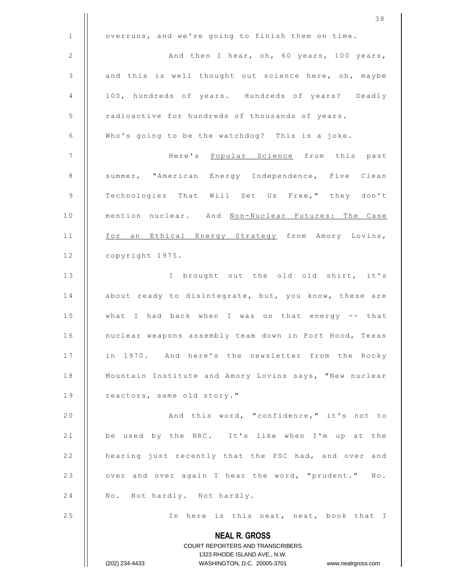|             | 38                                                                                                  |
|-------------|-----------------------------------------------------------------------------------------------------|
| $\mathbf 1$ | overruns, and we're going to finish them on time.                                                   |
| $\sqrt{2}$  | And then I hear, oh, 60 years, 100 years,                                                           |
| 3           | and this is well thought out science here, oh, maybe                                                |
| 4           | 100, hundreds of years. Hundreds of years? Deadly                                                   |
| $\mathsf S$ | radioactive for hundreds of thousands of years.                                                     |
| 6           | Who's going to be the watchdog? This is a joke.                                                     |
| 7           | Here's Popular Science from this past                                                               |
| $\,8\,$     | summer, "American Energy Independence, Five Clean                                                   |
| $\mathsf 9$ | Technologies That Will Set Us Free," they don't                                                     |
| 10          | mention nuclear. And Non-Nuclear Futures: The Case                                                  |
| 11          | for an Ethical Energy Strategy from Amory Lovins,                                                   |
| 12          | copyright 1975.                                                                                     |
| 13          | I brought out the old old shirt, it's                                                               |
| 14          | about ready to disintegrate, but, you know, these are                                               |
| $1\,5$      | what I had back when I was on that energy -- that                                                   |
| 16          | nuclear weapons assembly team down in Fort Hood, Texas                                              |
| 17          | in 1970. And here's the newsletter from the Rocky                                                   |
| 18          | Mountain Institute and Amory Lovins says, "New nuclear                                              |
| 19          | reactors, same old story."                                                                          |
| 20          | And this word, "confidence," it's not to                                                            |
| 21          | be used by the NRC. It's like when I'm up at the                                                    |
| 22          | hearing just recently that the PSC had, and over and                                                |
| 23          | over and over again I hear the word, "prudent." No.                                                 |
| 24          | No. Not hardly. Not hardly.                                                                         |
| 25          | In here is this neat, neat, book that I                                                             |
|             | <b>NEAL R. GROSS</b>                                                                                |
|             | COURT REPORTERS AND TRANSCRIBERS                                                                    |
|             | 1323 RHODE ISLAND AVE., N.W.<br>WASHINGTON, D.C. 20005-3701<br>(202) 234-4433<br>www.nealrgross.com |
|             |                                                                                                     |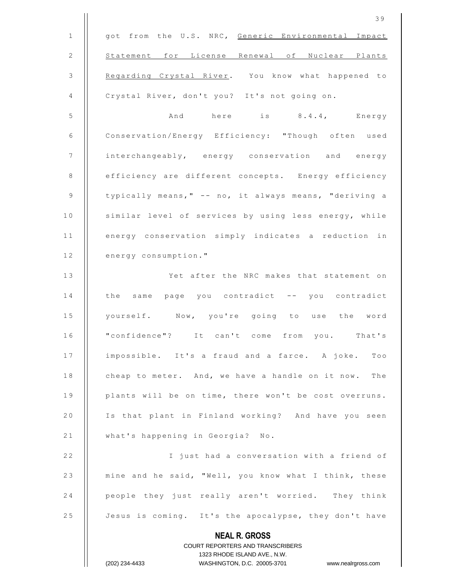|              | 39                                                                  |
|--------------|---------------------------------------------------------------------|
| $\mathbf{1}$ | got from the U.S. NRC, Generic Environmental Impact                 |
| 2            | Statement for License Renewal of Nuclear Plants                     |
| 3            | Regarding Crystal River. You know what happened to                  |
| 4            | Crystal River, don't you? It's not going on.                        |
| 5            | And here is 8.4.4, Energy                                           |
| 6            | Conservation/Energy Efficiency: "Though often used                  |
| 7            | interchangeably, energy conservation and energy                     |
| 8            | efficiency are different concepts. Energy efficiency                |
| 9            | typically means," -- no, it always means, "deriving a               |
| 10           | similar level of services by using less energy, while               |
| 11           | energy conservation simply indicates a reduction in                 |
| 12           | energy consumption."                                                |
| 13           | Yet after the NRC makes that statement on                           |
| 14           | the same page you contradict -- you contradict                      |
| 15           | yourself. Now, you're going to use the word                         |
| 16           | "confidence"? It can't come from you. That's                        |
| 17           | impossible. It's a fraud and a farce. A joke. Too                   |
| 18           | cheap to meter. And, we have a handle on it now. The                |
| 19           | plants will be on time, there won't be cost overruns.               |
| 20           | Is that plant in Finland working? And have you seen                 |
| 21           | what's happening in Georgia? No.                                    |
| 22           | I just had a conversation with a friend of                          |
| 23           | mine and he said, "Well, you know what I think, these               |
| 24           | people they just really aren't worried. They think                  |
| 25           | Jesus is coming. It's the apocalypse, they don't have               |
|              | <b>NEAL R. GROSS</b>                                                |
|              | COURT REPORTERS AND TRANSCRIBERS                                    |
|              | 1323 RHODE ISLAND AVE., N.W.                                        |
|              | WASHINGTON, D.C. 20005-3701<br>(202) 234-4433<br>www.nealrgross.com |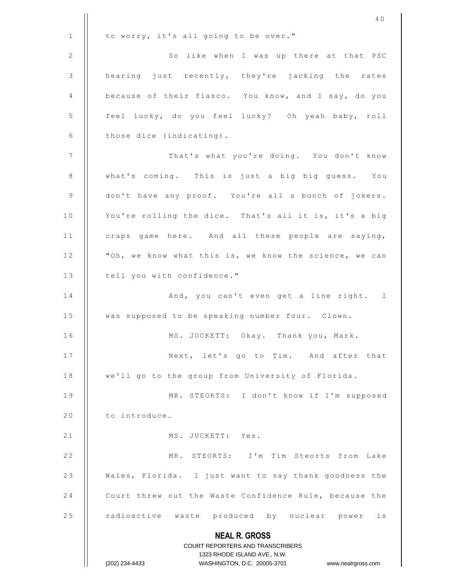|         | 40                                                               |
|---------|------------------------------------------------------------------|
| 1       | to worry, it's all going to be over."                            |
| 2       | So like when I was up there at that PSC                          |
| 3       | hearing just recently, they're jacking the rates                 |
| 4       | because of their fiasco. You know, and I say, do you             |
| 5       | feel lucky, do you feel lucky? Oh yeah baby, roll                |
| 6       | those dice (indicating).                                         |
| 7       | That's what you're doing. You don't know                         |
| $\,8\,$ | what's coming. This is just a big big guess. You                 |
| 9       | don't have any proof. You're all a bunch of jokers.              |
| 10      | You're rolling the dice. That's all it is, it's a big            |
| 11      | craps game here. And all these people are saying,                |
| 12      | "Oh, we know what this is, we know the science, we can           |
| 13      | tell you with confidence."                                       |
| 14      | And, you can't even get a line right. I                          |
| 15      | was supposed to be speaking number four. Clown.                  |
| 16      | MS. JUCKETT: Okay. Thank you, Mark.                              |
| 17      | Next, let's go to Tim. And after that                            |
| 18      | we'll go to the group from University of Florida.                |
| 19      | MR. STEORTS: I don't know if I'm supposed                        |
| 20      | to introduce                                                     |
| 21      | MS. JUCKETT: Yes.                                                |
| 22      | MR. STEORTS: I'm Tim Steorts from Lake                           |
| 23      | Wales, Florida. I just want to say thank goodness the            |
| 24      | Court threw out the Waste Confidence Rule, because the           |
| 25      | radioactive waste produced by nuclear power is                   |
|         | <b>NEAL R. GROSS</b>                                             |
|         | COURT REPORTERS AND TRANSCRIBERS<br>1323 RHODE ISLAND AVE., N.W. |
|         | (202) 234-4433<br>WASHINGTON, D.C. 20005-3701 www.nealrgross.com |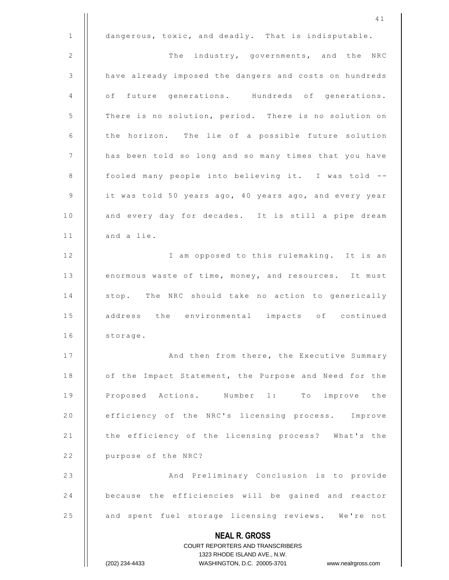**NEAL R. GROSS** COURT REPORTERS AND TRANSCRIBERS 1323 RHODE ISLAND AVE., N.W. (202) 234-4433 WASHINGTON, D.C. 20005-3701 www.nealrgross.com 4 1 1  $\parallel$  dangerous, toxic, and deadly. That is indisputable. 2 | The industry, governments, and the NRC 3 | have already imposed the dangers and costs on hundreds 4 | of future generations. Hundreds of generations. 5 | There is no solution, period. There is no solution on  $6$  | the horizon. The lie of a possible future solution 7 | has been told so long and so many times that you have 8 | fooled many people into believing it. I was told -- $9$  | it was told 50 years ago, 40 years ago, and every year 10 | and every day for decades. It is still a pipe dream  $11$  | and a lie. 12 | I am opposed to this rulemaking. It is an 13 | enormous waste of time, money, and resources. It must 14 | stop. The NRC should take no action to generically 15 || address the environmental impacts of continued  $16$  | storage. 17 | And then from there, the Executive Summary 18 | of the Impact Statement, the Purpose and Need for the 19 || Proposed Actions. Number 1: To improve the 20 | efficiency of the NRC's licensing process. Improve 21 | the efficiency of the licensing process? What's the 22 | purpose of the NRC? 23 | And Preliminary Conclusion is to provide 24 | because the efficiencies will be gained and reactor 25 | and spent fuel storage licensing reviews. We're not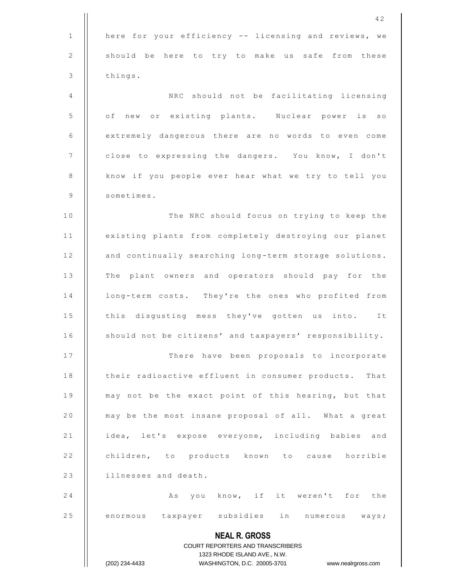|    | 42                                                                                                  |
|----|-----------------------------------------------------------------------------------------------------|
| 1  | here for your efficiency -- licensing and reviews, we                                               |
| 2  | should be here to try to make us safe from these                                                    |
| 3  | things.                                                                                             |
| 4  | NRC should not be facilitating licensing                                                            |
| 5  | of new or existing plants. Nuclear power is so                                                      |
| 6  | extremely dangerous there are no words to even come                                                 |
| 7  | close to expressing the dangers. You know, I don't                                                  |
| 8  | know if you people ever hear what we try to tell you                                                |
| 9  | sometimes.                                                                                          |
| 10 | The NRC should focus on trying to keep the                                                          |
| 11 | existing plants from completely destroying our planet                                               |
| 12 | and continually searching long-term storage solutions.                                              |
| 13 | The plant owners and operators should pay for the                                                   |
| 14 | long-term costs. They're the ones who profited from                                                 |
| 15 | this disgusting mess they've gotten us into. It                                                     |
| 16 | should not be citizens' and taxpayers' responsibility.                                              |
| 17 | There have been proposals to incorporate                                                            |
| 18 | their radioactive effluent in consumer products. That                                               |
| 19 | may not be the exact point of this hearing, but that                                                |
| 20 | may be the most insane proposal of all. What a great                                                |
| 21 | idea, let's expose everyone, including babies and                                                   |
| 22 | children, to products known to cause horrible                                                       |
| 23 | illnesses and death.                                                                                |
| 24 | you know, if it weren't for the<br>Αs                                                               |
| 25 | enormous taxpayer subsidies in numerous ways;                                                       |
|    | <b>NEAL R. GROSS</b>                                                                                |
|    | COURT REPORTERS AND TRANSCRIBERS                                                                    |
|    | 1323 RHODE ISLAND AVE., N.W.<br>(202) 234-4433<br>WASHINGTON, D.C. 20005-3701<br>www.nealrgross.com |
|    |                                                                                                     |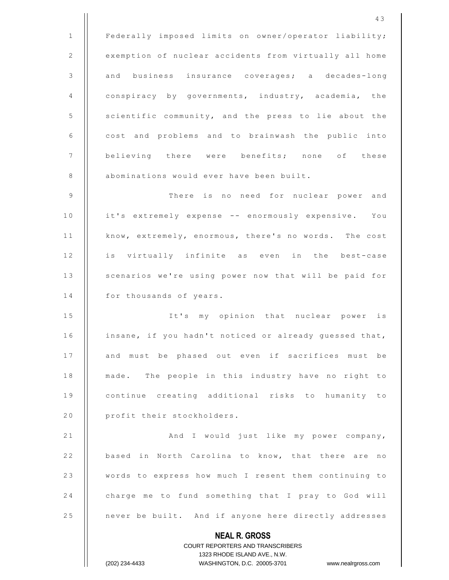**NEAL R. GROSS** COURT REPORTERS AND TRANSCRIBERS 1 | Federally imposed limits on owner/operator liability; 2 | exemption of nuclear accidents from virtually all home 3 || and business insurance coverages; a decades-long 4 | conspiracy by governments, industry, academia, the 5 | scientific community, and the press to lie about the  $6$   $\parallel$  cost and problems and to brainwash the public into 7 || believing there were benefits; none of these 8 | abominations would ever have been built. 9 T h e r e i s n o n e e d f o r n u c l e a r p o w e r a n d 10 | it's extremely expense -- enormously expensive. You 11 | know, extremely, enormous, there's no words. The cost 12 || is virtually infinite as even in the best-case 13 | scenarios we're using power now that will be paid for  $14$  | for thousands of years. 15 || It's my opinion that nuclear power is 16 | insane, if you hadn't noticed or already guessed that, 17 || and must be phased out even if sacrifices must be 18 | made. The people in this industry have no right to 19 || continue creating additional risks to humanity to 20 | profit their stockholders. 2 1 A n d I w o u l d j u s t l i k e m y p o w e r c o m p a n y , 22 | based in North Carolina to know, that there are no 23 | words to express how much I resent them continuing to 24 charge me to fund something that I pray to God will 25 | never be built. And if anyone here directly addresses

1323 RHODE ISLAND AVE., N.W.

(202) 234-4433 WASHINGTON, D.C. 20005-3701 www.nealrgross.com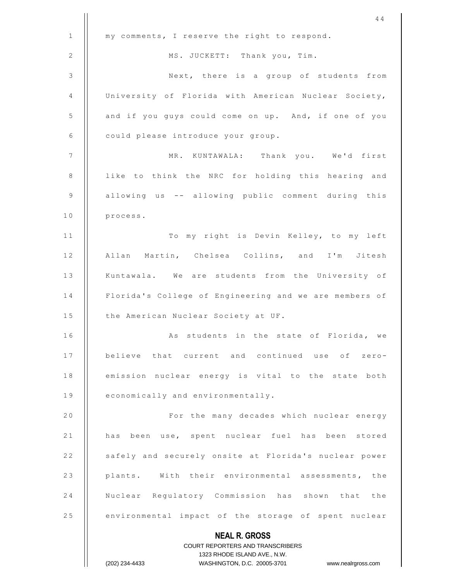|              | 44                                                                                               |
|--------------|--------------------------------------------------------------------------------------------------|
| $\mathbf{1}$ | my comments, I reserve the right to respond.                                                     |
| 2            | MS. JUCKETT: Thank you, Tim.                                                                     |
| 3            | Next, there is a group of students from                                                          |
| 4            | University of Florida with American Nuclear Society,                                             |
| 5            | and if you guys could come on up. And, if one of you                                             |
| 6            | could please introduce your group.                                                               |
| 7            | MR. KUNTAWALA: Thank you. We'd first                                                             |
| 8            | like to think the NRC for holding this hearing and                                               |
| 9            | allowing us -- allowing public comment during this                                               |
| 10           | process.                                                                                         |
| 11           | To my right is Devin Kelley, to my left                                                          |
| 12           | Allan Martin, Chelsea Collins, and I'm Jitesh                                                    |
| 13           | Kuntawala. We are students from the University of                                                |
| 14           | Florida's College of Engineering and we are members of                                           |
| 15           | the American Nuclear Society at UF.                                                              |
| 16           | As students in the state of Florida, we                                                          |
| 17           | believe that current and continued use of zero-                                                  |
| 18           | emission nuclear energy is vital to the state both                                               |
| 19           | economically and environmentally.                                                                |
| 20           | For the many decades which nuclear energy                                                        |
| 21           | has been use, spent nuclear fuel has been stored                                                 |
| 22           | safely and securely onsite at Florida's nuclear power                                            |
| 23           | plants. With their environmental assessments, the                                                |
| 24           | Nuclear Regulatory Commission has shown that the                                                 |
| 25           | environmental impact of the storage of spent nuclear                                             |
|              | <b>NEAL R. GROSS</b>                                                                             |
|              | <b>COURT REPORTERS AND TRANSCRIBERS</b>                                                          |
|              | 1323 RHODE ISLAND AVE., N.W.<br>(202) 234-4433<br>WASHINGTON, D.C. 20005-3701 www.nealrgross.com |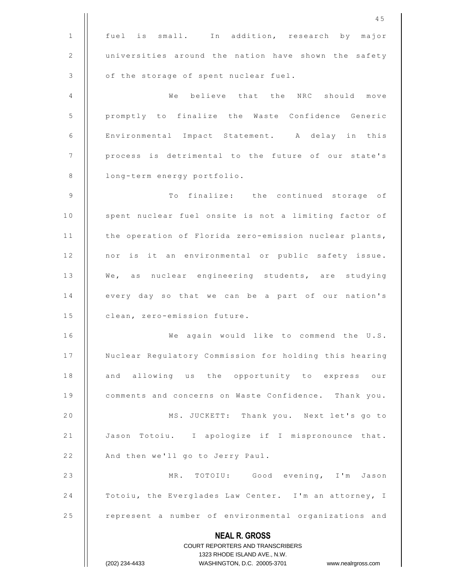|              | COURT REPORTERS AND TRANSCRIBERS<br>1323 RHODE ISLAND AVE., N.W.<br>(202) 234-4433<br>WASHINGTON, D.C. 20005-3701 www.nealrgross.com |
|--------------|--------------------------------------------------------------------------------------------------------------------------------------|
|              | <b>NEAL R. GROSS</b>                                                                                                                 |
| 25           | represent a number of environmental organizations and                                                                                |
| 24           | Totoiu, the Everglades Law Center. I'm an attorney, I                                                                                |
| 23           | MR. TOTOIU: Good evening, I'm Jason                                                                                                  |
| 22           | And then we'll go to Jerry Paul.                                                                                                     |
| 21           | Jason Totoiu. I apologize if I mispronounce that.                                                                                    |
| 20           | MS. JUCKETT: Thank you. Next let's go to                                                                                             |
| 19           | comments and concerns on Waste Confidence. Thank you.                                                                                |
| 18           | and allowing us the opportunity to express our                                                                                       |
| 17           | Nuclear Regulatory Commission for holding this hearing                                                                               |
| 16           | We again would like to commend the U.S.                                                                                              |
| 15           | clean, zero-emission future.                                                                                                         |
| 14           | every day so that we can be a part of our nation's                                                                                   |
| 13           | We, as nuclear engineering students, are studying                                                                                    |
| 12           | nor is it an environmental or public safety issue.                                                                                   |
| 11           | the operation of Florida zero-emission nuclear plants,                                                                               |
| 10           | spent nuclear fuel onsite is not a limiting factor of                                                                                |
| 9            | To finalize: the continued storage of                                                                                                |
| $\,8\,$      | long-term energy portfolio.                                                                                                          |
| 7            | process is detrimental to the future of our state's                                                                                  |
| 6            | Environmental Impact Statement. A delay in this                                                                                      |
| 5            | promptly to finalize the Waste Confidence Generic                                                                                    |
| 4            | We<br>believe that the NRC should move                                                                                               |
| 3            | of the storage of spent nuclear fuel.                                                                                                |
| 2            | universities around the nation have shown the safety                                                                                 |
| $\mathbf{1}$ | In addition, research by major<br>fuel is small.                                                                                     |
|              | 45                                                                                                                                   |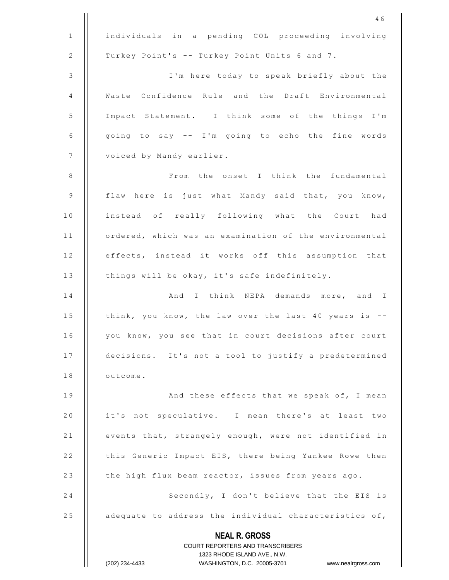|              | 46                                                                                               |
|--------------|--------------------------------------------------------------------------------------------------|
| $\mathbf{1}$ | individuals in a pending COL proceeding involving                                                |
| 2            | Turkey Point's -- Turkey Point Units 6 and 7.                                                    |
| 3            | I'm here today to speak briefly about the                                                        |
| 4            | Waste Confidence Rule and the Draft Environmental                                                |
| 5            | Impact Statement. I think some of the things I'm                                                 |
| 6            | going to say -- I'm going to echo the fine words                                                 |
| 7            | voiced by Mandy earlier.                                                                         |
| 8            | From the onset I think the fundamental                                                           |
| 9            | flaw here is just what Mandy said that, you know,                                                |
| 10           | instead of really following what the Court had                                                   |
| 11           | ordered, which was an examination of the environmental                                           |
| 12           | effects, instead it works off this assumption that                                               |
| 13           | things will be okay, it's safe indefinitely.                                                     |
| 14           | And I think NEPA demands more, and I                                                             |
| 15           | think, you know, the law over the last 40 years is --                                            |
| 16           | you know, you see that in court decisions after court                                            |
| 17           | decisions. It's not a tool to justify a predetermined                                            |
| 18           | outcome.                                                                                         |
| 19           | And these effects that we speak of, I mean                                                       |
| 20           | it's not speculative. I mean there's at least two                                                |
| 21           | events that, strangely enough, were not identified in                                            |
| 22           | this Generic Impact EIS, there being Yankee Rowe then                                            |
| 23           | the high flux beam reactor, issues from years ago.                                               |
| 24           | Secondly, I don't believe that the EIS is                                                        |
| 25           | adequate to address the individual characteristics of,                                           |
|              | <b>NEAL R. GROSS</b><br>COURT REPORTERS AND TRANSCRIBERS                                         |
|              |                                                                                                  |
|              | 1323 RHODE ISLAND AVE., N.W.<br>(202) 234-4433<br>WASHINGTON, D.C. 20005-3701 www.nealrgross.com |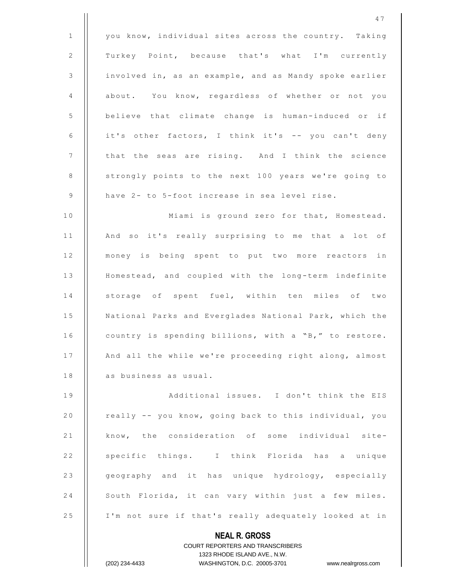|                | 47                                                                  |
|----------------|---------------------------------------------------------------------|
| $\mathbf{1}$   | you know, individual sites across the country. Taking               |
| 2              | Turkey Point, because that's what I'm currently                     |
| $\mathsf 3$    | involved in, as an example, and as Mandy spoke earlier              |
| $\overline{4}$ | about. You know, regardless of whether or not you                   |
| 5              | believe that climate change is human-induced or if                  |
| 6              | it's other factors, I think it's -- you can't deny                  |
| 7              | that the seas are rising. And I think the science                   |
| 8              | strongly points to the next 100 years we're going to                |
| 9              | have 2- to 5-foot increase in sea level rise.                       |
| 10             | Miami is ground zero for that, Homestead.                           |
| 11             | And so it's really surprising to me that a lot of                   |
| 12             | money is being spent to put two more reactors in                    |
| 13             | Homestead, and coupled with the long-term indefinite                |
| 14             | storage of spent fuel, within ten miles of two                      |
| 15             | National Parks and Everglades National Park, which the              |
| 16             | country is spending billions, with a "B," to restore.               |
| 17             | And all the while we're proceeding right along, almost              |
| 18             | as business as usual.                                               |
| 19             | Additional issues. I don't think the EIS                            |
| 20             | really -- you know, going back to this individual, you              |
| 21             | know, the consideration of some individual site-                    |
| 22             | specific things. I think Florida has a unique                       |
| 23             | geography and it has unique hydrology, especially                   |
| 24             | South Florida, it can vary within just a few miles.                 |
| 25             | I'm not sure if that's really adequately looked at in               |
|                | <b>NEAL R. GROSS</b>                                                |
|                | COURT REPORTERS AND TRANSCRIBERS                                    |
|                | 1323 RHODE ISLAND AVE., N.W.                                        |
|                | (202) 234-4433<br>WASHINGTON, D.C. 20005-3701<br>www.nealrgross.com |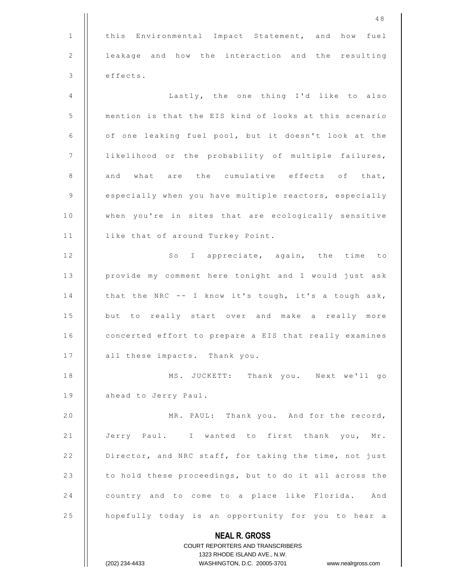|              | 48                                                                                               |
|--------------|--------------------------------------------------------------------------------------------------|
| $\mathbf{1}$ | this<br>Environmental Impact Statement, and how<br>fuel                                          |
| 2            | leakage and how the interaction and the resulting                                                |
| 3            | effects.                                                                                         |
| 4            | Lastly, the one thing I'd like to also                                                           |
| 5            | mention is that the EIS kind of looks at this scenario                                           |
| 6            | of one leaking fuel pool, but it doesn't look at the                                             |
| 7            | likelihood or the probability of multiple failures,                                              |
| $\,8\,$      | and what are the cumulative effects of that,                                                     |
| 9            | especially when you have multiple reactors, especially                                           |
| 10           | when you're in sites that are ecologically sensitive                                             |
| 11           | like that of around Turkey Point.                                                                |
| 12           | So I appreciate, again, the time to                                                              |
| 13           | provide my comment here tonight and I would just ask                                             |
| 14           | that the NRC -- I know it's tough, it's a tough ask,                                             |
| 15           | but to really start over and make a really more                                                  |
| 16           | concerted effort to prepare a EIS that really examines                                           |
| 17           | all these impacts. Thank you.                                                                    |
| 18           | MS. JUCKETT: Thank you. Next we'll go                                                            |
| 19           | ahead to Jerry Paul.                                                                             |
| 20           | MR. PAUL: Thank you. And for the record,                                                         |
| 21           | Jerry Paul. I wanted to first thank you, Mr.                                                     |
| 22           | Director, and NRC staff, for taking the time, not just                                           |
| 23           | to hold these proceedings, but to do it all across the                                           |
| 24           | country and to come to a place like Florida. And                                                 |
| 25           | hopefully today is an opportunity for you to hear a                                              |
|              | <b>NEAL R. GROSS</b>                                                                             |
|              | COURT REPORTERS AND TRANSCRIBERS                                                                 |
|              | 1323 RHODE ISLAND AVE., N.W.<br>(202) 234-4433<br>WASHINGTON, D.C. 20005-3701 www.nealrgross.com |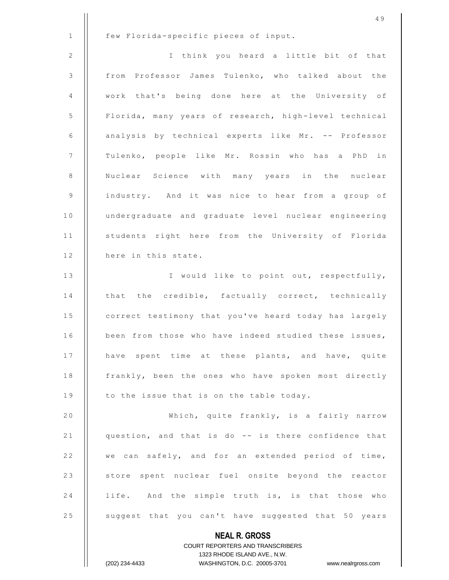|                | 49                                                                  |
|----------------|---------------------------------------------------------------------|
| $\mathbf{1}$   | few Florida-specific pieces of input.                               |
| 2              | I think you heard a little bit of that                              |
| $\mathfrak{Z}$ | from Professor James Tulenko, who talked about the                  |
| 4              | work that's being done here at the University of                    |
| 5              | Florida, many years of research, high-level technical               |
| 6              | analysis by technical experts like Mr. -- Professor                 |
| 7              | Tulenko, people like Mr. Rossin who has a PhD in                    |
| 8              | Nuclear Science with many years in the nuclear                      |
| 9              | industry. And it was nice to hear from a group of                   |
| 10             | undergraduate and graduate level nuclear engineering                |
| 11             | students right here from the University of Florida                  |
| 12             | here in this state.                                                 |
| 13             | I would like to point out, respectfully,                            |
| 14             | that the credible, factually correct, technically                   |
| 15             | correct testimony that you've heard today has largely               |
| 16             | been from those who have indeed studied these issues,               |
| 17             | have spent time at these plants, and have, quite                    |
| 18             | frankly, been the ones who have spoken most directly                |
| 19             | to the issue that is on the table today.                            |
| 20             | Which, quite frankly, is a fairly narrow                            |
| 21             | question, and that is do -- is there confidence that                |
| 22             | we can safely, and for an extended period of time,                  |
| 23             | store spent nuclear fuel onsite beyond the reactor                  |
| 24             | life. And the simple truth is, is that those who                    |
| 25             | suggest that you can't have suggested that 50 years                 |
|                | <b>NEAL R. GROSS</b>                                                |
|                | <b>COURT REPORTERS AND TRANSCRIBERS</b>                             |
|                | 1323 RHODE ISLAND AVE., N.W.                                        |
|                | (202) 234-4433<br>WASHINGTON, D.C. 20005-3701<br>www.nealrgross.com |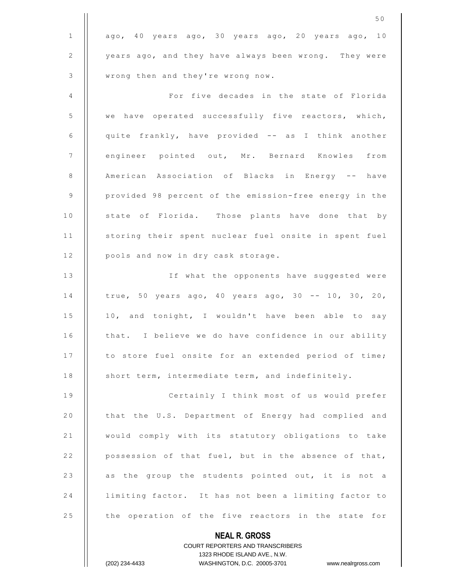|              | 50                                                                                                  |
|--------------|-----------------------------------------------------------------------------------------------------|
| $\mathbf{1}$ | ago, 40 years ago, 30 years ago, 20 years ago, 10                                                   |
| 2            | years ago, and they have always been wrong. They were                                               |
| 3            | wrong then and they're wrong now.                                                                   |
| 4            | For five decades in the state of Florida                                                            |
| 5            | we have operated successfully five reactors, which,                                                 |
| 6            | quite frankly, have provided -- as I think another                                                  |
| 7            | engineer pointed out, Mr. Bernard Knowles from                                                      |
| 8            | American Association of Blacks in Energy -- have                                                    |
| 9            | provided 98 percent of the emission-free energy in the                                              |
| 10           | state of Florida. Those plants have done that by                                                    |
| 11           | storing their spent nuclear fuel onsite in spent fuel                                               |
| 12           | pools and now in dry cask storage.                                                                  |
| 13           | If what the opponents have suggested were                                                           |
| 14           | true, 50 years ago, 40 years ago, 30 -- 10, 30, 20,                                                 |
| 15           | 10, and tonight, I wouldn't have been able to say                                                   |
| 16           | that. I believe we do have confidence in our ability                                                |
| 17           | to store fuel onsite for an extended period of time;                                                |
| 18           | short term, intermediate term, and indefinitely.                                                    |
| 19           | Certainly I think most of us would prefer                                                           |
| 20           | that the U.S. Department of Energy had complied and                                                 |
| 21           | would comply with its statutory obligations to take                                                 |
| 22           | possession of that fuel, but in the absence of that,                                                |
| 23           | as the group the students pointed out, it is not a                                                  |
| 24           | limiting factor. It has not been a limiting factor to                                               |
| 25           | the operation of the five reactors in the state for                                                 |
|              | <b>NEAL R. GROSS</b>                                                                                |
|              | <b>COURT REPORTERS AND TRANSCRIBERS</b>                                                             |
|              | 1323 RHODE ISLAND AVE., N.W.<br>WASHINGTON, D.C. 20005-3701<br>(202) 234-4433<br>www.nealrgross.com |
|              |                                                                                                     |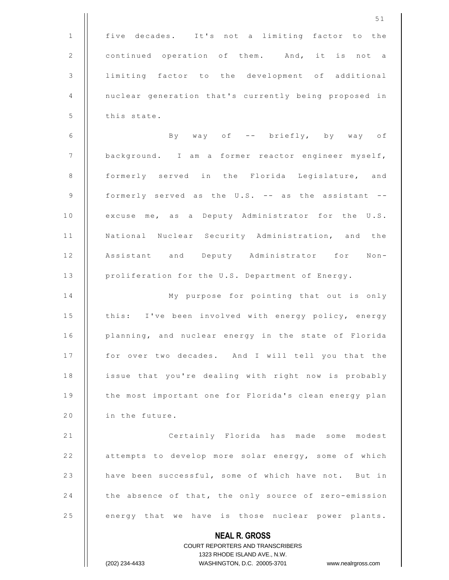**NEAL R. GROSS** COURT REPORTERS AND TRANSCRIBERS 1323 RHODE ISLAND AVE., N.W. 5 1 1 | five decades. It's not a limiting factor to the 2 | continued operation of them. And, it is not a 3 | limiting factor to the development of additional 4 | nuclear generation that's currently being proposed in  $5$  | this state. 6  $\parallel$  By way of -- briefly, by way of 7 | background. I am a former reactor engineer myself, 8 || formerly served in the Florida Legislature, and 9  $\parallel$  formerly served as the U.S. -- as the assistant --10 | excuse me, as a Deputy Administrator for the U.S. 11 | National Nuclear Security Administration, and the 12 || Assistant and Deputy Administrator for Non-13 | proliferation for the U.S. Department of Energy. 14 | My purpose for pointing that out is only 15 | this: I've been involved with energy policy, energy 16 | planning, and nuclear energy in the state of Florida 17 | for over two decades. And I will tell you that the 18 | issue that you're dealing with right now is probably 19 | the most important one for Florida's clean energy plan 20  $\parallel$  in the future. 21 | Certainly Florida has made some modest 22 | attempts to develop more solar energy, some of which 23 | have been successful, some of which have not. But in 24 the absence of that, the only source of zero-emission 25 | energy that we have is those nuclear power plants.

(202) 234-4433 WASHINGTON, D.C. 20005-3701 www.nealrgross.com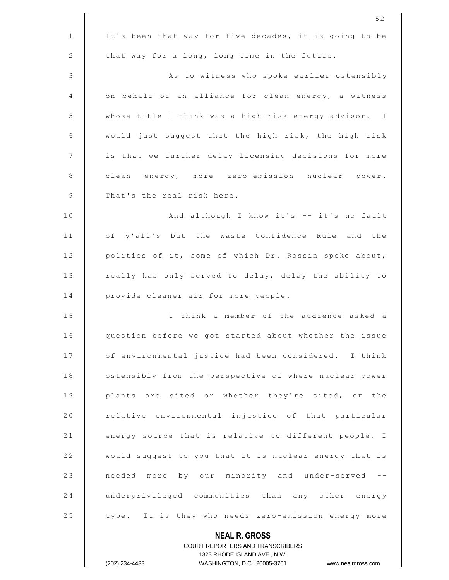|    | 52                                                                  |
|----|---------------------------------------------------------------------|
| 1  | It's been that way for five decades, it is going to be              |
| 2  | that way for a long, long time in the future.                       |
| 3  | As to witness who spoke earlier ostensibly                          |
| 4  | on behalf of an alliance for clean energy, a witness                |
| 5  | whose title I think was a high-risk energy advisor. I               |
| 6  | would just suggest that the high risk, the high risk                |
| 7  | is that we further delay licensing decisions for more               |
| 8  | clean energy, more zero-emission nuclear power.                     |
| 9  | That's the real risk here.                                          |
| 10 | And although I know it's -- it's no fault                           |
| 11 | of y'all's but the Waste Confidence Rule and the                    |
| 12 | politics of it, some of which Dr. Rossin spoke about,               |
| 13 | really has only served to delay, delay the ability to               |
| 14 | provide cleaner air for more people.                                |
| 15 | I think a member of the audience asked a                            |
| 16 | question before we got started about whether the issue              |
| 17 | of environmental justice had been considered. I think               |
| 18 | ostensibly from the perspective of where nuclear power              |
| 19 | plants are sited or whether they're sited, or the                   |
| 20 | relative environmental injustice of that particular                 |
| 21 | energy source that is relative to different people, I               |
| 22 | would suggest to you that it is nuclear energy that is              |
| 23 | needed more by our minority and under-served<br>$ -$                |
| 24 | underprivileged communities than any other energy                   |
| 25 | type. It is they who needs zero-emission energy more                |
|    | <b>NEAL R. GROSS</b>                                                |
|    | <b>COURT REPORTERS AND TRANSCRIBERS</b>                             |
|    | 1323 RHODE ISLAND AVE., N.W.                                        |
|    | (202) 234-4433<br>WASHINGTON, D.C. 20005-3701<br>www.nealrgross.com |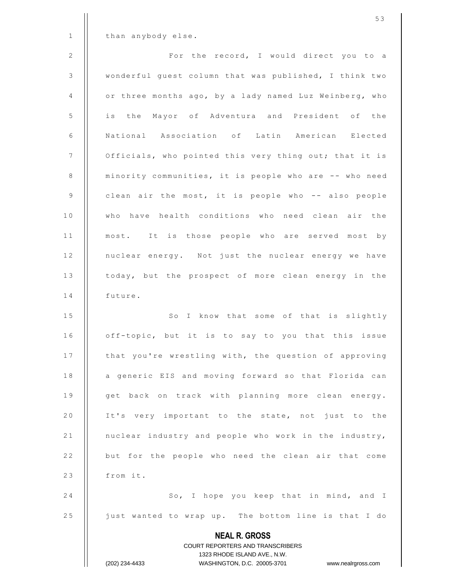**NEAL R. GROSS** COURT REPORTERS AND TRANSCRIBERS 1323 RHODE ISLAND AVE., N.W. (202) 234-4433 WASHINGTON, D.C. 20005-3701 www.nealrgross.com  $1$  | than anybody else. 2 | Ror the record, I would direct you to a 3 | wonderful guest column that was published, I think two 4 | or three months ago, by a lady named Luz Weinberg, who 5 | is the Mayor of Adventura and President of the 6 || National Association of Latin American Elected 7 | Officials, who pointed this very thing out; that it is 8 | minority communities, it is people who are -- who need 9  $\parallel$  clean air the most, it is people who -- also people 10 || who have health conditions who need clean air the 11 || most. It is those people who are served most by 12 | nuclear energy. Not just the nuclear energy we have 13 | today, but the prospect of more clean energy in the 14 | future. 15 | So I know that some of that is slightly 16 | off-topic, but it is to say to you that this issue 17 | that you're wrestling with, the question of approving 18 | a generic EIS and moving forward so that Florida can 19 || get back on track with planning more clean energy. 20 || It's very important to the state, not just to the 21 | nuclear industry and people who work in the industry, 22 | but for the people who need the clean air that come  $23$  || from it. 24 | So, I hope you keep that in mind, and I 25 | just wanted to wrap up. The bottom line is that I do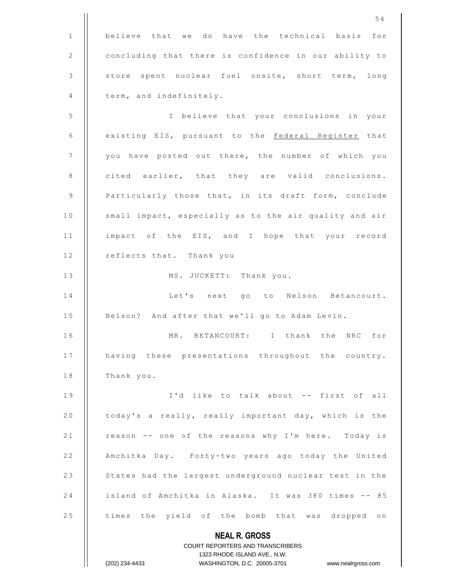**NEAL R. GROSS** COURT REPORTERS AND TRANSCRIBERS 1323 RHODE ISLAND AVE., N.W. 5 4  $1$   $\parallel$  believe that we do have the technical basis for 2 | concluding that there is confidence in our ability to 3 | store spent nuclear fuel onsite, short term, long  $4$  | term, and indefinitely. 5 || I believe that your conclusions in your 6 | existing EIS, pursuant to the Federal Register that 7 || you have posted out there, the number of which you  $8$  | cited earlier, that they are valid conclusions. 9 | Particularly those that, in its draft form, conclude 10 | small impact, especially as to the air quality and air 11 | impact of the EIS, and I hope that your record 12 | reflects that. Thank you 13 | MS. JUCKETT: Thank you. 14 || Let's next go to Nelson Betancourt. 15 | Nelson? And after that we'll go to Adam Levin. 16 || MR. BETANCOURT: I thank the NRC for 17 | having these presentations throughout the country.  $18$  || Thank you. 19  $\parallel$  1'd like to talk about -- first of all 20 | today's a really, really important day, which is the 21 | reason -- one of the reasons why I'm here. Today is 22 | Amchitka Day. Forty-two years ago today the United 23 | States had the largest underground nuclear test in the 24 | island of Amchitka in Alaska. It was 380 times -- 85 25 | times the yield of the bomb that was dropped on

(202) 234-4433 WASHINGTON, D.C. 20005-3701 www.nealrgross.com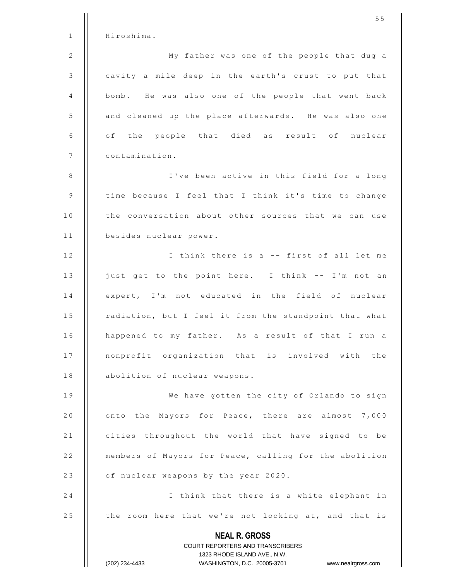|              | 55                                                                  |
|--------------|---------------------------------------------------------------------|
| $\mathbf{1}$ | Hiroshima.                                                          |
| 2            | My father was one of the people that dug a                          |
| 3            | cavity a mile deep in the earth's crust to put that                 |
| 4            | bomb. He was also one of the people that went back                  |
| 5            | and cleaned up the place afterwards. He was also one                |
| 6            | of the people that died as result of nuclear                        |
| 7            | contamination.                                                      |
| 8            | I've been active in this field for a long                           |
| 9            | time because I feel that I think it's time to change                |
| 10           | the conversation about other sources that we can use                |
| 11           | besides nuclear power.                                              |
| 12           | I think there is a -- first of all let me                           |
| 13           | just get to the point here. I think -- I'm not an                   |
| 14           | expert, I'm not educated in the field of nuclear                    |
| 15           | radiation, but I feel it from the standpoint that what              |
| 16           | happened to my father. As a result of that I run a                  |
| 17           | nonprofit organization that is involved with the                    |
| 18           | abolition of nuclear weapons.                                       |
| 19           | We have gotten the city of Orlando to sign                          |
| 20           | onto the Mayors for Peace, there are almost 7,000                   |
| 21           | cities throughout the world that have signed to be                  |
| 22           | members of Mayors for Peace, calling for the abolition              |
| 23           | of nuclear weapons by the year 2020.                                |
| 24           | I think that there is a white elephant in                           |
| 25           | the room here that we're not looking at, and that is                |
|              | <b>NEAL R. GROSS</b><br>COURT REPORTERS AND TRANSCRIBERS            |
|              | 1323 RHODE ISLAND AVE., N.W.                                        |
|              | (202) 234-4433<br>WASHINGTON, D.C. 20005-3701<br>www.nealrgross.com |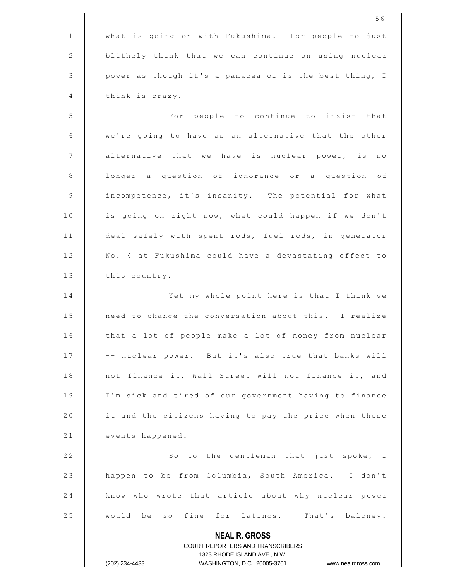1 | what is going on with Fukushima. For people to just 2 | blithely think that we can continue on using nuclear  $3$  | power as though it's a panacea or is the best thing, I  $4$  | think is crazy.

5 | For people to continue to insist that  $6$   $\parallel$  we're going to have as an alternative that the other 7 | alternative that we have is nuclear power, is no 8 | longer a question of ignorance or a question of 9 | incompetence, it's insanity. The potential for what 10 | is going on right now, what could happen if we don't 11 | deal safely with spent rods, fuel rods, in generator 12 | No. 4 at Fukushima could have a devastating effect to  $13$  | this country.

14 || Yet my whole point here is that I think we 15 | need to change the conversation about this. I realize 16 | that a lot of people make a lot of money from nuclear 17 | | -- nuclear power. But it's also true that banks will 18 | not finance it, Wall Street will not finance it, and 19 | I'm sick and tired of our government having to finance 20  $\parallel$  it and the citizens having to pay the price when these 21 | events happened.

22 | So to the gentleman that just spoke, I 23 | happen to be from Columbia, South America. I don't 24 | know who wrote that article about why nuclear power 25 || would be so fine for Latinos. That's baloney.

> **NEAL R. GROSS** COURT REPORTERS AND TRANSCRIBERS 1323 RHODE ISLAND AVE., N.W. (202) 234-4433 WASHINGTON, D.C. 20005-3701 www.nealrgross.com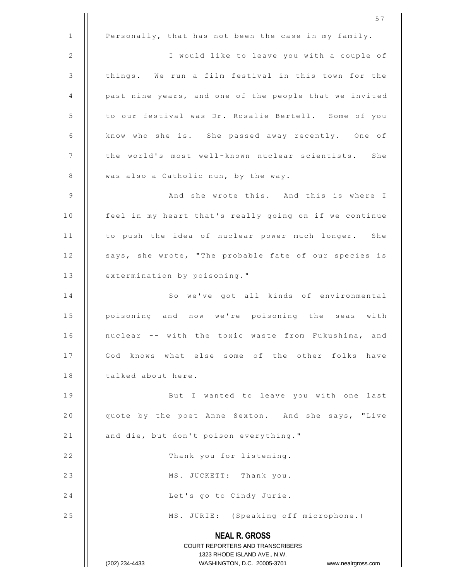**NEAL R. GROSS** COURT REPORTERS AND TRANSCRIBERS 1323 RHODE ISLAND AVE., N.W. (202) 234-4433 WASHINGTON, D.C. 20005-3701 www.nealrgross.com 5 7 1 | Personally, that has not been the case in my family. 2 | | I would like to leave you with a couple of  $3$  | things. We run a film festival in this town for the 4 | past nine years, and one of the people that we invited 5 | to our festival was Dr. Rosalie Bertell. Some of you 6 | know who she is. She passed away recently. One of 7 | | the world's most well-known nuclear scientists. She 8 | was also a Catholic nun, by the way. 9 || And she wrote this. And this is where I 10 | feel in my heart that's really going on if we continue 11 | to push the idea of nuclear power much longer. She 12 | says, she wrote, "The probable fate of our species is 13 | extermination by poisoning." 14 || So we've got all kinds of environmental 15 | poisoning and now we're poisoning the seas with 16 | nuclear -- with the toxic waste from Fukushima, and 17 || God knows what else some of the other folks have 18 | talked about here. 19 || But I wanted to leave you with one last 20 | quote by the poet Anne Sexton. And she says, "Live 21  $\parallel$  and die, but don't poison everything." 22 | Thank you for listening. 23 | MS. JUCKETT: Thank you. 24 | Let's go to Cindy Jurie. 25 | MS. JURIE: (Speaking off microphone.)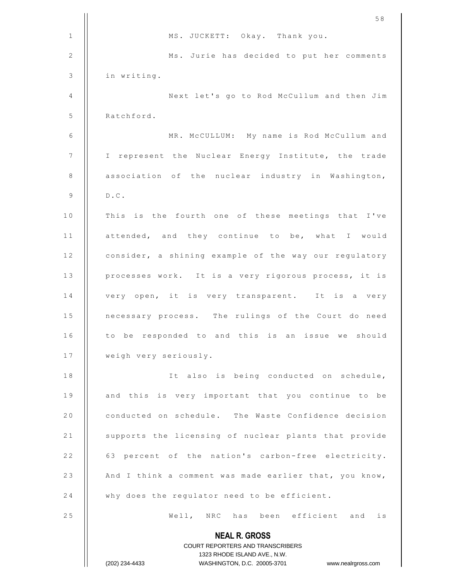|              | 58                                                                                                  |
|--------------|-----------------------------------------------------------------------------------------------------|
| 1            | MS. JUCKETT: Okay. Thank you.                                                                       |
| $\mathbf{2}$ | Ms. Jurie has decided to put her comments                                                           |
| 3            | in writing.                                                                                         |
| 4            | Next let's go to Rod McCullum and then Jim                                                          |
| 5            | Ratchford.                                                                                          |
| 6            | MR. MCCULLUM: My name is Rod McCullum and                                                           |
| 7            | I represent the Nuclear Energy Institute, the trade                                                 |
| 8            | association of the nuclear industry in Washington,                                                  |
| 9            | $D$ . $C$ .                                                                                         |
| 10           | This is the fourth one of these meetings that I've                                                  |
| 11           | attended, and they continue to be, what I would                                                     |
| 12           | consider, a shining example of the way our regulatory                                               |
| 13           | processes work. It is a very rigorous process, it is                                                |
| 14           | very open, it is very transparent. It is a very                                                     |
| 15           | necessary process. The rulings of the Court do need                                                 |
| 16           | to be responded to and this is an issue we should                                                   |
| 17           | weigh very seriously.                                                                               |
| 18           | It also is being conducted on schedule,                                                             |
| 19           | and this is very important that you continue to be                                                  |
| 20           | conducted on schedule. The Waste Confidence decision                                                |
| 21           | supports the licensing of nuclear plants that provide                                               |
| 22           | 63 percent of the nation's carbon-free electricity.                                                 |
| 23           | And I think a comment was made earlier that, you know,                                              |
| 24           | why does the regulator need to be efficient.                                                        |
| 25           | Well, NRC has been efficient and is                                                                 |
|              | <b>NEAL R. GROSS</b>                                                                                |
|              | <b>COURT REPORTERS AND TRANSCRIBERS</b>                                                             |
|              | 1323 RHODE ISLAND AVE., N.W.<br>WASHINGTON, D.C. 20005-3701<br>(202) 234-4433<br>www.nealrgross.com |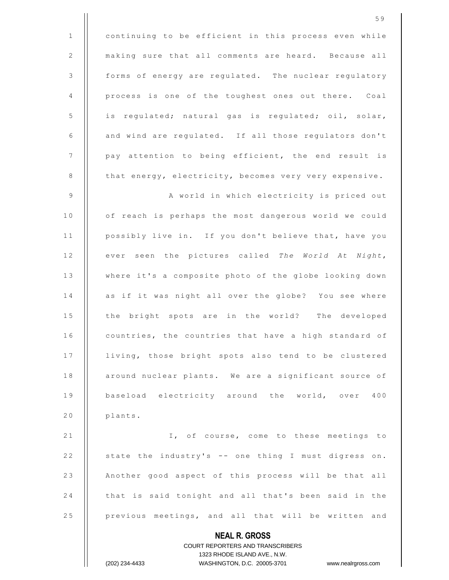|              | 59                                                                  |
|--------------|---------------------------------------------------------------------|
| $\mathbf{1}$ | continuing to be efficient in this process even while               |
| 2            | making sure that all comments are heard. Because all                |
| $\mathsf 3$  | forms of energy are regulated. The nuclear regulatory               |
| 4            | process is one of the toughest ones out there. Coal                 |
| $\mathsf S$  | is regulated; natural gas is regulated; oil, solar,                 |
| 6            | and wind are regulated. If all those regulators don't               |
| 7            | pay attention to being efficient, the end result is                 |
| 8            | that energy, electricity, becomes very very expensive.              |
| 9            | A world in which electricity is priced out                          |
| 10           | of reach is perhaps the most dangerous world we could               |
| 11           | possibly live in. If you don't believe that, have you               |
| 12           | ever seen the pictures called The World At Night,                   |
| 13           | where it's a composite photo of the globe looking down              |
| 14           | as if it was night all over the globe? You see where                |
| 15           | the bright spots are in the world? The developed                    |
| 16           | countries, the countries that have a high standard of               |
| 17           | living, those bright spots also tend to be clustered                |
| 18           | around nuclear plants. We are a significant source of               |
| 19           | baseload electricity around the world, over 400                     |
| $2\,0$       | plants.                                                             |
| 21           | I, of course, come to these meetings to                             |
| 22           | state the industry's -- one thing I must digress on.                |
| 23           | Another good aspect of this process will be that all                |
| 24           | that is said tonight and all that's been said in the                |
| 25           | previous meetings, and all that will be written and                 |
|              | <b>NEAL R. GROSS</b>                                                |
|              | COURT REPORTERS AND TRANSCRIBERS                                    |
|              | 1323 RHODE ISLAND AVE., N.W.                                        |
|              | (202) 234-4433<br>WASHINGTON, D.C. 20005-3701<br>www.nealrgross.com |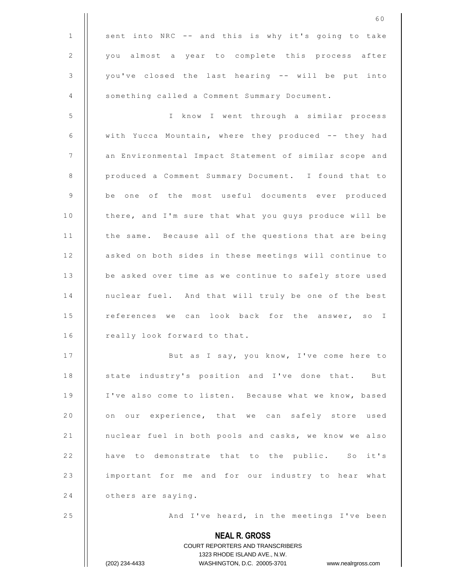|                | 60                                                                                                  |
|----------------|-----------------------------------------------------------------------------------------------------|
| 1              | sent into NRC -- and this is why it's going to take                                                 |
| $\overline{2}$ | you almost a year to complete this process after                                                    |
| 3              | you've closed the last hearing -- will be put into                                                  |
| 4              | something called a Comment Summary Document.                                                        |
| 5              | I know I went through a similar process                                                             |
| 6              | with Yucca Mountain, where they produced -- they had                                                |
| 7              | an Environmental Impact Statement of similar scope and                                              |
| 8              | produced a Comment Summary Document. I found that to                                                |
| 9              | be one of the most useful documents ever produced                                                   |
| 10             | there, and I'm sure that what you guys produce will be                                              |
| 11             | the same. Because all of the questions that are being                                               |
| 12             | asked on both sides in these meetings will continue to                                              |
| 13             | be asked over time as we continue to safely store used                                              |
| 14             | nuclear fuel. And that will truly be one of the best                                                |
| 15             | references we can look back for the answer, so I                                                    |
| 16             | really look forward to that.                                                                        |
| 17             | But as I say, you know, I've come here to                                                           |
| 18             | state industry's position and I've done that. But                                                   |
| 19             | I've also come to listen. Because what we know, based                                               |
| 20             | on our experience, that we can safely store used                                                    |
| 21             | nuclear fuel in both pools and casks, we know we also                                               |
| 22             | have to demonstrate that to the public. So it's                                                     |
| 23             | important for me and for our industry to hear what                                                  |
| 24             | others are saying.                                                                                  |
| 25             | And I've heard, in the meetings I've been                                                           |
|                | <b>NEAL R. GROSS</b>                                                                                |
|                | COURT REPORTERS AND TRANSCRIBERS                                                                    |
|                | 1323 RHODE ISLAND AVE., N.W.<br>(202) 234-4433<br>WASHINGTON, D.C. 20005-3701<br>www.nealrgross.com |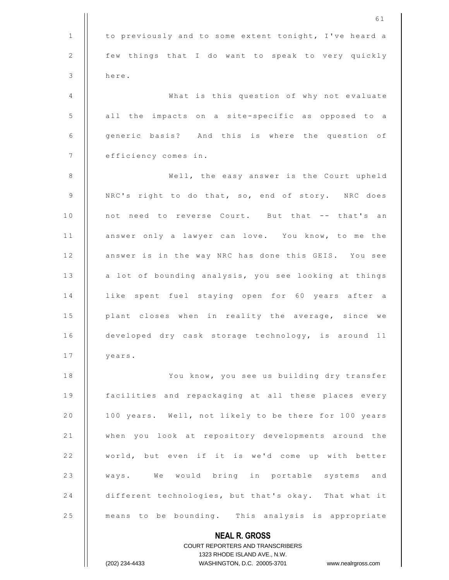| 3  | here.                                                 |
|----|-------------------------------------------------------|
| 4  | What is this question of why not evaluate             |
| 5  | all the impacts on a site-specific as opposed to a    |
| 6  | generic basis? And this is where the question of      |
| 7  | efficiency comes in.                                  |
| 8  | Well, the easy answer is the Court upheld             |
| 9  | NRC's right to do that, so, end of story. NRC does    |
| 10 | not need to reverse Court. But that -- that's an      |
| 11 | answer only a lawyer can love. You know, to me the    |
| 12 | answer is in the way NRC has done this GEIS. You see  |
| 13 | a lot of bounding analysis, you see looking at things |
| 14 | like spent fuel staying open for 60 years after a     |
| 15 | plant closes when in reality the average, since we    |
| 16 | developed dry cask storage technology, is around 11   |
| 17 | years.                                                |
| 18 | You know, you see us building dry transfer            |
| 19 | facilities and repackaging at all these places every  |
| 20 | 100 years. Well, not likely to be there for 100 years |
| 21 | when you look at repository developments around the   |
| 22 | world, but even if it is we'd come up with better     |
| 23 | ways. We would bring in portable systems and          |
| 24 | different technologies, but that's okay. That what it |
| 25 | means to be bounding. This analysis is appropriate    |
|    | <b>NEAL R. GROSS</b>                                  |
|    |                                                       |

COURT REPORTERS AND TRANSCRIBERS 1323 RHODE ISLAND AVE., N.W. (202) 234-4433 WASHINGTON, D.C. 20005-3701 www.nealrgross.com

 $\mathsf{I}$ 

 $\prod$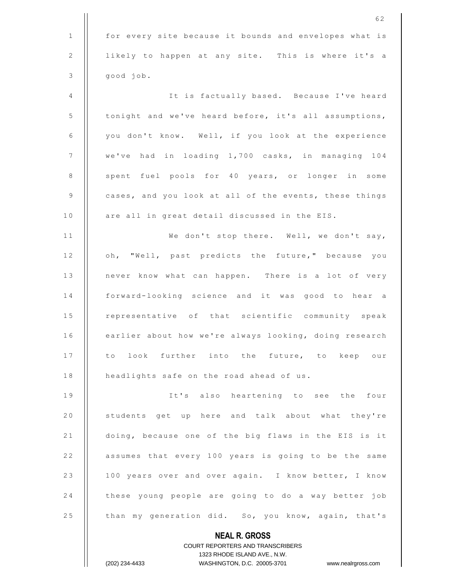|              | 62                                                                  |
|--------------|---------------------------------------------------------------------|
| $\mathbf{1}$ | for every site because it bounds and envelopes what is              |
| 2            | likely to happen at any site. This is where it's a                  |
| 3            | good job.                                                           |
| 4            | It is factually based. Because I've heard                           |
| $\mathsf S$  | tonight and we've heard before, it's all assumptions,               |
| 6            | you don't know. Well, if you look at the experience                 |
| 7            | we've had in loading 1,700 casks, in managing 104                   |
| 8            | spent fuel pools for 40 years, or longer in some                    |
| 9            | cases, and you look at all of the events, these things              |
| 10           | are all in great detail discussed in the EIS.                       |
| 11           | We don't stop there. Well, we don't say,                            |
| 12           | oh, "Well, past predicts the future," because you                   |
| 13           | never know what can happen. There is a lot of very                  |
| 14           | forward-looking science and it was good to hear a                   |
| 15           | representative of that scientific community speak                   |
| 16           | earlier about how we're always looking, doing research              |
| 17           | to look further into the future, to keep our                        |
| 18           | headlights safe on the road ahead of us.                            |
| 19           | It's also heartening to see the four                                |
|              | students get up here and talk about what they're                    |
| 20           |                                                                     |
| 21           | doing, because one of the big flaws in the EIS is it                |
| 22           | assumes that every 100 years is going to be the same                |
| 23           | 100 years over and over again. I know better, I know                |
| 24           | these young people are going to do a way better job                 |
| 25           | than my generation did. So, you know, again, that's                 |
|              | <b>NEAL R. GROSS</b>                                                |
|              | <b>COURT REPORTERS AND TRANSCRIBERS</b>                             |
|              | 1323 RHODE ISLAND AVE., N.W.                                        |
|              | (202) 234-4433<br>WASHINGTON, D.C. 20005-3701<br>www.nealrgross.com |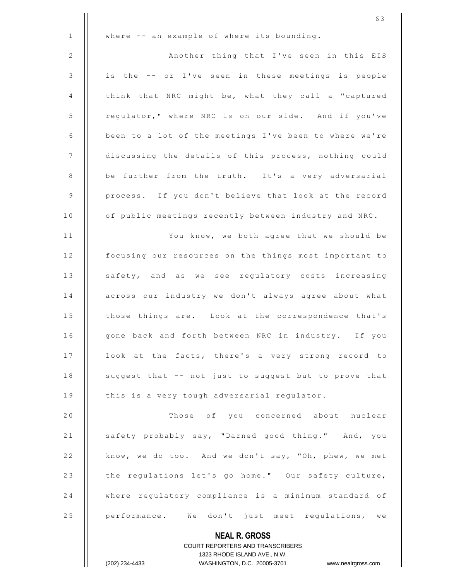|                | 63                                                                                               |
|----------------|--------------------------------------------------------------------------------------------------|
| $\mathbf{1}$   | where -- an example of where its bounding.                                                       |
| $\mathbf{2}$   | Another thing that I've seen in this EIS                                                         |
| $\mathfrak{Z}$ | is the -- or I've seen in these meetings is people                                               |
| 4              | think that NRC might be, what they call a "captured                                              |
| 5              | regulator," where NRC is on our side. And if you've                                              |
| 6              | been to a lot of the meetings I've been to where we're                                           |
| 7              | discussing the details of this process, nothing could                                            |
| 8              | be further from the truth. It's a very adversarial                                               |
| 9              | process. If you don't believe that look at the record                                            |
| 10             | of public meetings recently between industry and NRC.                                            |
| 11             | You know, we both agree that we should be                                                        |
| 12             | focusing our resources on the things most important to                                           |
| 13             | safety, and as we see regulatory costs increasing                                                |
| 14             | across our industry we don't always agree about what                                             |
| 15             | those things are. Look at the correspondence that's                                              |
| 16             | gone back and forth between NRC in industry. If you                                              |
| 17             | look at the facts, there's a very strong record to                                               |
| 18             | suggest that -- not just to suggest but to prove that                                            |
| 19             | this is a very tough adversarial regulator.                                                      |
| 20             | Those of you concerned about nuclear                                                             |
| 21             | safety probably say, "Darned good thing." And, you                                               |
| 22             | know, we do too. And we don't say, "Oh, phew, we met                                             |
| 23             | the regulations let's go home." Our safety culture,                                              |
| 24             | where regulatory compliance is a minimum standard of                                             |
| 25             | performance. We don't just meet regulations, we                                                  |
|                | <b>NEAL R. GROSS</b>                                                                             |
|                | COURT REPORTERS AND TRANSCRIBERS                                                                 |
|                | 1323 RHODE ISLAND AVE., N.W.<br>WASHINGTON, D.C. 20005-3701 www.nealrgross.com<br>(202) 234-4433 |
|                |                                                                                                  |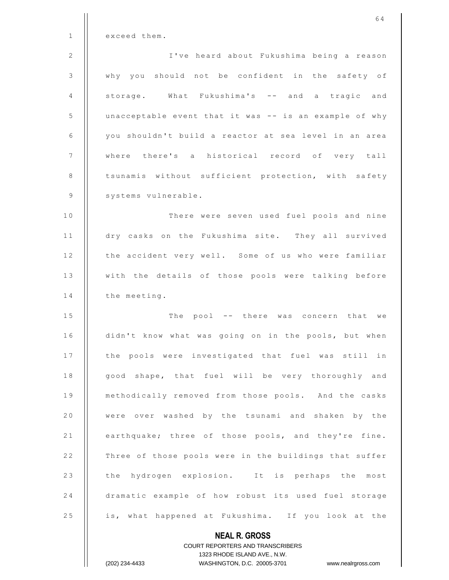|              | 64                                                                  |
|--------------|---------------------------------------------------------------------|
| $\mathbf{1}$ | exceed them.                                                        |
| 2            | I've heard about Fukushima being a reason                           |
| 3            | why you should not be confident in the safety of                    |
| 4            | storage. What Fukushima's -- and a tragic and                       |
| 5            | unacceptable event that it was -- is an example of why              |
| 6            | you shouldn't build a reactor at sea level in an area               |
| 7            | where there's a historical record of very tall                      |
| 8            | tsunamis without sufficient protection, with safety                 |
| 9            | systems vulnerable.                                                 |
| 10           | There were seven used fuel pools and nine                           |
| 11           | dry casks on the Fukushima site. They all survived                  |
| 12           | the accident very well. Some of us who were familiar                |
| 13           | with the details of those pools were talking before                 |
| 14           | the meeting.                                                        |
| 15           | The pool -- there was concern that we                               |
| 16           | didn't know what was going on in the pools, but when                |
| 17           | the pools were investigated that fuel was still in                  |
| 18           | good shape, that fuel will be very thoroughly and                   |
| 19           | methodically removed from those pools. And the casks                |
| 20           | were over washed by the tsunami and shaken by the                   |
| 21           | earthquake; three of those pools, and they're fine.                 |
| 22           | Three of those pools were in the buildings that suffer              |
| 23           | the hydrogen explosion. It is perhaps the most                      |
| 24           | dramatic example of how robust its used fuel storage                |
| 25           | is, what happened at Fukushima. If you look at the                  |
|              | <b>NEAL R. GROSS</b>                                                |
|              | <b>COURT REPORTERS AND TRANSCRIBERS</b>                             |
|              | 1323 RHODE ISLAND AVE., N.W.                                        |
|              | www.nealrgross.com<br>(202) 234-4433<br>WASHINGTON, D.C. 20005-3701 |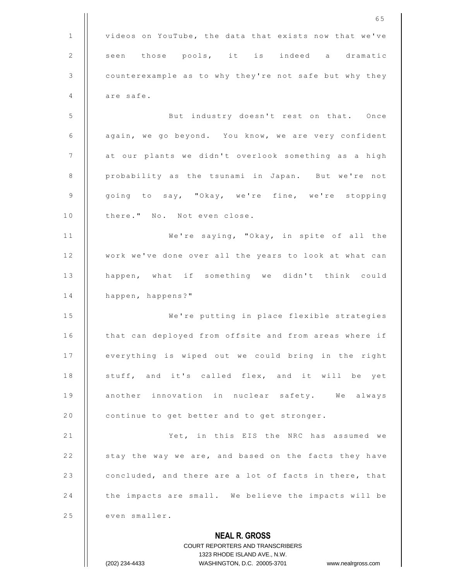|              | 65                                                     |
|--------------|--------------------------------------------------------|
| $\mathbf{1}$ | videos on YouTube, the data that exists now that we've |
| 2            | seen those pools, it is indeed a dramatic              |
| 3            | counterexample as to why they're not safe but why they |
| 4            | are safe.                                              |
| 5            | But industry doesn't rest on that. Once                |
| 6            | again, we go beyond. You know, we are very confident   |
| 7            | at our plants we didn't overlook something as a high   |
| 8            | probability as the tsunami in Japan. But we're not     |
| 9            | going to say, "Okay, we're fine, we're stopping        |
| 10           | there." No. Not even close.                            |
| 11           | We're saying, "Okay, in spite of all the               |
| 12           | work we've done over all the years to look at what can |
| 13           | happen, what if something we didn't think could        |
| 14           | happen, happens?"                                      |
| 15           | We're putting in place flexible strategies             |
| 16           | that can deployed from offsite and from areas where if |
| 17           | everything is wiped out we could bring in the right    |
| 18           | stuff, and it's called flex, and it will be yet        |
| 19           | another innovation in nuclear safety. We always        |
| 20           | continue to get better and to get stronger.            |
| 21           | Yet, in this EIS the NRC has assumed we                |
| 22           | stay the way we are, and based on the facts they have  |
| 23           | concluded, and there are a lot of facts in there, that |
| 24           | the impacts are small. We believe the impacts will be  |
| 25           | even smaller.                                          |
|              | <b>NEAL R. GROSS</b>                                   |

COURT REPORTERS AND TRANSCRIBERS 1323 RHODE ISLAND AVE., N.W. (202) 234-4433 WASHINGTON, D.C. 20005-3701 www.nealrgross.com

 $\prod$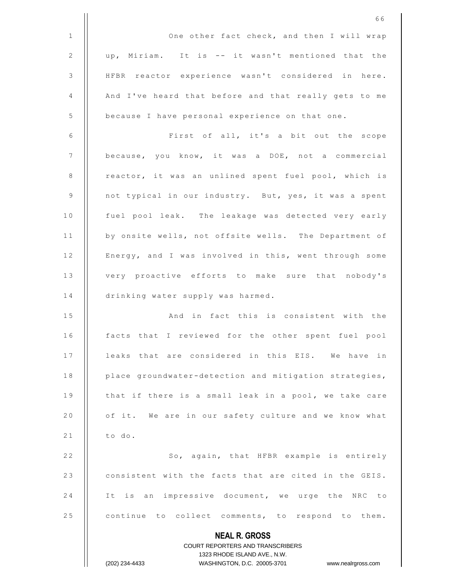|              | 66                                                                                               |
|--------------|--------------------------------------------------------------------------------------------------|
| $\mathbf{1}$ | One other fact check, and then I will wrap                                                       |
| $\mathbf{2}$ | up, Miriam. It is -- it wasn't mentioned that the                                                |
| 3            | HFBR reactor experience wasn't considered in here.                                               |
| 4            | And I've heard that before and that really gets to me                                            |
| 5            | because I have personal experience on that one.                                                  |
| 6            | First of all, it's a bit out the scope                                                           |
| 7            | because, you know, it was a DOE, not a commercial                                                |
| 8            | reactor, it was an unlined spent fuel pool, which is                                             |
| $\mathsf 9$  | not typical in our industry. But, yes, it was a spent                                            |
| 10           | fuel pool leak. The leakage was detected very early                                              |
| 11           | by onsite wells, not offsite wells. The Department of                                            |
| 12           | Energy, and I was involved in this, went through some                                            |
| 13           | very proactive efforts to make sure that nobody's                                                |
| 14           | drinking water supply was harmed.                                                                |
| 15           | And in fact this is consistent with the                                                          |
| 16           | facts that I reviewed for the other spent fuel pool                                              |
| 17           | leaks that are considered in this EIS. We have in                                                |
| 18           | place groundwater-detection and mitigation strategies,                                           |
| 19           | that if there is a small leak in a pool, we take care                                            |
| 20           | of it. We are in our safety culture and we know what                                             |
| 21           | to do.                                                                                           |
| 22           | So, again, that HFBR example is entirely                                                         |
| 23           | consistent with the facts that are cited in the GEIS.                                            |
| 24           | It is an impressive document, we urge the NRC to                                                 |
| 25           | continue to collect comments, to respond to them.                                                |
|              | <b>NEAL R. GROSS</b>                                                                             |
|              | COURT REPORTERS AND TRANSCRIBERS                                                                 |
|              | 1323 RHODE ISLAND AVE., N.W.<br>(202) 234-4433<br>WASHINGTON, D.C. 20005-3701 www.nealrgross.com |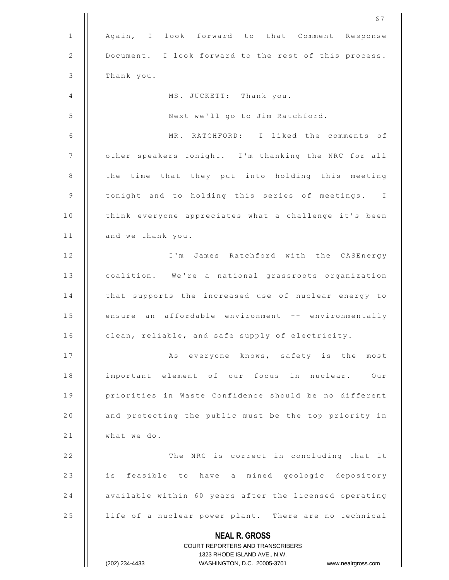|              | 67                                                               |
|--------------|------------------------------------------------------------------|
| $\mathbf{1}$ | Again, I look forward to that Comment Response                   |
| 2            | Document. I look forward to the rest of this process.            |
| 3            | Thank you.                                                       |
| 4            | MS. JUCKETT: Thank you.                                          |
| 5            | Next we'll go to Jim Ratchford.                                  |
| 6            | MR. RATCHFORD: I liked the comments of                           |
| 7            | other speakers tonight. I'm thanking the NRC for all             |
| 8            | the time that they put into holding this meeting                 |
| $\mathsf 9$  | tonight and to holding this series of meetings. I                |
| 10           | think everyone appreciates what a challenge it's been            |
| 11           | and we thank you.                                                |
| 12           | I'm James Ratchford with the CASEnergy                           |
| 13           | coalition. We're a national grassroots organization              |
| 14           | that supports the increased use of nuclear energy to             |
| 15           | ensure an affordable environment -- environmentally              |
| 16           | clean, reliable, and safe supply of electricity.                 |
| 17           | As everyone knows, safety is the most                            |
| 18           | important element of our focus in nuclear. Our                   |
| 19           | priorities in Waste Confidence should be no different            |
| 20           | and protecting the public must be the top priority in            |
| 21           | what we do.                                                      |
| 22           | The NRC is correct in concluding that it                         |
| 23           | is feasible to have a mined geologic depository                  |
| 24           | available within 60 years after the licensed operating           |
| 25           | life of a nuclear power plant. There are no technical            |
|              | <b>NEAL R. GROSS</b><br>COURT REPORTERS AND TRANSCRIBERS         |
|              | 1323 RHODE ISLAND AVE., N.W.                                     |
|              | (202) 234-4433<br>WASHINGTON, D.C. 20005-3701 www.nealrgross.com |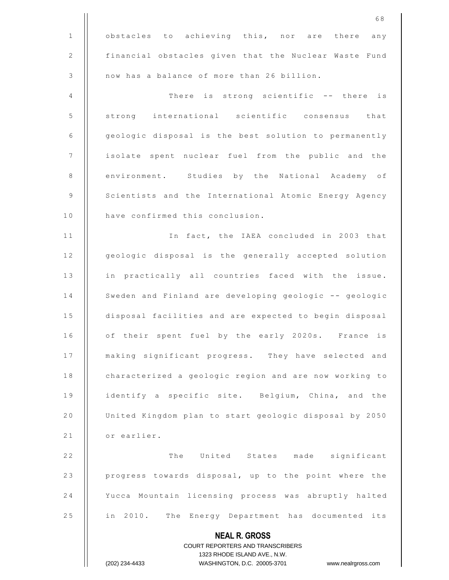|              | 68                                                                  |
|--------------|---------------------------------------------------------------------|
| $\mathbf{1}$ | obstacles to achieving this, nor are there any                      |
| 2            | financial obstacles given that the Nuclear Waste Fund               |
| 3            | now has a balance of more than 26 billion.                          |
| 4            | There is strong scientific -- there is                              |
| 5            | strong international scientific consensus that                      |
| 6            | geologic disposal is the best solution to permanently               |
| 7            | isolate spent nuclear fuel from the public and the                  |
| 8            | environment. Studies by the National Academy of                     |
| 9            | Scientists and the International Atomic Energy Agency               |
| 10           | have confirmed this conclusion.                                     |
| 11           | In fact, the IAEA concluded in 2003 that                            |
| 12           | geologic disposal is the generally accepted solution                |
| 13           | in practically all countries faced with the issue.                  |
| 14           | Sweden and Finland are developing geologic -- geologic              |
| 15           | disposal facilities and are expected to begin disposal              |
| 16           | of their spent fuel by the early 2020s. France is                   |
| 17           | making significant progress. They have selected and                 |
| 18           | characterized a geologic region and are now working to              |
| 19           | identify a specific site. Belgium, China, and the                   |
| 20           | United Kingdom plan to start geologic disposal by 2050              |
| 21           | or earlier.                                                         |
| 22           | The United States made significant                                  |
| 23           | progress towards disposal, up to the point where the                |
| 24           | Yucca Mountain licensing process was abruptly halted                |
| 25           | in 2010. The Energy Department has documented its                   |
|              | <b>NEAL R. GROSS</b>                                                |
|              | COURT REPORTERS AND TRANSCRIBERS                                    |
|              | 1323 RHODE ISLAND AVE., N.W.                                        |
|              | (202) 234-4433<br>WASHINGTON, D.C. 20005-3701<br>www.nealrgross.com |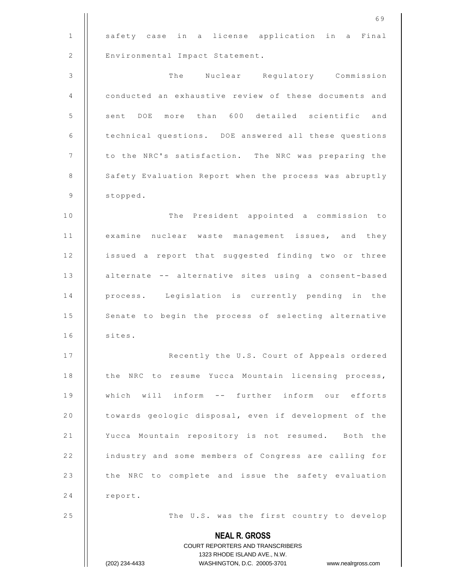|              | 69                                                               |
|--------------|------------------------------------------------------------------|
| $\mathbf{1}$ | a license application in a Final<br>safety case in               |
| 2            | Environmental Impact Statement.                                  |
| 3            | The Nuclear Regulatory Commission                                |
| 4            | conducted an exhaustive review of these documents and            |
| 5            | more than 600 detailed scientific and<br>sent DOE                |
| 6            | technical questions. DOE answered all these questions            |
| 7            | to the NRC's satisfaction.<br>The NRC was preparing the          |
| 8            | Safety Evaluation Report when the process was abruptly           |
| 9            | stopped.                                                         |
| 10           | The President appointed a commission to                          |
| 11           | examine nuclear waste management issues, and they                |
| 12           | issued a report that suggested finding two or three              |
| 13           | alternate -- alternative sites using a consent-based             |
| 14           | process. Legislation is currently pending in the                 |
| 15           | Senate to begin the process of selecting alternative             |
| 16           | sites.                                                           |
| 17           | Recently the U.S. Court of Appeals ordered                       |
| 18           | the NRC to resume Yucca Mountain licensing process,              |
| 19           | which will inform -- further inform our efforts                  |
| 20           | towards geologic disposal, even if development of the            |
| 21           | Yucca Mountain repository is not resumed. Both the               |
| 22           | industry and some members of Congress are calling for            |
| 23           | the NRC to complete and issue the safety evaluation              |
| 24           | report.                                                          |
| 25           | The U.S. was the first country to develop                        |
|              | <b>NEAL R. GROSS</b><br><b>COURT REPORTERS AND TRANSCRIBERS</b>  |
|              | 1323 RHODE ISLAND AVE., N.W.                                     |
|              | (202) 234-4433<br>WASHINGTON, D.C. 20005-3701 www.nealrgross.com |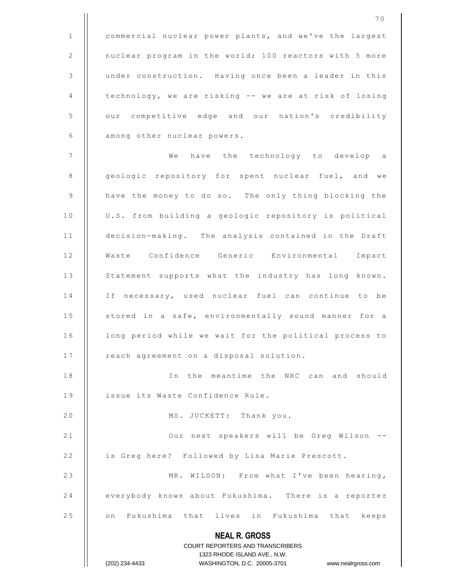**NEAL R. GROSS** COURT REPORTERS AND TRANSCRIBERS 1323 RHODE ISLAND AVE., N.W. 1 | commercial nuclear power plants, and we've the largest 2 | nuclear program in the world; 100 reactors with 5 more 3 | under construction. Having once been a leader in this 4 | technology, we are risking -- we are at risk of losing 5 | our competitive edge and our nation's credibility 6 | among other nuclear powers. 7 W e h a v e t h e t e c h n o l o g y t o d e v e l o p a 8 | geologic repository for spent nuclear fuel, and we 9 | have the money to do so. The only thing blocking the 10 | U.S. from building a geologic repository is political 11 | decision-making. The analysis contained in the Draft 12 | Waste Confidence Generic Environmental Impact 13 | Statement supports what the industry has long known. 14 || If necessary, used nuclear fuel can continue to be 15 | stored in a safe, environmentally sound manner for a 16 | long period while we wait for the political process to 17 | reach agreement on a disposal solution. 18 || In the meantime the NRC can and should 19 | issue its Waste Confidence Rule. 20 | MS. JUCKETT: Thank you. 21 | | Our next speakers will be Greg Wilson --22 | is Greg here? Followed by Lisa Marie Prescott. 23 || MR. WILSON: From what I've been hearing, 24 everybody knows about Fukushima. There is a reporter 25 || on Fukushima that lives in Fukushima that keeps

(202) 234-4433 WASHINGTON, D.C. 20005-3701 www.nealrgross.com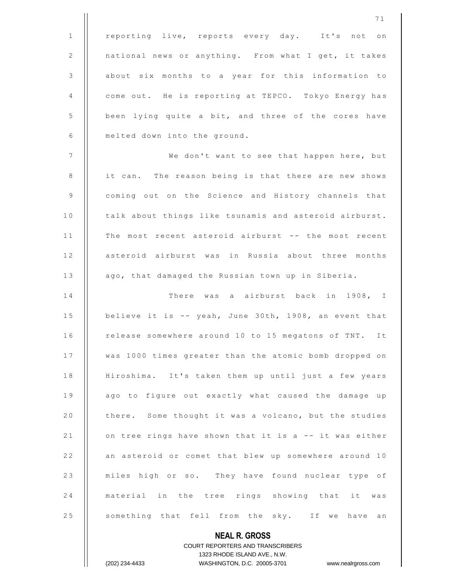1 || reporting live, reports every day. It's not on 2 | national news or anything. From what I get, it takes 3 | about six months to a year for this information to 4 | come out. He is reporting at TEPCO. Tokyo Energy has 5 | been lying quite a bit, and three of the cores have  $6$  | melted down into the ground. 7 || We don't want to see that happen here, but 8 || it can. The reason being is that there are new shows 9 | coming out on the Science and History channels that 10 | talk about things like tsunamis and asteroid airburst. 11 || The most recent asteroid airburst -- the most recent 12 || asteroid airburst was in Russia about three months 13 | ago, that damaged the Russian town up in Siberia. 1 4 T h e r e w a s a a i r b u r s t b a c k i n 1 9 0 8 , I 15  $\vert$  believe it is -- yeah, June 30th, 1908, an event that 16 | release somewhere around 10 to 15 megatons of TNT. It 17 | was 1000 times greater than the atomic bomb dropped on 18 | Hiroshima. It's taken them up until just a few years 19 || ago to figure out exactly what caused the damage up 20 | there. Some thought it was a volcano, but the studies 21  $\parallel$  on tree rings have shown that it is a -- it was either 22 | an asteroid or comet that blew up somewhere around 10

23 || miles high or so. They have found nuclear type of 24 || material in the tree rings showing that it was 25 | something that fell from the sky. If we have an

> COURT REPORTERS AND TRANSCRIBERS 1323 RHODE ISLAND AVE., N.W. (202) 234-4433 WASHINGTON, D.C. 20005-3701 www.nealrgross.com

**NEAL R. GROSS**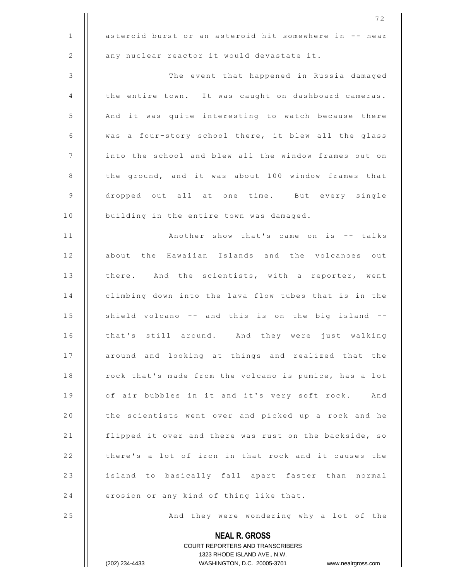|              | 72                                                               |
|--------------|------------------------------------------------------------------|
| $\mathbf{1}$ | asteroid burst or an asteroid hit somewhere in -- near           |
| 2            | any nuclear reactor it would devastate it.                       |
| $\mathsf 3$  | The event that happened in Russia damaged                        |
| 4            | the entire town. It was caught on dashboard cameras.             |
| 5            | And it was quite interesting to watch because there              |
| 6            | was a four-story school there, it blew all the glass             |
| 7            | into the school and blew all the window frames out on            |
| 8            | the ground, and it was about 100 window frames that              |
| 9            | dropped out all at one time. But every single                    |
| 10           | building in the entire town was damaged.                         |
| 11           | Another show that's came on is -- talks                          |
| 12           | about the Hawaiian Islands and the volcanoes out                 |
| 13           | there. And the scientists, with a reporter, went                 |
| 14           | climbing down into the lava flow tubes that is in the            |
| 15           | shield volcano -- and this is on the big island --               |
| 16           | that's still around. And they were just walking                  |
| 17           | around and looking at things and realized that the               |
| 18           | rock that's made from the volcano is pumice, has a lot           |
| 19           | of air bubbles in it and it's very soft rock. And                |
| 20           | the scientists went over and picked up a rock and he             |
| 21           | flipped it over and there was rust on the backside, so           |
| 22           | there's a lot of iron in that rock and it causes the             |
| 23           | island to basically fall apart faster than normal                |
| 24           | erosion or any kind of thing like that.                          |
| 25           | And they were wondering why a lot of the                         |
|              | <b>NEAL R. GROSS</b><br>COURT REPORTERS AND TRANSCRIBERS         |
|              | 1323 RHODE ISLAND AVE., N.W.                                     |
|              | (202) 234-4433<br>WASHINGTON, D.C. 20005-3701 www.nealrgross.com |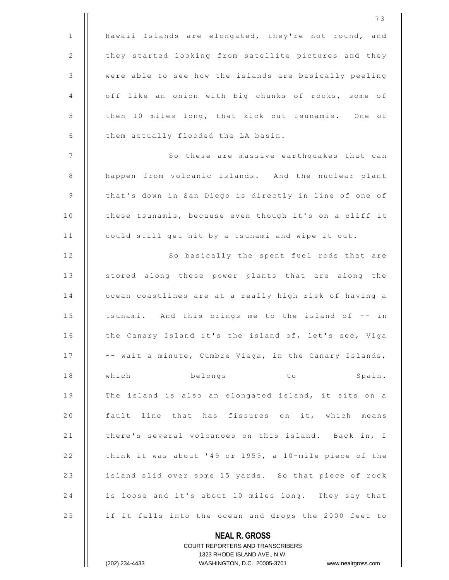|              | 73                                                       |
|--------------|----------------------------------------------------------|
| $\mathbf{1}$ | Hawaii Islands are elongated, they're not round, and     |
| 2            | they started looking from satellite pictures and they    |
| 3            | were able to see how the islands are basically peeling   |
| 4            | off like an onion with big chunks of rocks, some of      |
| 5            | then 10 miles long, that kick out tsunamis. One of       |
| 6            | them actually flooded the LA basin.                      |
| 7            | So these are massive earthquakes that can                |
| 8            | happen from volcanic islands. And the nuclear plant      |
| 9            | that's down in San Diego is directly in line of one of   |
| $10$         | these tsunamis, because even though it's on a cliff it   |
| 11           | could still get hit by a tsunami and wipe it out.        |
| 12           | So basically the spent fuel rods that are                |
| 13           | stored along these power plants that are along the       |
| 14           | ocean coastlines are at a really high risk of having a   |
| 15           | tsunami. And this brings me to the island of -- in       |
| 16           | the Canary Island it's the island of, let's see, Viga    |
| 17           | -- wait a minute, Cumbre Viega, in the Canary Islands,   |
| 18           | which<br>belongs<br>Spain.<br>to                         |
| 19           | The island is also an elongated island, it sits on a     |
| 20           | fault line that has fissures on it, which means          |
| 21           | there's several volcanoes on this island. Back in, I     |
| 22           | think it was about '49 or 1959, a 10-mile piece of the   |
| 23           | island slid over some 15 yards. So that piece of rock    |
| 24           | is loose and it's about 10 miles long. They say that     |
| 25           | if it falls into the ocean and drops the 2000 feet to    |
|              | <b>NEAL R. GROSS</b><br>COURT REPORTERS AND TRANSCRIBERS |

1323 RHODE ISLAND AVE., N.W.

 $\prod$ 

(202) 234-4433 WASHINGTON, D.C. 20005-3701 www.nealrgross.com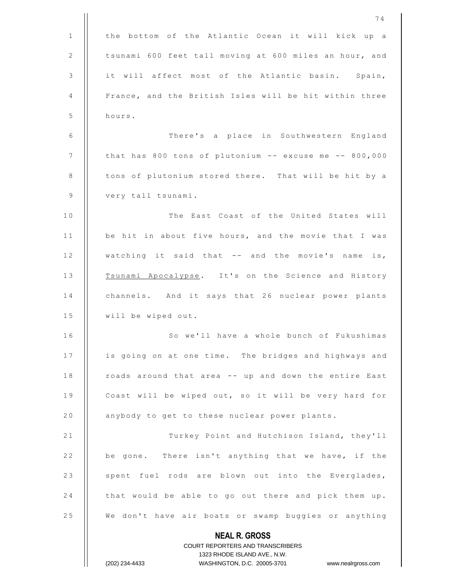|              | 74                                                                  |
|--------------|---------------------------------------------------------------------|
| $\mathbf{1}$ | the bottom of the Atlantic Ocean it will kick up a                  |
| 2            | tsunami 600 feet tall moving at 600 miles an hour, and              |
| 3            | it will affect most of the Atlantic basin. Spain,                   |
| 4            | France, and the British Isles will be hit within three              |
| 5            | hours.                                                              |
| 6            | There's a place in Southwestern England                             |
| 7            | that has 800 tons of plutonium -- excuse me -- 800,000              |
| $\,8\,$      | tons of plutonium stored there. That will be hit by a               |
| 9            | very tall tsunami.                                                  |
| 10           | The East Coast of the United States will                            |
| 11           | be hit in about five hours, and the movie that I was                |
| 12           | watching it said that -- and the movie's name is,                   |
| 13           | Tsunami Apocalypse. It's on the Science and History                 |
| 14           | channels. And it says that 26 nuclear power plants                  |
| 15           | will be wiped out.                                                  |
| 16           | So we'll have a whole bunch of Fukushimas                           |
| 17           | is going on at one time. The bridges and highways and               |
| 18           | roads around that area -- up and down the entire East               |
| 19           | Coast will be wiped out, so it will be very hard for                |
| 20           | anybody to get to these nuclear power plants.                       |
| 21           | Turkey Point and Hutchison Island, they'll                          |
| 22           | be gone. There isn't anything that we have, if the                  |
| 23           | spent fuel rods are blown out into the Everglades,                  |
| 24           | that would be able to go out there and pick them up.                |
| 25           | We don't have air boats or swamp buggies or anything                |
|              | <b>NEAL R. GROSS</b>                                                |
|              | COURT REPORTERS AND TRANSCRIBERS                                    |
|              | 1323 RHODE ISLAND AVE., N.W.                                        |
|              | (202) 234-4433<br>WASHINGTON, D.C. 20005-3701<br>www.nealrgross.com |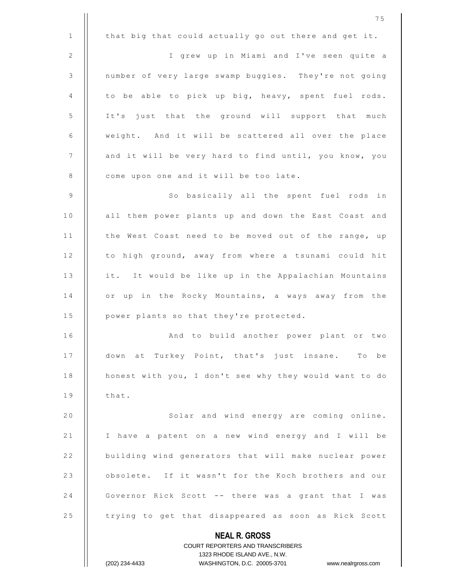**NEAL R. GROSS** COURT REPORTERS AND TRANSCRIBERS 1323 RHODE ISLAND AVE., N.W. 7 5 1  $\parallel$  that big that could actually go out there and get it. 2 | | I grew up in Miami and I've seen quite a 3 | number of very large swamp buggies. They're not going  $4$  | to be able to pick up big, heavy, spent fuel rods. 5 | It's just that the ground will support that much  $6$   $\parallel$  weight. And it will be scattered all over the place 7 | and it will be very hard to find until, you know, you 8 | come upon one and it will be too late. 9 || So basically all the spent fuel rods in 10 | all them power plants up and down the East Coast and 11 | the West Coast need to be moved out of the range, up 12 | to high ground, away from where a tsunami could hit 13 | it. It would be like up in the Appalachian Mountains 14 || or up in the Rocky Mountains, a ways away from the  $15$  | power plants so that they're protected. 1 6 A n d t o b u i l d a n o t h e r p o w e r p l a n t o r t w o 17 | down at Turkey Point, that's just insane. To be 18 | honest with you, I don't see why they would want to do  $19$   $\parallel$  that. 20 || Solar and wind energy are coming online. 21 | I have a patent on a new wind energy and I will be 22 | building wind generators that will make nuclear power 23 | obsolete. If it wasn't for the Koch brothers and our 24 | Governor Rick Scott -- there was a grant that I was 25 | trying to get that disappeared as soon as Rick Scott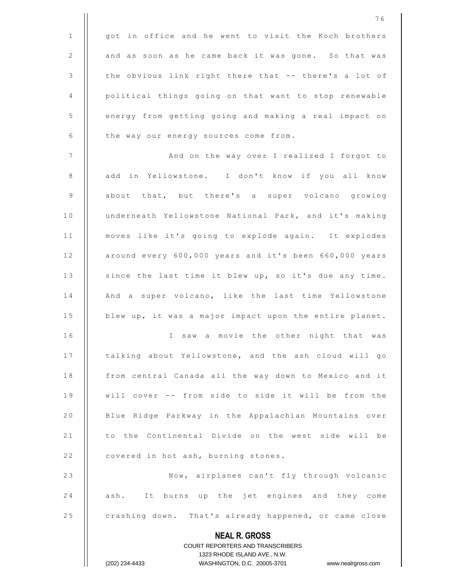|              | 76                                                                                                  |
|--------------|-----------------------------------------------------------------------------------------------------|
| $\mathbf{1}$ | got in office and he went to visit the Koch brothers                                                |
| 2            | and as soon as he came back it was gone. So that was                                                |
| 3            | the obvious link right there that -- there's a lot of                                               |
| 4            | political things going on that want to stop renewable                                               |
| 5            | energy from getting going and making a real impact on                                               |
| 6            | the way our energy sources come from.                                                               |
| 7            | And on the way over I realized I forgot to                                                          |
| 8            | add in Yellowstone. I don't know if you all know                                                    |
| 9            | about that, but there's a super volcano growing                                                     |
| 10           | underneath Yellowstone National Park, and it's making                                               |
| 11           | moves like it's going to explode again. It explodes                                                 |
| 12           | around every 600,000 years and it's been 660,000 years                                              |
| 13           | since the last time it blew up, so it's due any time.                                               |
| 14           | And a super volcano, like the last time Yellowstone                                                 |
| 15           | blew up, it was a major impact upon the entire planet.                                              |
| 16           | I saw a movie the other night that was                                                              |
| 17           | talking about Yellowstone, and the ash cloud will go                                                |
| 18           | from central Canada all the way down to Mexico and it                                               |
| 19           | will cover -- from side to side it will be from the                                                 |
| 20           | Blue Ridge Parkway in the Appalachian Mountains over                                                |
| 21           | to the Continental Divide on the west side will be                                                  |
| 22           | covered in hot ash, burning stones.                                                                 |
| 23           | Now, airplanes can't fly through volcanic                                                           |
| 24           | ash. It burns up the jet engines and they come                                                      |
| 25           | crashing down. That's already happened, or came close                                               |
|              | <b>NEAL R. GROSS</b>                                                                                |
|              | COURT REPORTERS AND TRANSCRIBERS                                                                    |
|              | 1323 RHODE ISLAND AVE., N.W.<br>(202) 234-4433<br>WASHINGTON, D.C. 20005-3701<br>www.nealrgross.com |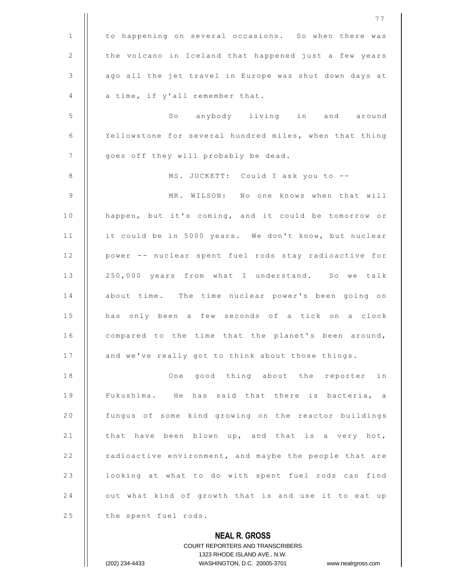|              | <b>COURT REPORTERS AND TRANSCRIBERS</b><br>1323 RHODE ISLAND AVE., N.W.<br>(202) 234-4433<br>WASHINGTON, D.C. 20005-3701<br>www.nealrgross.com |
|--------------|------------------------------------------------------------------------------------------------------------------------------------------------|
|              | <b>NEAL R. GROSS</b>                                                                                                                           |
| 25           | the spent fuel rods.                                                                                                                           |
| 24           | out what kind of growth that is and use it to eat up                                                                                           |
| 23           | looking at what to do with spent fuel rods can find                                                                                            |
| 22           | radioactive environment, and maybe the people that are                                                                                         |
| 21           | that have been blown up, and that is a very hot,                                                                                               |
| 20           | fungus of some kind growing on the reactor buildings                                                                                           |
| 19           | Fukushima. He has said that there is bacteria, a                                                                                               |
| 18           | good thing about the reporter<br>One<br>in                                                                                                     |
| 17           | and we've really got to think about those things.                                                                                              |
| 16           | compared to the time that the planet's been around,                                                                                            |
| 15           | has only been a few seconds of a tick on a clock                                                                                               |
| 14           | about time. The time nuclear power's been going on                                                                                             |
| 13           | 250,000 years from what I understand. So we talk                                                                                               |
| 12           | power -- nuclear spent fuel rods stay radioactive for                                                                                          |
| 11           | it could be in 5000 years. We don't know, but nuclear                                                                                          |
| 10           | happen, but it's coming, and it could be tomorrow or                                                                                           |
| 9            | MR. WILSON: No one knows when that will                                                                                                        |
| 8            | MS. JUCKETT: Could I ask you to --                                                                                                             |
| 7            | goes off they will probably be dead.                                                                                                           |
| 6            | Yellowstone for several hundred miles, when that thing                                                                                         |
| 5            | So anybody living in and around                                                                                                                |
| 4            | a time, if y'all remember that.                                                                                                                |
| 3            | ago all the jet travel in Europe was shut down days at                                                                                         |
| 2            | the volcano in Iceland that happened just a few years                                                                                          |
| $\mathbf{1}$ | to happening on several occasions. So when there was                                                                                           |
|              | 77                                                                                                                                             |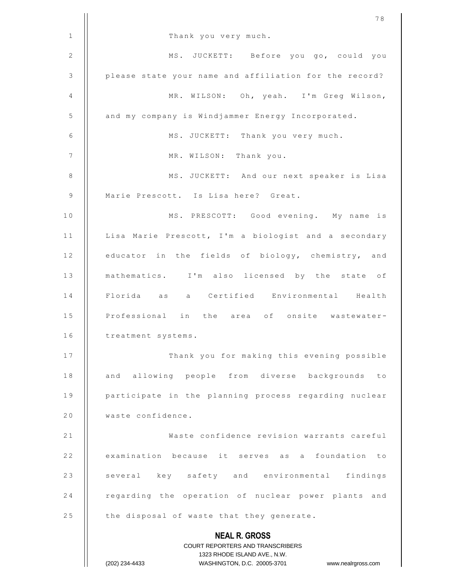|    | 78                                                                                                  |
|----|-----------------------------------------------------------------------------------------------------|
| 1  | Thank you very much.                                                                                |
| 2  | MS. JUCKETT: Before you go, could you                                                               |
| 3  | please state your name and affiliation for the record?                                              |
| 4  | MR. WILSON: Oh, yeah. I'm Greg Wilson,                                                              |
| 5  | and my company is Windjammer Energy Incorporated.                                                   |
| 6  | MS. JUCKETT: Thank you very much.                                                                   |
| 7  | MR. WILSON: Thank you.                                                                              |
| 8  | MS. JUCKETT: And our next speaker is Lisa                                                           |
| 9  | Marie Prescott. Is Lisa here? Great.                                                                |
| 10 | MS. PRESCOTT: Good evening. My name is                                                              |
| 11 | Lisa Marie Prescott, I'm a biologist and a secondary                                                |
| 12 | educator in the fields of biology, chemistry, and                                                   |
| 13 | mathematics. I'm also licensed by the state of                                                      |
| 14 | Florida as a Certified Environmental Health                                                         |
| 15 | Professional in the area of onsite wastewater-                                                      |
| 16 | treatment systems.                                                                                  |
| 17 | Thank you for making this evening possible                                                          |
| 18 | and allowing people from diverse backgrounds<br>to                                                  |
| 19 | participate in the planning process regarding nuclear                                               |
| 20 | waste confidence.                                                                                   |
| 21 | Waste confidence revision warrants careful                                                          |
| 22 | examination because it serves as a foundation to                                                    |
| 23 | several key safety and environmental findings                                                       |
| 24 | regarding the operation of nuclear power plants and                                                 |
| 25 | the disposal of waste that they generate.                                                           |
|    | <b>NEAL R. GROSS</b>                                                                                |
|    | COURT REPORTERS AND TRANSCRIBERS                                                                    |
|    | 1323 RHODE ISLAND AVE., N.W.<br>(202) 234-4433<br>WASHINGTON, D.C. 20005-3701<br>www.nealrgross.com |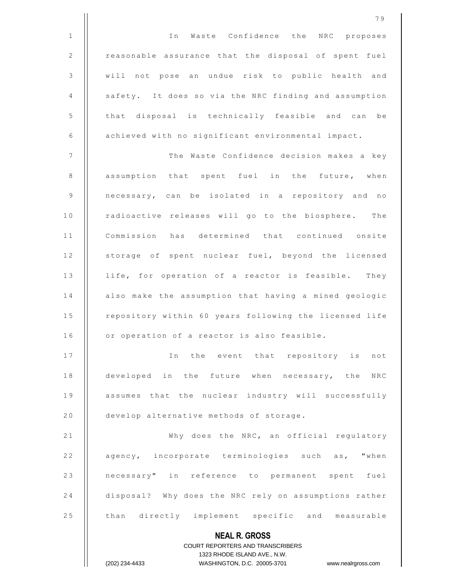**NEAL R. GROSS** COURT REPORTERS AND TRANSCRIBERS 1323 RHODE ISLAND AVE., N.W. (202) 234-4433 WASHINGTON, D.C. 20005-3701 www.nealrgross.com 1 || || In Waste Confidence the NRC proposes 2 | reasonable assurance that the disposal of spent fuel 3 | will not pose an undue risk to public health and 4 | safety. It does so via the NRC finding and assumption 5 | | that disposal is technically feasible and can be  $6$  | achieved with no significant environmental impact. 7 T h e W a s t e C o n f i d e n c e d e c i s i o n m a k e s a k e y 8 || assumption that spent fuel in the future, when 9 || necessary, can be isolated in a repository and no 10 || radioactive releases will go to the biosphere. The 11 | Commission has determined that continued onsite 12 | storage of spent nuclear fuel, beyond the licensed 13 || life, for operation of a reactor is feasible. They 14 | also make the assumption that having a mined geologic 15 | repository within 60 years following the licensed life  $16$  | or operation of a reactor is also feasible. 17 || In the event that repository is not 18 || developed in the future when necessary, the NRC 19 || assumes that the nuclear industry will successfully 20 | develop alternative methods of storage. 21 | Why does the NRC, an official regulatory 22 | agency, incorporate terminologies such as, "when 23 || necessary" in reference to permanent spent fuel 24 disposal? Why does the NRC rely on assumptions rather 25 | than directly implement specific and measurable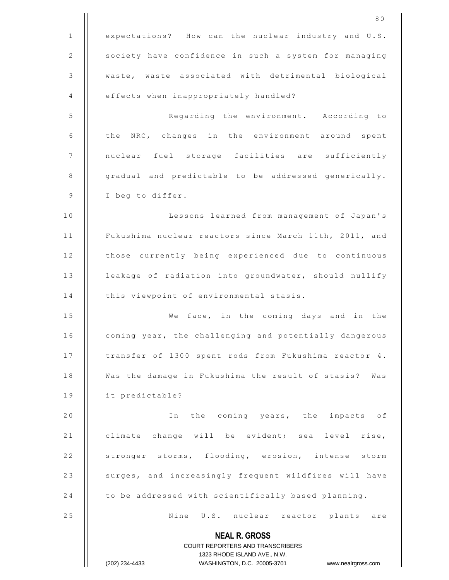|                | 80                                                                  |
|----------------|---------------------------------------------------------------------|
| $\mathbf{1}$   | expectations? How can the nuclear industry and U.S.                 |
| 2              | society have confidence in such a system for managing               |
| 3              | waste, waste associated with detrimental biological                 |
| $\overline{4}$ | effects when inappropriately handled?                               |
| 5              | Regarding the environment. According to                             |
| 6              | the NRC, changes in the environment around spent                    |
| 7              | nuclear fuel storage facilities are sufficiently                    |
| 8              | gradual and predictable to be addressed generically.                |
| 9              | I beg to differ.                                                    |
| 10             | Lessons learned from management of Japan's                          |
| 11             | Fukushima nuclear reactors since March 11th, 2011, and              |
| 12             | those currently being experienced due to continuous                 |
| 13             | leakage of radiation into groundwater, should nullify               |
| 14             | this viewpoint of environmental stasis.                             |
| 15             | We face, in the coming days and in the                              |
| 16             | coming year, the challenging and potentially dangerous              |
| 17             | transfer of 1300 spent rods from Fukushima reactor 4.               |
| 18             | Was the damage in Fukushima the result of stasis? Was               |
| 19             | it predictable?                                                     |
| 20             | In the coming years, the impacts of                                 |
| 21             | climate change will be evident; sea level rise,                     |
| 22             | stronger storms, flooding, erosion, intense storm                   |
| 23             | surges, and increasingly frequent wildfires will have               |
| 24             | to be addressed with scientifically based planning.                 |
| 25             | Nine U.S. nuclear reactor plants are                                |
|                | <b>NEAL R. GROSS</b>                                                |
|                | COURT REPORTERS AND TRANSCRIBERS                                    |
|                | 1323 RHODE ISLAND AVE., N.W.                                        |
|                | (202) 234-4433<br>WASHINGTON, D.C. 20005-3701<br>www.nealrgross.com |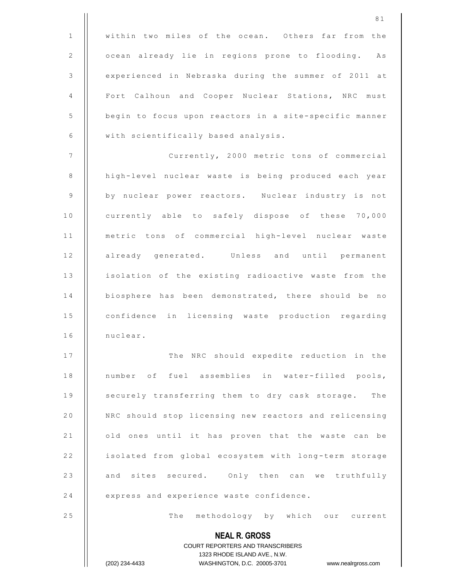|              | 81                                                                  |
|--------------|---------------------------------------------------------------------|
| $\mathbf{1}$ | within two miles of the ocean. Others far from the                  |
| 2            | ocean already lie in regions prone to flooding. As                  |
| 3            | experienced in Nebraska during the summer of 2011 at                |
| 4            | Fort Calhoun and Cooper Nuclear Stations, NRC must                  |
| $\mathsf S$  | begin to focus upon reactors in a site-specific manner              |
| 6            | with scientifically based analysis.                                 |
| 7            | Currently, 2000 metric tons of commercial                           |
| 8            | high-level nuclear waste is being produced each year                |
| 9            | by nuclear power reactors. Nuclear industry is not                  |
| 10           | currently able to safely dispose of these 70,000                    |
| 11           | metric tons of commercial high-level nuclear waste                  |
| 12           | already generated. Unless and until permanent                       |
| 13           | isolation of the existing radioactive waste from the                |
| 14           | biosphere has been demonstrated, there should be no                 |
| 15           | confidence in licensing waste production regarding                  |
| 16           | nuclear.                                                            |
| 17           | The NRC should expedite reduction in the                            |
| 18           | number of fuel assemblies in water-filled pools,                    |
| 19           | securely transferring them to dry cask storage. The                 |
| 20           | NRC should stop licensing new reactors and relicensing              |
| 21           | old ones until it has proven that the waste can be                  |
| 22           | isolated from global ecosystem with long-term storage               |
| 23           | and sites secured. Only then can we truthfully                      |
| 24           | express and experience waste confidence.                            |
| 25           | The methodology by which our current                                |
|              | <b>NEAL R. GROSS</b><br><b>COURT REPORTERS AND TRANSCRIBERS</b>     |
|              | 1323 RHODE ISLAND AVE., N.W.                                        |
|              | (202) 234-4433<br>WASHINGTON, D.C. 20005-3701<br>www.nealrgross.com |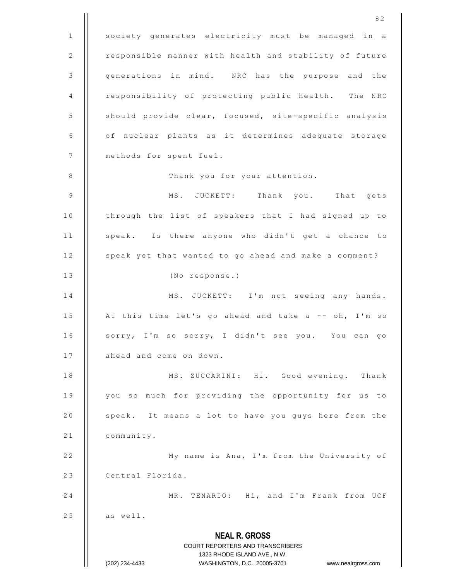**NEAL R. GROSS** COURT REPORTERS AND TRANSCRIBERS 1323 RHODE ISLAND AVE., N.W. (202) 234-4433 WASHINGTON, D.C. 20005-3701 www.nealrgross.com 1 | society generates electricity must be managed in a 2 | responsible manner with health and stability of future 3 | generations in mind. NRC has the purpose and the 4 | responsibility of protecting public health. The NRC 5 | should provide clear, focused, site-specific analysis 6 | of nuclear plants as it determines adequate storage 7 | methods for spent fuel. 8 | Thank you for your attention. 9 M S . J U C K E T T : T h a n k y o u . T h a t g e t s 10 | through the list of speakers that I had signed up to 11 | speak. Is there anyone who didn't get a chance to 12 | speak yet that wanted to go ahead and make a comment? 13 || (No response.) 14 || MS. JUCKETT: I'm not seeing any hands. 15  $\parallel$  At this time let's go ahead and take a -- oh, I'm so 16 | sorry, I'm so sorry, I didn't see you. You can go  $17$   $\parallel$  ahead and come on down. 18 | MS. ZUCCARINI: Hi. Good evening. Thank 19 || you so much for providing the opportunity for us to 20 | speak. It means a lot to have you guys here from the  $21$  | community. 22 | My name is Ana, I'm from the University of 23 | Central Florida. 24 | MR. TENARIO: Hi, and I'm Frank from UCF  $25$  || as well.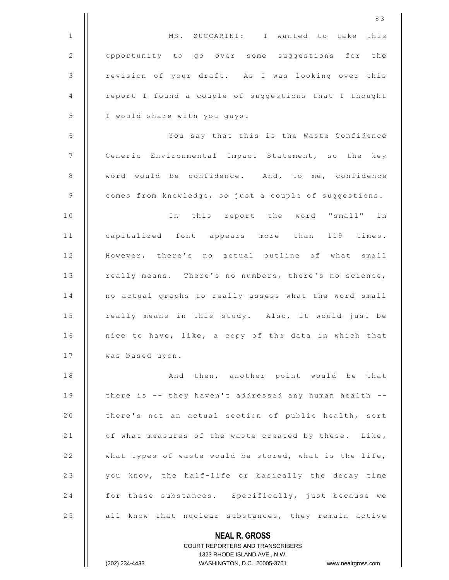|                | 83                                                                  |
|----------------|---------------------------------------------------------------------|
| $\mathbf{1}$   | MS. ZUCCARINI: I wanted to take this                                |
| $\mathbf{2}$   | opportunity to go over some suggestions for the                     |
| $\mathsf 3$    | revision of your draft. As I was looking over this                  |
| 4              | report I found a couple of suggestions that I thought               |
| $\mathsf S$    | I would share with you guys.                                        |
| 6              | You say that this is the Waste Confidence                           |
| $\overline{7}$ | Generic Environmental Impact Statement, so the key                  |
| 8              | word would be confidence. And, to me, confidence                    |
| $\mathsf 9$    | comes from knowledge, so just a couple of suggestions.              |
| 10             | In this report the word "small" in                                  |
| 11             | capitalized font appears more than 119 times.                       |
| 12             | However, there's no actual outline of what small                    |
| 13             | really means. There's no numbers, there's no science,               |
| 14             | no actual graphs to really assess what the word small               |
| 15             | really means in this study. Also, it would just be                  |
| 16             | nice to have, like, a copy of the data in which that                |
| 17             | was based upon.                                                     |
| 18             | And then, another point would be that                               |
| 19             | there is -- they haven't addressed any human health --              |
| 20             | there's not an actual section of public health, sort                |
| 21             | of what measures of the waste created by these. Like,               |
| 22             | what types of waste would be stored, what is the life,              |
| 23             | you know, the half-life or basically the decay time                 |
| 24             | for these substances. Specifically, just because we                 |
| 25             | all know that nuclear substances, they remain active                |
|                | <b>NEAL R. GROSS</b>                                                |
|                | <b>COURT REPORTERS AND TRANSCRIBERS</b>                             |
|                | 1323 RHODE ISLAND AVE., N.W.                                        |
|                | (202) 234-4433<br>WASHINGTON, D.C. 20005-3701<br>www.nealrgross.com |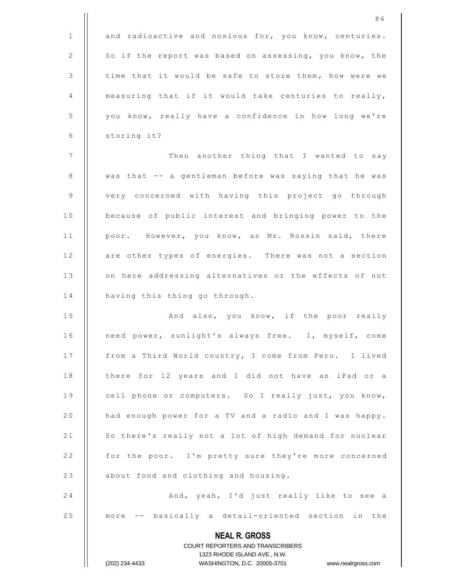|                | 84                                                                                                  |
|----------------|-----------------------------------------------------------------------------------------------------|
| 1              | and radioactive and noxious for, you know, centuries.                                               |
| $\mathbf{2}$   | So if the report was based on assessing, you know, the                                              |
| 3              | time that it would be safe to store them, how were we                                               |
| 4              | measuring that if it would take centuries to really,                                                |
| 5              | you know, really have a confidence in how long we're                                                |
| 6              | storing it?                                                                                         |
| $\overline{7}$ | Then another thing that I wanted to say                                                             |
| 8              | was that -- a gentleman before was saying that he was                                               |
| 9              | very concerned with having this project go through                                                  |
| 10             | because of public interest and bringing power to the                                                |
| 11             | poor. However, you know, as Mr. Rossin said, there                                                  |
| 12             | are other types of energies. There was not a section                                                |
| 13             | on here addressing alternatives or the effects of not                                               |
| 14             | having this thing go through.                                                                       |
| 15             | And also, you know, if the poor really                                                              |
| 16             | need power, sunlight's always free. I, myself, come                                                 |
| 17             | from a Third World country, I come from Peru. I lived                                               |
| 18             | there for 12 years and I did not have an iPad or a                                                  |
| 19             | cell phone or computers. So I really just, you know,                                                |
| 20             | had enough power for a TV and a radio and I was happy.                                              |
| 21             | So there's really not a lot of high demand for nuclear                                              |
| 22             | for the poor. I'm pretty sure they're more concerned                                                |
| 23             | about food and clothing and housing.                                                                |
| 24             | And, yeah, I'd just really like to see a                                                            |
| 25             | more -- basically a detail-oriented section in the                                                  |
|                | <b>NEAL R. GROSS</b>                                                                                |
|                | COURT REPORTERS AND TRANSCRIBERS                                                                    |
|                | 1323 RHODE ISLAND AVE., N.W.<br>(202) 234-4433<br>WASHINGTON, D.C. 20005-3701<br>www.nealrgross.com |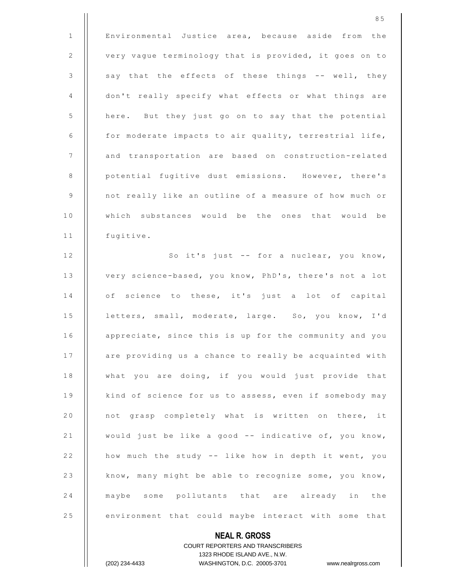8 5 1 | Environmental Justice area, because aside from the 2 | very vague terminology that is provided, it goes on to  $3$   $\parallel$  say that the effects of these things -- well, they 4 don't really specify what effects or what things are 5 | here. But they just go on to say that the potential 6  $\parallel$  for moderate impacts to air quality, terrestrial life, 7 | and transportation are based on construction-related 8 | potential fugitive dust emissions. However, there's 9 | | not really like an outline of a measure of how much or 10 || which substances would be the ones that would be 11 | fugitive. 12 || So it's just -- for a nuclear, you know, 13 | very science-based, you know, PhD's, there's not a lot 14 || of science to these, it's just a lot of capital 15 | letters, small, moderate, large. So, you know, I'd 16 | appreciate, since this is up for the community and you 17 | are providing us a chance to really be acquainted with 18 | what you are doing, if you would just provide that 19 | kind of science for us to assess, even if somebody may 20 || not grasp completely what is written on there, it 21  $\parallel$  would just be like a good -- indicative of, you know, 22 | how much the study -- like how in depth it went, you 23 | know, many might be able to recognize some, you know, 24 || maybe some pollutants that are already in the 25 | environment that could maybe interact with some that

> **NEAL R. GROSS** COURT REPORTERS AND TRANSCRIBERS 1323 RHODE ISLAND AVE., N.W.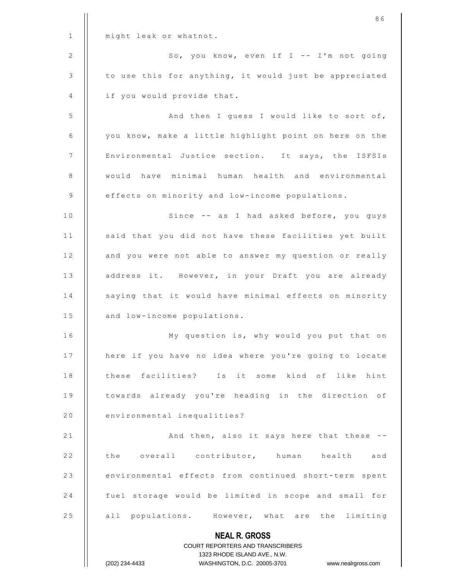|    | 86                                                                                               |
|----|--------------------------------------------------------------------------------------------------|
| 1  | might leak or whatnot.                                                                           |
| 2  | So, you know, even if I -- I'm not going                                                         |
| 3  | to use this for anything, it would just be appreciated                                           |
| 4  | if you would provide that.                                                                       |
| 5  | And then I guess I would like to sort of,                                                        |
| 6  | you know, make a little highlight point on here on the                                           |
| 7  | Environmental Justice section. It says, the ISFSIs                                               |
| 8  | would have minimal human health and environmental                                                |
| 9  | effects on minority and low-income populations.                                                  |
| 10 | Since -- as I had asked before, you guys                                                         |
| 11 | said that you did not have these facilities yet built                                            |
| 12 | and you were not able to answer my question or really                                            |
| 13 | address it. However, in your Draft you are already                                               |
| 14 | saying that it would have minimal effects on minority                                            |
| 15 | and low-income populations.                                                                      |
| 16 | My question is, why would you put that on                                                        |
| 17 | here if you have no idea where you're going to locate                                            |
| 18 | these facilities? Is it some kind of like hint                                                   |
| 19 | towards already you're heading in the direction of                                               |
| 20 | environmental inequalities?                                                                      |
| 21 | And then, also it says here that these --                                                        |
| 22 | the overall contributor, human health and                                                        |
| 23 | environmental effects from continued short-term spent                                            |
| 24 | fuel storage would be limited in scope and small for                                             |
| 25 | all populations. However, what are the limiting                                                  |
|    | <b>NEAL R. GROSS</b>                                                                             |
|    | <b>COURT REPORTERS AND TRANSCRIBERS</b>                                                          |
|    | 1323 RHODE ISLAND AVE., N.W.<br>WASHINGTON, D.C. 20005-3701 www.nealrgross.com<br>(202) 234-4433 |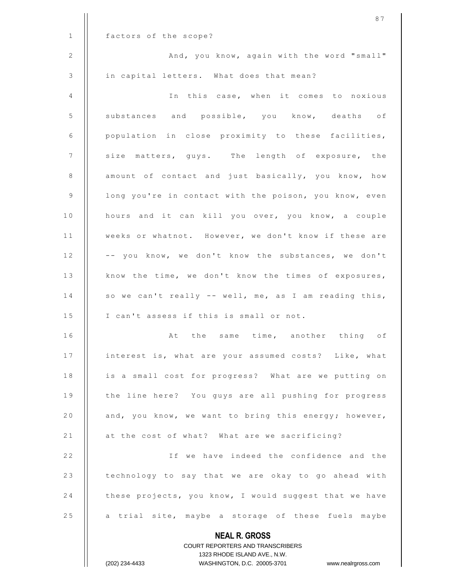|              | 87                                                               |
|--------------|------------------------------------------------------------------|
| $\mathbf{1}$ | factors of the scope?                                            |
| 2            | And, you know, again with the word "small"                       |
| 3            | in capital letters. What does that mean?                         |
| 4            | In this case, when it comes to noxious                           |
| 5            | substances and possible, you know, deaths of                     |
| 6            | population in close proximity to these facilities,               |
| 7            | size matters, guys. The length of exposure, the                  |
| 8            | amount of contact and just basically, you know, how              |
| 9            | long you're in contact with the poison, you know, even           |
| 10           | hours and it can kill you over, you know, a couple               |
| 11           | weeks or whatnot. However, we don't know if these are            |
| 12           | -- you know, we don't know the substances, we don't              |
| 13           | know the time, we don't know the times of exposures,             |
| 14           | so we can't really -- well, me, as I am reading this,            |
| 15           | I can't assess if this is small or not.                          |
| 16           | At the same time, another thing of                               |
| 17           | interest is, what are your assumed costs? Like, what             |
| 18           | is a small cost for progress? What are we putting on             |
| 19           | the line here? You guys are all pushing for progress             |
| 20           | and, you know, we want to bring this energy; however,            |
| 21           | at the cost of what? What are we sacrificing?                    |
| 22           | If we have indeed the confidence and the                         |
| 23           | technology to say that we are okay to go ahead with              |
| 24           | these projects, you know, I would suggest that we have           |
| 25           | a trial site, maybe a storage of these fuels maybe               |
|              | <b>NEAL R. GROSS</b><br>COURT REPORTERS AND TRANSCRIBERS         |
|              | 1323 RHODE ISLAND AVE., N.W.                                     |
|              | (202) 234-4433<br>WASHINGTON, D.C. 20005-3701 www.nealrgross.com |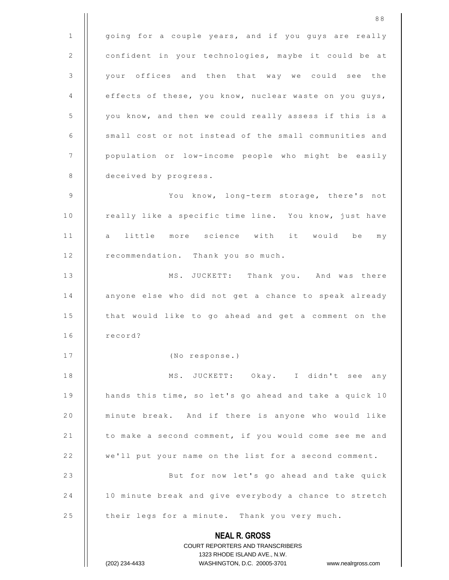**NEAL R. GROSS** COURT REPORTERS AND TRANSCRIBERS 1323 RHODE ISLAND AVE., N.W. (202) 234-4433 WASHINGTON, D.C. 20005-3701 www.nealrgross.com 1 | going for a couple years, and if you guys are really 2 | confident in your technologies, maybe it could be at 3 | your offices and then that way we could see the 4 | effects of these, you know, nuclear waste on you guys, 5 | you know, and then we could really assess if this is a  $6$   $\parallel$  small cost or not instead of the small communities and 7 | population or low-income people who might be easily 8 | deceived by progress. 9 | You know, long-term storage, there's not 10 | really like a specific time line. You know, just have 11 || a little more science with it would be my 12 | recommendation. Thank you so much. 13 || MS. JUCKETT: Thank you. And was there 14 | anyone else who did not get a chance to speak already 15 | that would like to go ahead and get a comment on the  $16$   $\parallel$  record? 17 | (No response.) 18 || MS. JUCKETT: Okay. I didn't see any 19  $\parallel$  hands this time, so let's go ahead and take a quick 10 20 | minute break. And if there is anyone who would like 21 | to make a second comment, if you would come see me and 22 | we'll put your name on the list for a second comment. 23 | But for now let's go ahead and take quick 24 | 10 minute break and give everybody a chance to stretch 25 | their legs for a minute. Thank you very much.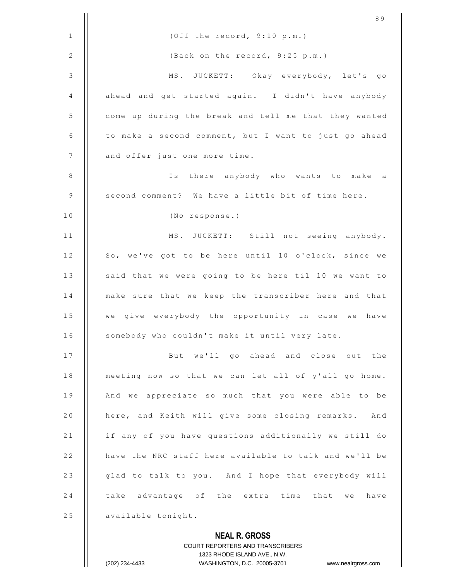|              | 89                                                                                                  |
|--------------|-----------------------------------------------------------------------------------------------------|
| $\mathbf{1}$ | (Off the record, 9:10 p.m.)                                                                         |
| 2            | (Back on the record, 9:25 p.m.)                                                                     |
| $\mathsf 3$  | MS. JUCKETT: Okay everybody, let's go                                                               |
| 4            | ahead and get started again. I didn't have anybody                                                  |
| 5            | come up during the break and tell me that they wanted                                               |
| 6            | to make a second comment, but I want to just go ahead                                               |
| 7            | and offer just one more time.                                                                       |
| 8            | Is<br>there anybody who wants to make a                                                             |
| 9            | second comment? We have a little bit of time here.                                                  |
| 10           | (No response.)                                                                                      |
| 11           | MS. JUCKETT: Still not seeing anybody.                                                              |
| 12           | So, we've got to be here until 10 o'clock, since we                                                 |
| 13           | said that we were going to be here til 10 we want to                                                |
| 14           | make sure that we keep the transcriber here and that                                                |
| 15           | we give everybody the opportunity in case we<br>have                                                |
| 16           | somebody who couldn't make it until very late.                                                      |
| 17           | But we'll go ahead and close out the                                                                |
| 18           | meeting now so that we can let all of y'all go home.                                                |
| 19           | And we appreciate so much that you were able to be                                                  |
| 20           | here, and Keith will give some closing remarks. And                                                 |
| 21           | if any of you have questions additionally we still do                                               |
| 22           | have the NRC staff here available to talk and we'll be                                              |
| 23           | glad to talk to you. And I hope that everybody will                                                 |
| 24           | take advantage of the extra time that we<br>have                                                    |
| 25           | available tonight.                                                                                  |
|              | <b>NEAL R. GROSS</b>                                                                                |
|              | <b>COURT REPORTERS AND TRANSCRIBERS</b>                                                             |
|              | 1323 RHODE ISLAND AVE., N.W.<br>WASHINGTON, D.C. 20005-3701<br>(202) 234-4433<br>www.nealrgross.com |
|              |                                                                                                     |